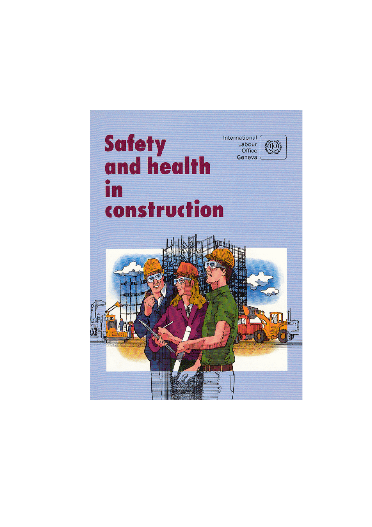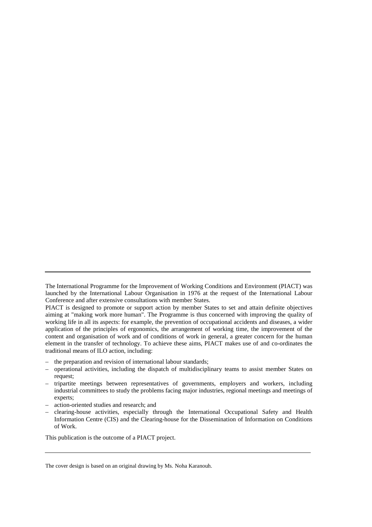- the preparation and revision of international labour standards;
- operational activities, including the dispatch of multidisciplinary teams to assist member States on request;
- tripartite meetings between representatives of governments, employers and workers, including industrial committees to study the problems facing major industries, regional meetings and meetings of experts;
- action-oriented studies and research; and
- clearing-house activities, especially through the International Occupational Safety and Health Information Centre (CIS) and the Clearing-house for the Dissemination of Information on Conditions of Work.

This publication is the outcome of a PIACT project.

The International Programme for the Improvement of Working Conditions and Environment (PIACT) was launched by the International Labour Organisation in 1976 at the request of the International Labour Conference and after extensive consultations with member States.

PIACT is designed to promote or support action by member States to set and attain definite objectives aiming at "making work more human". The Programme is thus concerned with improving the quality of working life in all its aspects: for example, the prevention of occupational accidents and diseases, a wider application of the principles of ergonomics, the arrangement of working time, the improvement of the content and organisation of work and of conditions of work in general, a greater concern for the human element in the transfer of technology. To achieve these aims, PIACT makes use of and co-ordinates the traditional means of ILO action, including:

The cover design is based on an original drawing by Ms. Noha Karanouh.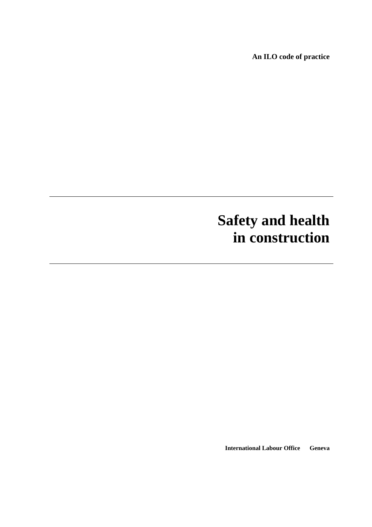**An ILO code of practice**

# **Safety and health in construction**

**International Labour Office Geneva**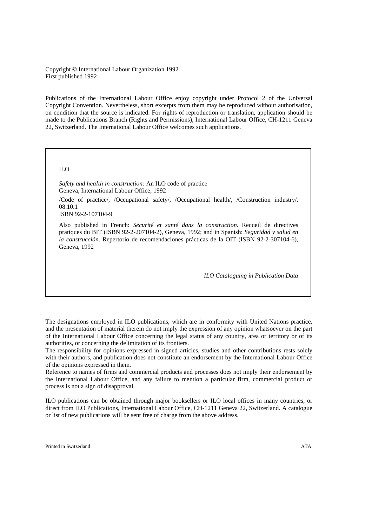Copyright © International Labour Organization 1992 First published 1992

Publications of the International Labour Office enjoy copyright under Protocol 2 of the Universal Copyright Convention. Nevertheless, short excerpts from them may be reproduced without authorisation, on condition that the source is indicated. For rights of reproduction or translation, application should be made to the Publications Branch (Rights and Permissions), International Labour Office, CH-1211 Geneva 22, Switzerland. The International Labour Office welcomes such applications.

ILO

*Safety and health in construction:* An ILO code of practice Geneva, International Labour Office, 1992

/Code of practice/, /Occupational safety/, /Occupational health/, /Construction industry/. 08.10.1

ISBN 92-2-107104-9

Also published in French: *Sécurité et santé dans la construction*. Recueil de directives pratiques du BIT (ISBN 92-2-207104-2), Geneva, 1992; and in Spanish: *Seguridad y salud en la construcción*. Repertorio de recomendaciones prácticas de la OIT (ISBN 92-2-307104-6), Geneva, 1992

*ILO Cataloguing in Publication Data*

The designations employed in ILO publications, which are in conformity with United Nations practice, and the presentation of material therein do not imply the expression of any opinion whatsoever on the part of the International Labour Office concerning the legal status of any country, area or territory or of its authorities, or concerning the delimitation of its frontiers.

The responsibility for opinions expressed in signed articles, studies and other contributions rests solely with their authors, and publication does not constitute an endorsement by the International Labour Office of the opinions expressed in them.

Reference to names of firms and commercial products and processes does not imply their endorsement by the International Labour Office, and any failure to mention a particular firm, commercial product or process is not a sign of disapproval.

ILO publications can be obtained through major booksellers or ILO local offices in many countries, or direct from ILO Publications, International Labour Office, CH-1211 Geneva 22, Switzerland. A catalogue or list of new publications will be sent free of charge from the above address.

Printed in Switzerland **ATA**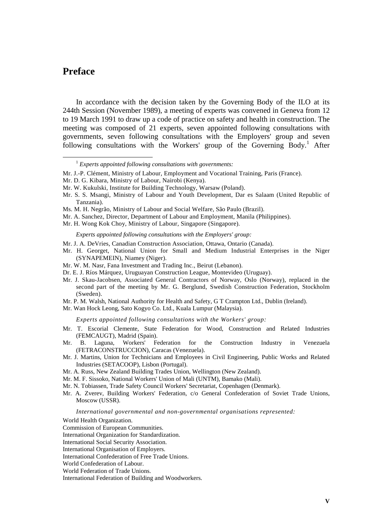# <span id="page-6-0"></span>**Preface**

In accordance with the decision taken by the Governing Body of the ILO at its 244th Session (November 1989), a meeting of experts was convened in Geneva from 12 to 19 March 1991 to draw up a code of practice on safety and health in construction. The meeting was composed of 21 experts, seven appointed following consultations with governments, seven following consultations with the Employers' group and seven following consultations with the Workers' group of the Governing Body.<sup>1</sup> After

1 *Experts appointed following consultations with governments:*

Mr. D. G. Kibara, Ministry of Labour, Nairobi (Kenya).

- Mr. A. Sanchez, Director, Department of Labour and Employment, Manila (Philippines).
- Mr. H. Wong Kok Choy, Ministry of Labour, Singapore (Singapore).

*Experts appointed following consultations with the Employers' group:*

- Mr. J. A. DeVries, Canadian Construction Association, Ottawa, Ontario (Canada).
- Mr. H. Georget, National Union for Small and Medium Industrial Enterprises in the Niger (SYNAPEMEIN), Niamey (Niger).
- Mr. W. M. Nasr, Fana Investment and Trading Inc., Beirut (Lebanon).
- Dr. E. J. Ríos Márquez, Uruguayan Construction League, Montevideo (Uruguay).
- Mr. J. Skau-Jacobsen, Associated General Contractors of Norway, Oslo (Norway), replaced in the second part of the meeting by Mr. G. Berglund, Swedish Construction Federation, Stockholm (Sweden).
- Mr. P. M. Walsh, National Authority for Health and Safety, G T Crampton Ltd., Dublin (Ireland).
- Mr. Wan Hock Leong, Sato Kogyo Co. Ltd., Kuala Lumpur (Malaysia).

*Experts appointed following consultations with the Workers' group:*

- Mr. T. Escorial Clemente, State Federation for Wood, Construction and Related Industries (FEMCAUGT), Madrid (Spain).
- Mr. B. Laguna, Workers' Federation for the Construction Industry in Venezuela (FETRACONSTRUCCION), Caracas (Venezuela).
- Mr. J. Martins, Union for Technicians and Employees in Civil Engineering, Public Works and Related Industries (SETACOOP), Lisbon (Portugal).
- Mr. A. Russ, New Zealand Building Trades Union, Wellington (New Zealand).
- Mr. M. F. Sissoko, National Workers' Union of Mali (UNTM), Bamako (Mali).
- Mr. N. Tobiassen, Trade Safety Council Workers' Secretariat, Copenhagen (Denmark).
- Mr. A. Zverev, Building Workers' Federation, c/o General Confederation of Soviet Trade Unions, Moscow (USSR).

*International governmental and non-governmental organisations represented:*

World Health Organization.

Commission of European Communities.

International Organization for Standardization.

International Social Security Association.

International Organisation of Employers.

International Confederation of Free Trade Unions.

World Confederation of Labour.

World Federation of Trade Unions.

International Federation of Building and Woodworkers.

Mr. J.-P. Clément, Ministry of Labour, Employment and Vocational Training, Paris (France).

Mr. W. Kukulski, Institute for Building Technology, Warsaw (Poland).

Mr. S. S. Msangi, Ministry of Labour and Youth Development, Dar es Salaam (United Republic of Tanzania).

Ms. M. H. Negrão, Ministry of Labour and Social Welfare, São Paulo (Brazil).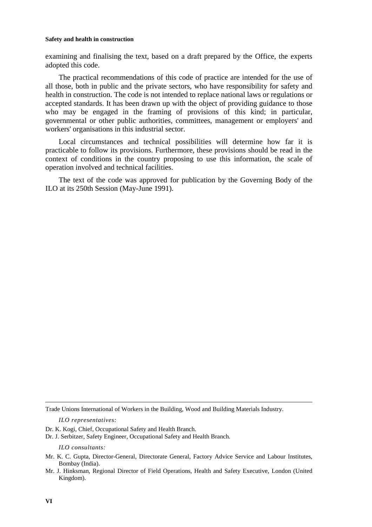examining and finalising the text, based on a draft prepared by the Office, the experts adopted this code.

The practical recommendations of this code of practice are intended for the use of all those, both in public and the private sectors, who have responsibility for safety and health in construction. The code is not intended to replace national laws or regulations or accepted standards. It has been drawn up with the object of providing guidance to those who may be engaged in the framing of provisions of this kind; in particular, governmental or other public authorities, committees, management or employers' and workers' organisations in this industrial sector.

Local circumstances and technical possibilities will determine how far it is practicable to follow its provisions. Furthermore, these provisions should be read in the context of conditions in the country proposing to use this information, the scale of operation involved and technical facilities.

The text of the code was approved for publication by the Governing Body of the ILO at its 250th Session (May-June 1991).

*ILO consultants:*

1

Trade Unions International of Workers in the Building, Wood and Building Materials Industry.

*ILO representatives:*

Dr. K. Kogi, Chief, Occupational Safety and Health Branch.

Dr. J. Serbitzer, Safety Engineer, Occupational Safety and Health Branch.

Mr. K. C. Gupta, Director-General, Directorate General, Factory Advice Service and Labour Institutes, Bombay (India).

Mr. J. Hinksman, Regional Director of Field Operations, Health and Safety Executive, London (United Kingdom).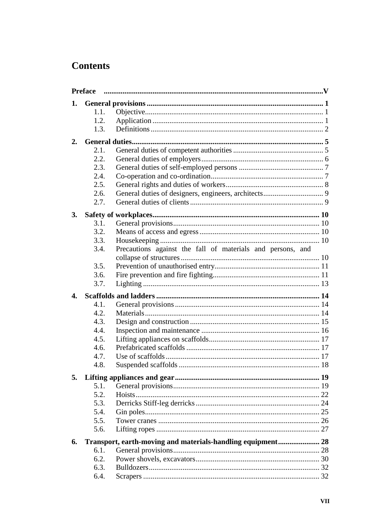# **Contents**

|    | <b>Preface</b> |                                                             |  |
|----|----------------|-------------------------------------------------------------|--|
| 1. |                |                                                             |  |
|    | 1.1.           |                                                             |  |
|    | 1.2.           |                                                             |  |
|    | 1.3.           |                                                             |  |
| 2. |                |                                                             |  |
|    | 2.1.           |                                                             |  |
|    | 2.2.           |                                                             |  |
|    | 2.3.           |                                                             |  |
|    | 2.4.           |                                                             |  |
|    | 2.5.           |                                                             |  |
|    | 2.6.           |                                                             |  |
|    | 2.7.           |                                                             |  |
| 3. |                |                                                             |  |
|    | 3.1.           |                                                             |  |
|    | 3.2.           |                                                             |  |
|    | 3.3.           |                                                             |  |
|    | 3.4.           | Precautions against the fall of materials and persons, and  |  |
|    |                |                                                             |  |
|    | 3.5.           |                                                             |  |
|    | 3.6.           |                                                             |  |
|    | 3.7.           |                                                             |  |
| 4. |                |                                                             |  |
|    | 4.1.           |                                                             |  |
|    | 4.2.           |                                                             |  |
|    | 4.3.           |                                                             |  |
|    | 4.4.           |                                                             |  |
|    | 4.5.           |                                                             |  |
|    | 4.6.           |                                                             |  |
|    | 4.7.           |                                                             |  |
|    | 4.8.           |                                                             |  |
| 5. |                |                                                             |  |
|    | 5.1.           |                                                             |  |
|    | 5.2.           |                                                             |  |
|    | 5.3.           |                                                             |  |
|    | 5.4.           |                                                             |  |
|    | 5.5.           |                                                             |  |
|    | 5.6.           |                                                             |  |
| 6. |                | Transport, earth-moving and materials-handling equipment 28 |  |
|    | 6.1.           |                                                             |  |
|    | 6.2.           |                                                             |  |
|    | 6.3.           |                                                             |  |
|    | 6.4.           |                                                             |  |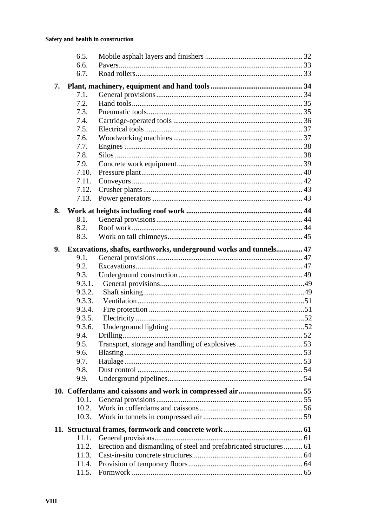|    | 6.5.   |                                                                   |  |
|----|--------|-------------------------------------------------------------------|--|
|    | 6.6.   |                                                                   |  |
|    | 6.7.   |                                                                   |  |
| 7. |        |                                                                   |  |
|    | 7.1.   |                                                                   |  |
|    | 7.2.   |                                                                   |  |
|    | 7.3.   |                                                                   |  |
|    | 7.4.   |                                                                   |  |
|    | 7.5.   |                                                                   |  |
|    | 7.6.   |                                                                   |  |
|    | 7.7.   |                                                                   |  |
|    | 7.8.   |                                                                   |  |
|    | 7.9.   |                                                                   |  |
|    | 7.10.  |                                                                   |  |
|    | 7.11.  |                                                                   |  |
|    | 7.12.  |                                                                   |  |
|    | 7.13.  |                                                                   |  |
| 8. |        |                                                                   |  |
|    | 8.1.   |                                                                   |  |
|    | 8.2.   |                                                                   |  |
|    |        |                                                                   |  |
|    | 8.3.   |                                                                   |  |
| 9. |        | Excavations, shafts, earthworks, underground works and tunnels 47 |  |
|    | 9.1.   |                                                                   |  |
|    |        |                                                                   |  |
|    | 9.2.   |                                                                   |  |
|    | 9.3.   |                                                                   |  |
|    | 9.3.1. |                                                                   |  |
|    | 9.3.2. |                                                                   |  |
|    | 9.3.3. |                                                                   |  |
|    | 9.3.4. |                                                                   |  |
|    | 9.3.5. |                                                                   |  |
|    | 9.3.6. |                                                                   |  |
|    | 9.4.   |                                                                   |  |
|    | 9.5.   |                                                                   |  |
|    | 9.6.   |                                                                   |  |
|    | 9.7.   |                                                                   |  |
|    | 9.8.   |                                                                   |  |
|    | 9.9.   |                                                                   |  |
|    |        |                                                                   |  |
|    | 10.1.  |                                                                   |  |
|    | 10.2.  |                                                                   |  |
|    | 10.3.  |                                                                   |  |
|    |        |                                                                   |  |
|    | 11.1.  |                                                                   |  |
|    | 11.2.  | Erection and dismantling of steel and prefabricated structures 61 |  |
|    | 11.3.  |                                                                   |  |
|    | 11.4.  |                                                                   |  |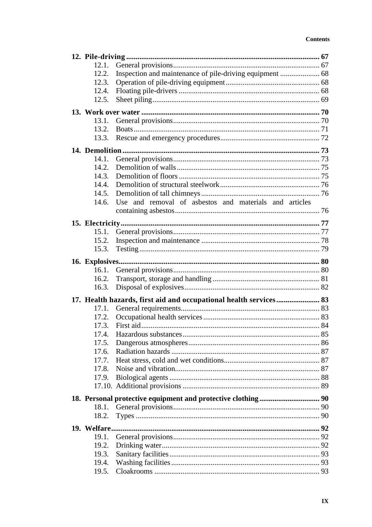| 12.1. |                                                                   |  |
|-------|-------------------------------------------------------------------|--|
| 12.2. |                                                                   |  |
| 12.3. |                                                                   |  |
| 12.4. |                                                                   |  |
| 12.5. |                                                                   |  |
|       |                                                                   |  |
| 13.1. |                                                                   |  |
| 13.2. |                                                                   |  |
| 13.3. |                                                                   |  |
|       |                                                                   |  |
| 14.1. |                                                                   |  |
| 14.2. |                                                                   |  |
| 14.3. |                                                                   |  |
| 14.4. |                                                                   |  |
| 14.5. |                                                                   |  |
| 14.6. | Use and removal of asbestos and materials and articles            |  |
|       |                                                                   |  |
|       |                                                                   |  |
| 15.1. |                                                                   |  |
| 15.2. |                                                                   |  |
| 15.3. |                                                                   |  |
|       |                                                                   |  |
|       |                                                                   |  |
| 16.1. |                                                                   |  |
| 16.2. |                                                                   |  |
| 16.3. |                                                                   |  |
|       | 17. Health hazards, first aid and occupational health services 83 |  |
| 17.1. |                                                                   |  |
| 17.2. |                                                                   |  |
| 17.3. |                                                                   |  |
|       |                                                                   |  |
| 17.5. |                                                                   |  |
| 17.6. |                                                                   |  |
| 17.7. |                                                                   |  |
| 17.8. |                                                                   |  |
| 17.9. |                                                                   |  |
|       |                                                                   |  |
|       |                                                                   |  |
| 18.1. |                                                                   |  |
| 18.2. |                                                                   |  |
|       |                                                                   |  |
| 19.1. |                                                                   |  |
| 19.2. |                                                                   |  |
| 19.3. |                                                                   |  |
| 19.4. |                                                                   |  |
| 19.5. |                                                                   |  |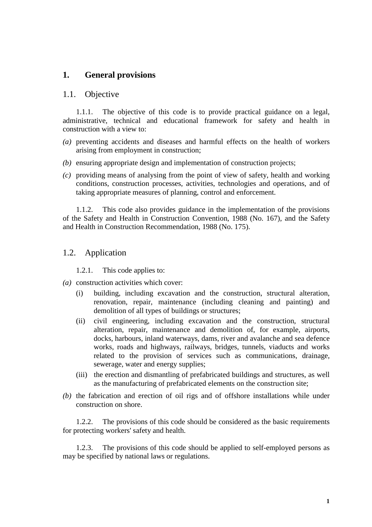# <span id="page-12-0"></span>**1. General provisions**

### 1.1. Objective

1.1.1. The objective of this code is to provide practical guidance on a legal, administrative, technical and educational framework for safety and health in construction with a view to:

- *(a)* preventing accidents and diseases and harmful effects on the health of workers arising from employment in construction;
- *(b)* ensuring appropriate design and implementation of construction projects;
- *(c)* providing means of analysing from the point of view of safety, health and working conditions, construction processes, activities, technologies and operations, and of taking appropriate measures of planning, control and enforcement.

1.1.2. This code also provides guidance in the implementation of the provisions of the Safety and Health in Construction Convention, 1988 (No. 167), and the Safety and Health in Construction Recommendation, 1988 (No. 175).

# 1.2. Application

1.2.1. This code applies to:

- *(a)* construction activities which cover:
	- (i) building, including excavation and the construction, structural alteration, renovation, repair, maintenance (including cleaning and painting) and demolition of all types of buildings or structures;
	- (ii) civil engineering, including excavation and the construction, structural alteration, repair, maintenance and demolition of, for example, airports, docks, harbours, inland waterways, dams, river and avalanche and sea defence works, roads and highways, railways, bridges, tunnels, viaducts and works related to the provision of services such as communications, drainage, sewerage, water and energy supplies;
	- (iii) the erection and dismantling of prefabricated buildings and structures, as well as the manufacturing of prefabricated elements on the construction site;
- *(b)* the fabrication and erection of oil rigs and of offshore installations while under construction on shore.

1.2.2. The provisions of this code should be considered as the basic requirements for protecting workers' safety and health.

1.2.3. The provisions of this code should be applied to self-employed persons as may be specified by national laws or regulations.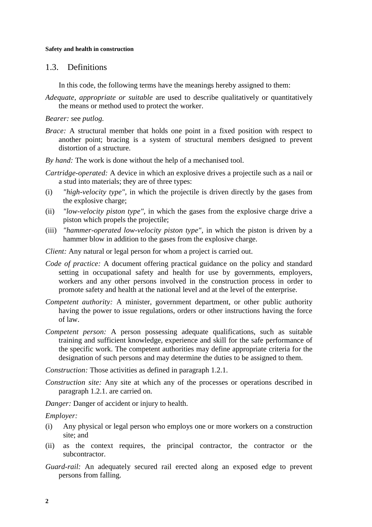# <span id="page-13-0"></span>1.3. Definitions

In this code, the following terms have the meanings hereby assigned to them:

*Adequate, appropriate or suitable* are used to describe qualitatively or quantitatively the means or method used to protect the worker.

*Bearer:* see *putlog.*

- *Brace:* A structural member that holds one point in a fixed position with respect to another point; bracing is a system of structural members designed to prevent distortion of a structure.
- *By hand:* The work is done without the help of a mechanised tool.
- *Cartridge-operated:* A device in which an explosive drives a projectile such as a nail or a stud into materials; they are of three types:
- (i) *"high-velocity type",* in which the projectile is driven directly by the gases from the explosive charge;
- (ii) *"low-velocity piston type",* in which the gases from the explosive charge drive a piston which propels the projectile;
- (iii) *"hammer-operated low-velocity piston type",* in which the piston is driven by a hammer blow in addition to the gases from the explosive charge.

*Client:* Any natural or legal person for whom a project is carried out.

- *Code of practice:* A document offering practical guidance on the policy and standard setting in occupational safety and health for use by governments, employers, workers and any other persons involved in the construction process in order to promote safety and health at the national level and at the level of the enterprise.
- *Competent authority:* A minister, government department, or other public authority having the power to issue regulations, orders or other instructions having the force of law.
- *Competent person:* A person possessing adequate qualifications, such as suitable training and sufficient knowledge, experience and skill for the safe performance of the specific work. The competent authorities may define appropriate criteria for the designation of such persons and may determine the duties to be assigned to them.

*Construction:* Those activities as defined in paragraph 1.2.1.

*Construction site:* Any site at which any of the processes or operations described in paragraph 1.2.1. are carried on.

*Danger:* Danger of accident or injury to health.

*Employer:*

- (i) Any physical or legal person who employs one or more workers on a construction site; and
- (ii) as the context requires, the principal contractor, the contractor or the subcontractor.
- *Guard-rail:* An adequately secured rail erected along an exposed edge to prevent persons from falling.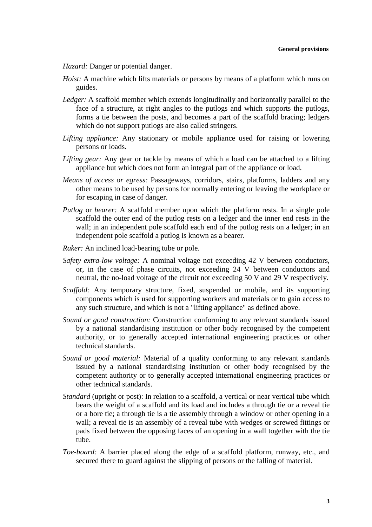*Hazard:* Danger or potential danger.

- *Hoist:* A machine which lifts materials or persons by means of a platform which runs on guides.
- *Ledger:* A scaffold member which extends longitudinally and horizontally parallel to the face of a structure, at right angles to the putlogs and which supports the putlogs, forms a tie between the posts, and becomes a part of the scaffold bracing; ledgers which do not support putlogs are also called stringers.
- *Lifting appliance:* Any stationary or mobile appliance used for raising or lowering persons or loads.
- *Lifting gear:* Any gear or tackle by means of which a load can be attached to a lifting appliance but which does not form an integral part of the appliance or load.
- *Means of access or egress:* Passageways, corridors, stairs, platforms, ladders and any other means to be used by persons for normally entering or leaving the workplace or for escaping in case of danger.
- *Putlog* or *bearer*: A scaffold member upon which the platform rests. In a single pole scaffold the outer end of the putlog rests on a ledger and the inner end rests in the wall; in an independent pole scaffold each end of the putlog rests on a ledger; in an independent pole scaffold a putlog is known as a bearer.
- *Raker:* An inclined load-bearing tube or pole.
- *Safety extra-low voltage:* A nominal voltage not exceeding 42 V between conductors, or, in the case of phase circuits, not exceeding 24 V between conductors and neutral, the no-load voltage of the circuit not exceeding 50 V and 29 V respectively.
- *Scaffold:* Any temporary structure, fixed, suspended or mobile, and its supporting components which is used for supporting workers and materials or to gain access to any such structure, and which is not a "lifting appliance" as defined above.
- *Sound or good construction:* Construction conforming to any relevant standards issued by a national standardising institution or other body recognised by the competent authority, or to generally accepted international engineering practices or other technical standards.
- *Sound or good material:* Material of a quality conforming to any relevant standards issued by a national standardising institution or other body recognised by the competent authority or to generally accepted international engineering practices or other technical standards.
- *Standard* (upright or post): In relation to a scaffold, a vertical or near vertical tube which bears the weight of a scaffold and its load and includes a through tie or a reveal tie or a bore tie; a through tie is a tie assembly through a window or other opening in a wall; a reveal tie is an assembly of a reveal tube with wedges or screwed fittings or pads fixed between the opposing faces of an opening in a wall together with the tie tube.
- *Toe-board:* A barrier placed along the edge of a scaffold platform, runway, etc., and secured there to guard against the slipping of persons or the falling of material.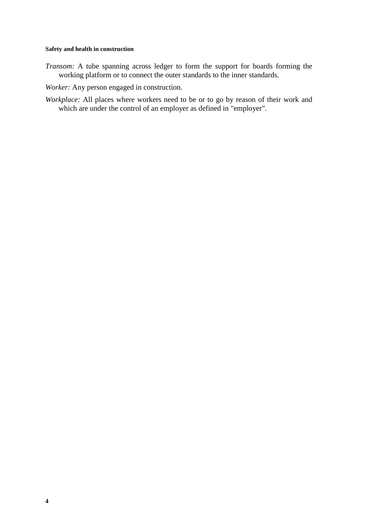*Transom:* A tube spanning across ledger to form the support for boards forming the working platform or to connect the outer standards to the inner standards.

*Worker:* Any person engaged in construction.

*Workplace:* All places where workers need to be or to go by reason of their work and which are under the control of an employer as defined in "employer".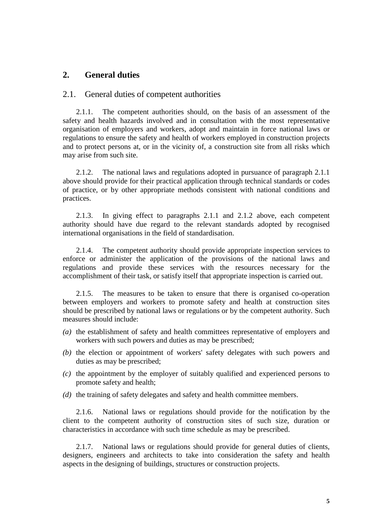# <span id="page-16-0"></span>**2. General duties**

# 2.1. General duties of competent authorities

2.1.1. The competent authorities should, on the basis of an assessment of the safety and health hazards involved and in consultation with the most representative organisation of employers and workers, adopt and maintain in force national laws or regulations to ensure the safety and health of workers employed in construction projects and to protect persons at, or in the vicinity of, a construction site from all risks which may arise from such site.

2.1.2. The national laws and regulations adopted in pursuance of paragraph 2.1.1 above should provide for their practical application through technical standards or codes of practice, or by other appropriate methods consistent with national conditions and practices.

2.1.3. In giving effect to paragraphs 2.1.1 and 2.1.2 above, each competent authority should have due regard to the relevant standards adopted by recognised international organisations in the field of standardisation.

2.1.4. The competent authority should provide appropriate inspection services to enforce or administer the application of the provisions of the national laws and regulations and provide these services with the resources necessary for the accomplishment of their task, or satisfy itself that appropriate inspection is carried out.

2.1.5. The measures to be taken to ensure that there is organised co-operation between employers and workers to promote safety and health at construction sites should be prescribed by national laws or regulations or by the competent authority. Such measures should include:

- *(a)* the establishment of safety and health committees representative of employers and workers with such powers and duties as may be prescribed;
- *(b)* the election or appointment of workers' safety delegates with such powers and duties as may be prescribed;
- *(c)* the appointment by the employer of suitably qualified and experienced persons to promote safety and health;
- *(d)* the training of safety delegates and safety and health committee members.

2.1.6. National laws or regulations should provide for the notification by the client to the competent authority of construction sites of such size, duration or characteristics in accordance with such time schedule as may be prescribed.

2.1.7. National laws or regulations should provide for general duties of clients, designers, engineers and architects to take into consideration the safety and health aspects in the designing of buildings, structures or construction projects.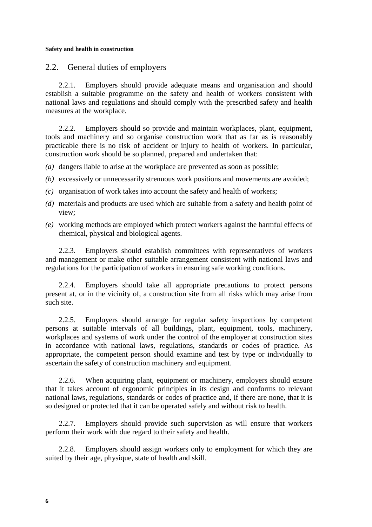# <span id="page-17-0"></span>2.2. General duties of employers

2.2.1. Employers should provide adequate means and organisation and should establish a suitable programme on the safety and health of workers consistent with national laws and regulations and should comply with the prescribed safety and health measures at the workplace.

2.2.2. Employers should so provide and maintain workplaces, plant, equipment, tools and machinery and so organise construction work that as far as is reasonably practicable there is no risk of accident or injury to health of workers. In particular, construction work should be so planned, prepared and undertaken that:

*(a)* dangers liable to arise at the workplace are prevented as soon as possible;

*(b)* excessively or unnecessarily strenuous work positions and movements are avoided;

- *(c)* organisation of work takes into account the safety and health of workers;
- *(d)* materials and products are used which are suitable from a safety and health point of view;
- *(e)* working methods are employed which protect workers against the harmful effects of chemical, physical and biological agents.

2.2.3. Employers should establish committees with representatives of workers and management or make other suitable arrangement consistent with national laws and regulations for the participation of workers in ensuring safe working conditions.

2.2.4. Employers should take all appropriate precautions to protect persons present at, or in the vicinity of, a construction site from all risks which may arise from such site.

2.2.5. Employers should arrange for regular safety inspections by competent persons at suitable intervals of all buildings, plant, equipment, tools, machinery, workplaces and systems of work under the control of the employer at construction sites in accordance with national laws, regulations, standards or codes of practice. As appropriate, the competent person should examine and test by type or individually to ascertain the safety of construction machinery and equipment.

2.2.6. When acquiring plant, equipment or machinery, employers should ensure that it takes account of ergonomic principles in its design and conforms to relevant national laws, regulations, standards or codes of practice and, if there are none, that it is so designed or protected that it can be operated safely and without risk to health.

2.2.7. Employers should provide such supervision as will ensure that workers perform their work with due regard to their safety and health.

2.2.8. Employers should assign workers only to employment for which they are suited by their age, physique, state of health and skill.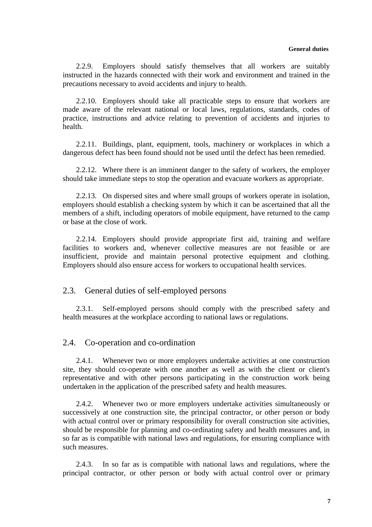<span id="page-18-0"></span>2.2.9. Employers should satisfy themselves that all workers are suitably instructed in the hazards connected with their work and environment and trained in the precautions necessary to avoid accidents and injury to health.

2.2.10. Employers should take all practicable steps to ensure that workers are made aware of the relevant national or local laws, regulations, standards, codes of practice, instructions and advice relating to prevention of accidents and injuries to health.

2.2.11. Buildings, plant, equipment, tools, machinery or workplaces in which a dangerous defect has been found should not be used until the defect has been remedied.

2.2.12. Where there is an imminent danger to the safety of workers, the employer should take immediate steps to stop the operation and evacuate workers as appropriate.

2.2.13. On dispersed sites and where small groups of workers operate in isolation, employers should establish a checking system by which it can be ascertained that all the members of a shift, including operators of mobile equipment, have returned to the camp or base at the close of work.

2.2.14. Employers should provide appropriate first aid, training and welfare facilities to workers and, whenever collective measures are not feasible or are insufficient, provide and maintain personal protective equipment and clothing. Employers should also ensure access for workers to occupational health services.

2.3. General duties of self-employed persons

2.3.1. Self-employed persons should comply with the prescribed safety and health measures at the workplace according to national laws or regulations.

### 2.4. Co-operation and co-ordination

2.4.1. Whenever two or more employers undertake activities at one construction site, they should co-operate with one another as well as with the client or client's representative and with other persons participating in the construction work being undertaken in the application of the prescribed safety and health measures.

2.4.2. Whenever two or more employers undertake activities simultaneously or successively at one construction site, the principal contractor, or other person or body with actual control over or primary responsibility for overall construction site activities, should be responsible for planning and co-ordinating safety and health measures and, in so far as is compatible with national laws and regulations, for ensuring compliance with such measures.

2.4.3. In so far as is compatible with national laws and regulations, where the principal contractor, or other person or body with actual control over or primary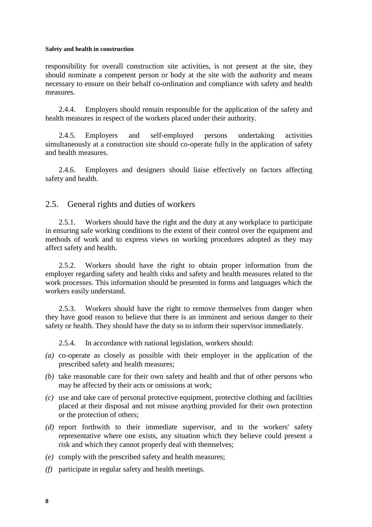<span id="page-19-0"></span>responsibility for overall construction site activities, is not present at the site, they should nominate a competent person or body at the site with the authority and means necessary to ensure on their behalf co-ordination and compliance with safety and health measures.

2.4.4. Employers should remain responsible for the application of the safety and health measures in respect of the workers placed under their authority.

2.4.5. Employers and self-employed persons undertaking activities simultaneously at a construction site should co-operate fully in the application of safety and health measures.

2.4.6. Employers and designers should liaise effectively on factors affecting safety and health.

# 2.5. General rights and duties of workers

2.5.1. Workers should have the right and the duty at any workplace to participate in ensuring safe working conditions to the extent of their control over the equipment and methods of work and to express views on working procedures adopted as they may affect safety and health.

2.5.2. Workers should have the right to obtain proper information from the employer regarding safety and health risks and safety and health measures related to the work processes. This information should be presented in forms and languages which the workers easily understand.

2.5.3. Workers should have the right to remove themselves from danger when they have good reason to believe that there is an imminent and serious danger to their safety or health. They should have the duty so to inform their supervisor immediately.

2.5.4. In accordance with national legislation, workers should:

- *(a)* co-operate as closely as possible with their employer in the application of the prescribed safety and health measures;
- *(b)* take reasonable care for their own safety and health and that of other persons who may be affected by their acts or omissions at work;
- *(c)* use and take care of personal protective equipment, protective clothing and facilities placed at their disposal and not misuse anything provided for their own protection or the protection of others;
- *(d)* report forthwith to their immediate supervisor, and to the workers' safety representative where one exists, any situation which they believe could present a risk and which they cannot properly deal with themselves;
- *(e)* comply with the prescribed safety and health measures;
- *(f)* participate in regular safety and health meetings.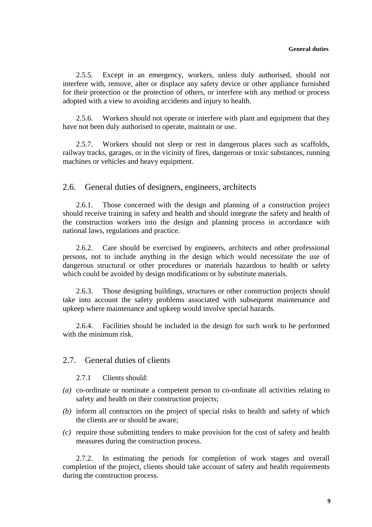<span id="page-20-0"></span>2.5.5. Except in an emergency, workers, unless duly authorised, should not interfere with, remove, alter or displace any safety device or other appliance furnished for their protection or the protection of others, or interfere with any method or process adopted with a view to avoiding accidents and injury to health.

2.5.6. Workers should not operate or interfere with plant and equipment that they have not been duly authorised to operate, maintain or use.

2.5.7. Workers should not sleep or rest in dangerous places such as scaffolds, railway tracks, garages, or in the vicinity of fires, dangerous or toxic substances, running machines or vehicles and heavy equipment.

### 2.6. General duties of designers, engineers, architects

2.6.1. Those concerned with the design and planning of a construction project should receive training in safety and health and should integrate the safety and health of the construction workers into the design and planning process in accordance with national laws, regulations and practice.

2.6.2. Care should be exercised by engineers, architects and other professional persons, not to include anything in the design which would necessitate the use of dangerous structural or other procedures or materials hazardous to health or safety which could be avoided by design modifications or by substitute materials.

2.6.3. Those designing buildings, structures or other construction projects should take into account the safety problems associated with subsequent maintenance and upkeep where maintenance and upkeep would involve special hazards.

2.6.4. Facilities should be included in the design for such work to be performed with the minimum risk.

# 2.7. General duties of clients

- 2.7.1 Clients should:
- *(a)* co-ordinate or nominate a competent person to co-ordinate all activities relating to safety and health on their construction projects;
- *(b)* inform all contractors on the project of special risks to health and safety of which the clients are or should be aware;
- *(c)* require those submitting tenders to make provision for the cost of safety and health measures during the construction process.

2.7.2. In estimating the periods for completion of work stages and overall completion of the project, clients should take account of safety and health requirements during the construction process.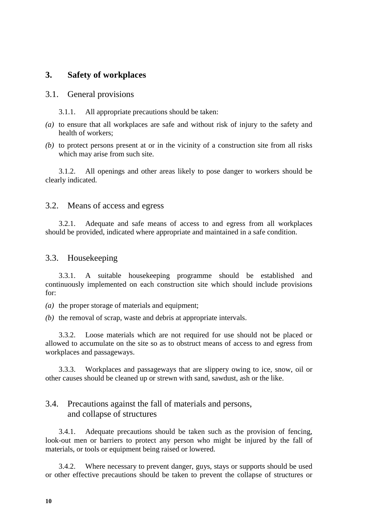# <span id="page-21-0"></span>**3. Safety of workplaces**

# 3.1. General provisions

3.1.1. All appropriate precautions should be taken:

- *(a)* to ensure that all workplaces are safe and without risk of injury to the safety and health of workers;
- *(b)* to protect persons present at or in the vicinity of a construction site from all risks which may arise from such site.

3.1.2. All openings and other areas likely to pose danger to workers should be clearly indicated.

# 3.2. Means of access and egress

3.2.1. Adequate and safe means of access to and egress from all workplaces should be provided, indicated where appropriate and maintained in a safe condition.

# 3.3. Housekeeping

3.3.1. A suitable housekeeping programme should be established and continuously implemented on each construction site which should include provisions for:

- *(a)* the proper storage of materials and equipment;
- *(b)* the removal of scrap, waste and debris at appropriate intervals.

3.3.2. Loose materials which are not required for use should not be placed or allowed to accumulate on the site so as to obstruct means of access to and egress from workplaces and passageways.

3.3.3. Workplaces and passageways that are slippery owing to ice, snow, oil or other causes should be cleaned up or strewn with sand, sawdust, ash or the like.

# 3.4. Precautions against the fall of materials and persons, and collapse of structures

3.4.1. Adequate precautions should be taken such as the provision of fencing, look-out men or barriers to protect any person who might be injured by the fall of materials, or tools or equipment being raised or lowered.

3.4.2. Where necessary to prevent danger, guys, stays or supports should be used or other effective precautions should be taken to prevent the collapse of structures or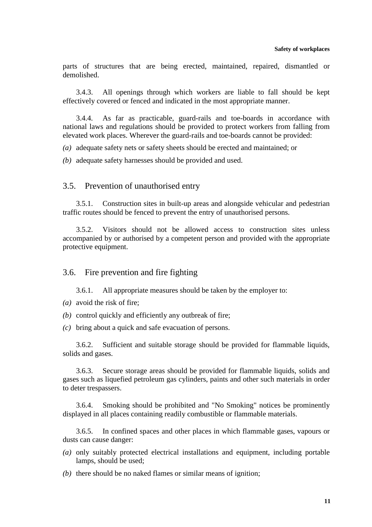<span id="page-22-0"></span>parts of structures that are being erected, maintained, repaired, dismantled or demolished.

3.4.3. All openings through which workers are liable to fall should be kept effectively covered or fenced and indicated in the most appropriate manner.

3.4.4. As far as practicable, guard-rails and toe-boards in accordance with national laws and regulations should be provided to protect workers from falling from elevated work places. Wherever the guard-rails and toe-boards cannot be provided:

*(a)* adequate safety nets or safety sheets should be erected and maintained; or

*(b)* adequate safety harnesses should be provided and used.

### 3.5. Prevention of unauthorised entry

3.5.1. Construction sites in built-up areas and alongside vehicular and pedestrian traffic routes should be fenced to prevent the entry of unauthorised persons.

3.5.2. Visitors should not be allowed access to construction sites unless accompanied by or authorised by a competent person and provided with the appropriate protective equipment.

### 3.6. Fire prevention and fire fighting

3.6.1. All appropriate measures should be taken by the employer to:

- *(a)* avoid the risk of fire;
- *(b)* control quickly and efficiently any outbreak of fire;
- *(c)* bring about a quick and safe evacuation of persons.

3.6.2. Sufficient and suitable storage should be provided for flammable liquids, solids and gases.

3.6.3. Secure storage areas should be provided for flammable liquids, solids and gases such as liquefied petroleum gas cylinders, paints and other such materials in order to deter trespassers.

3.6.4. Smoking should be prohibited and "No Smoking" notices be prominently displayed in all places containing readily combustible or flammable materials.

3.6.5. In confined spaces and other places in which flammable gases, vapours or dusts can cause danger:

- *(a)* only suitably protected electrical installations and equipment, including portable lamps, should be used;
- *(b)* there should be no naked flames or similar means of ignition;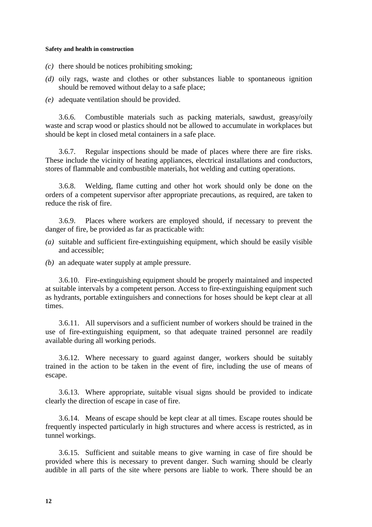- *(c)* there should be notices prohibiting smoking;
- *(d)* oily rags, waste and clothes or other substances liable to spontaneous ignition should be removed without delay to a safe place;

*(e)* adequate ventilation should be provided.

3.6.6. Combustible materials such as packing materials, sawdust, greasy/oily waste and scrap wood or plastics should not be allowed to accumulate in workplaces but should be kept in closed metal containers in a safe place.

3.6.7. Regular inspections should be made of places where there are fire risks. These include the vicinity of heating appliances, electrical installations and conductors, stores of flammable and combustible materials, hot welding and cutting operations.

3.6.8. Welding, flame cutting and other hot work should only be done on the orders of a competent supervisor after appropriate precautions, as required, are taken to reduce the risk of fire.

3.6.9. Places where workers are employed should, if necessary to prevent the danger of fire, be provided as far as practicable with:

- *(a)* suitable and sufficient fire-extinguishing equipment, which should be easily visible and accessible;
- *(b)* an adequate water supply at ample pressure.

3.6.10. Fire-extinguishing equipment should be properly maintained and inspected at suitable intervals by a competent person. Access to fire-extinguishing equipment such as hydrants, portable extinguishers and connections for hoses should be kept clear at all times.

3.6.11. All supervisors and a sufficient number of workers should be trained in the use of fire-extinguishing equipment, so that adequate trained personnel are readily available during all working periods.

3.6.12. Where necessary to guard against danger, workers should be suitably trained in the action to be taken in the event of fire, including the use of means of escape.

3.6.13. Where appropriate, suitable visual signs should be provided to indicate clearly the direction of escape in case of fire.

3.6.14. Means of escape should be kept clear at all times. Escape routes should be frequently inspected particularly in high structures and where access is restricted, as in tunnel workings.

3.6.15. Sufficient and suitable means to give warning in case of fire should be provided where this is necessary to prevent danger. Such warning should be clearly audible in all parts of the site where persons are liable to work. There should be an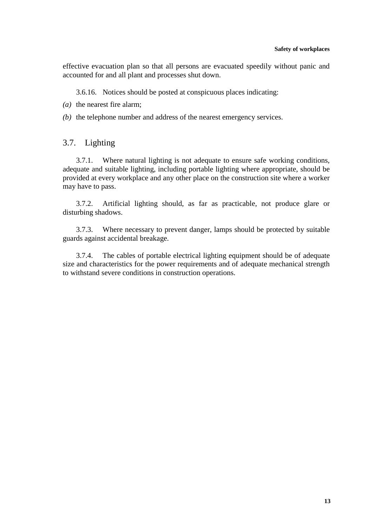<span id="page-24-0"></span>effective evacuation plan so that all persons are evacuated speedily without panic and accounted for and all plant and processes shut down.

3.6.16. Notices should be posted at conspicuous places indicating:

- *(a)* the nearest fire alarm;
- *(b)* the telephone number and address of the nearest emergency services.

# 3.7. Lighting

3.7.1. Where natural lighting is not adequate to ensure safe working conditions, adequate and suitable lighting, including portable lighting where appropriate, should be provided at every workplace and any other place on the construction site where a worker may have to pass.

3.7.2. Artificial lighting should, as far as practicable, not produce glare or disturbing shadows.

3.7.3. Where necessary to prevent danger, lamps should be protected by suitable guards against accidental breakage.

3.7.4. The cables of portable electrical lighting equipment should be of adequate size and characteristics for the power requirements and of adequate mechanical strength to withstand severe conditions in construction operations.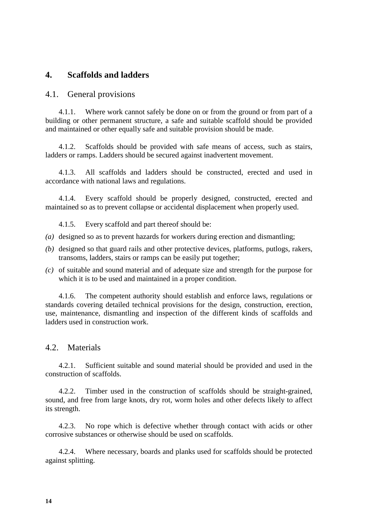# <span id="page-25-0"></span>**4. Scaffolds and ladders**

# 4.1. General provisions

4.1.1. Where work cannot safely be done on or from the ground or from part of a building or other permanent structure, a safe and suitable scaffold should be provided and maintained or other equally safe and suitable provision should be made.

4.1.2. Scaffolds should be provided with safe means of access, such as stairs, ladders or ramps. Ladders should be secured against inadvertent movement.

4.1.3. All scaffolds and ladders should be constructed, erected and used in accordance with national laws and regulations.

4.1.4. Every scaffold should be properly designed, constructed, erected and maintained so as to prevent collapse or accidental displacement when properly used.

4.1.5. Every scaffold and part thereof should be:

- *(a)* designed so as to prevent hazards for workers during erection and dismantling;
- *(b)* designed so that guard rails and other protective devices, platforms, putlogs, rakers, transoms, ladders, stairs or ramps can be easily put together;
- *(c)* of suitable and sound material and of adequate size and strength for the purpose for which it is to be used and maintained in a proper condition.

4.1.6. The competent authority should establish and enforce laws, regulations or standards covering detailed technical provisions for the design, construction, erection, use, maintenance, dismantling and inspection of the different kinds of scaffolds and ladders used in construction work.

# 4.2. Materials

4.2.1. Sufficient suitable and sound material should be provided and used in the construction of scaffolds.

4.2.2. Timber used in the construction of scaffolds should be straight-grained, sound, and free from large knots, dry rot, worm holes and other defects likely to affect its strength.

4.2.3. No rope which is defective whether through contact with acids or other corrosive substances or otherwise should be used on scaffolds.

4.2.4. Where necessary, boards and planks used for scaffolds should be protected against splitting.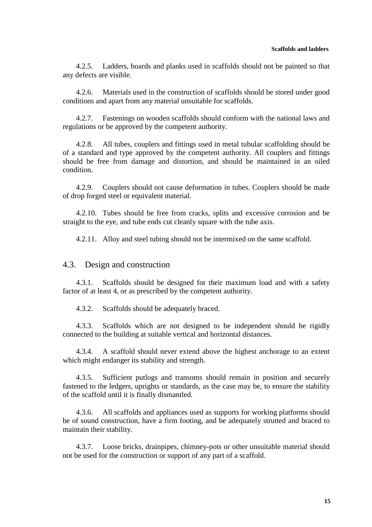<span id="page-26-0"></span>4.2.5. Ladders, boards and planks used in scaffolds should not be painted so that any defects are visible.

4.2.6. Materials used in the construction of scaffolds should be stored under good conditions and apart from any material unsuitable for scaffolds.

4.2.7. Fastenings on wooden scaffolds should conform with the national laws and regulations or be approved by the competent authority.

4.2.8. All tubes, couplers and fittings used in metal tubular scaffolding should be of a standard and type approved by the competent authority. All couplers and fittings should be free from damage and distortion, and should be maintained in an oiled condition.

4.2.9. Couplers should not cause deformation in tubes. Couplers should be made of drop forged steel or equivalent material.

4.2.10. Tubes should be free from cracks, splits and excessive corrosion and be straight to the eye, and tube ends cut cleanly square with the tube axis.

4.2.11. Alloy and steel tubing should not be intermixed on the same scaffold.

# 4.3. Design and construction

4.3.1. Scaffolds should be designed for their maximum load and with a safety factor of at least 4, or as prescribed by the competent authority.

4.3.2. Scaffolds should be adequately braced.

4.3.3. Scaffolds which are not designed to be independent should be rigidly connected to the building at suitable vertical and horizontal distances.

4.3.4. A scaffold should never extend above the highest anchorage to an extent which might endanger its stability and strength.

4.3.5. Sufficient putlogs and transoms should remain in position and securely fastened to the ledgers, uprights or standards, as the case may be, to ensure the stability of the scaffold until it is finally dismantled.

4.3.6. All scaffolds and appliances used as supports for working platforms should be of sound construction, have a firm footing, and be adequately strutted and braced to maintain their stability.

4.3.7. Loose bricks, drainpipes, chimney-pots or other unsuitable material should not be used for the construction or support of any part of a scaffold.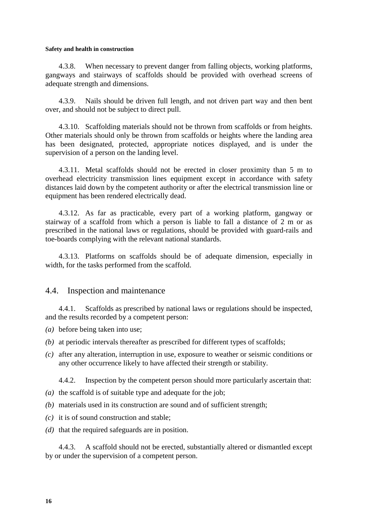<span id="page-27-0"></span>4.3.8. When necessary to prevent danger from falling objects, working platforms, gangways and stairways of scaffolds should be provided with overhead screens of adequate strength and dimensions.

4.3.9. Nails should be driven full length, and not driven part way and then bent over, and should not be subject to direct pull.

4.3.10. Scaffolding materials should not be thrown from scaffolds or from heights. Other materials should only be thrown from scaffolds or heights where the landing area has been designated, protected, appropriate notices displayed, and is under the supervision of a person on the landing level.

4.3.11. Metal scaffolds should not be erected in closer proximity than 5 m to overhead electricity transmission lines equipment except in accordance with safety distances laid down by the competent authority or after the electrical transmission line or equipment has been rendered electrically dead.

4.3.12. As far as practicable, every part of a working platform, gangway or stairway of a scaffold from which a person is liable to fall a distance of 2 m or as prescribed in the national laws or regulations, should be provided with guard-rails and toe-boards complying with the relevant national standards.

4.3.13. Platforms on scaffolds should be of adequate dimension, especially in width, for the tasks performed from the scaffold.

# 4.4. Inspection and maintenance

4.4.1. Scaffolds as prescribed by national laws or regulations should be inspected, and the results recorded by a competent person:

*(a)* before being taken into use;

- *(b)* at periodic intervals thereafter as prescribed for different types of scaffolds;
- *(c)* after any alteration, interruption in use, exposure to weather or seismic conditions or any other occurrence likely to have affected their strength or stability.

4.4.2. Inspection by the competent person should more particularly ascertain that:

- *(a)* the scaffold is of suitable type and adequate for the job;
- *(b)* materials used in its construction are sound and of sufficient strength;
- *(c)* it is of sound construction and stable;
- *(d)* that the required safeguards are in position.

4.4.3. A scaffold should not be erected, substantially altered or dismantled except by or under the supervision of a competent person.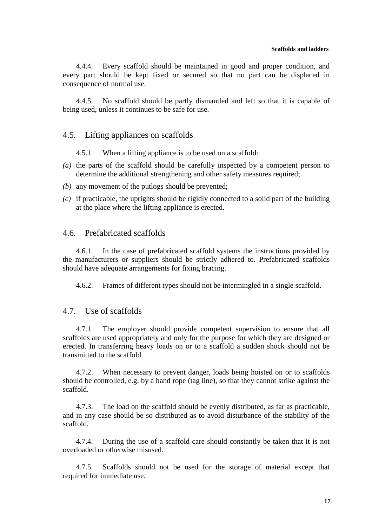<span id="page-28-0"></span>4.4.4. Every scaffold should be maintained in good and proper condition, and every part should be kept fixed or secured so that no part can be displaced in consequence of normal use.

4.4.5. No scaffold should be partly dismantled and left so that it is capable of being used, unless it continues to be safe for use.

# 4.5. Lifting appliances on scaffolds

4.5.1. When a lifting appliance is to be used on a scaffold:

- *(a)* the parts of the scaffold should be carefully inspected by a competent person to determine the additional strengthening and other safety measures required;
- *(b)* any movement of the putlogs should be prevented;
- *(c)* if practicable, the uprights should be rigidly connected to a solid part of the building at the place where the lifting appliance is erected.

# 4.6. Prefabricated scaffolds

4.6.1. In the case of prefabricated scaffold systems the instructions provided by the manufacturers or suppliers should be strictly adhered to. Prefabricated scaffolds should have adequate arrangements for fixing bracing.

4.6.2. Frames of different types should not be intermingled in a single scaffold.

# 4.7. Use of scaffolds

4.7.1. The employer should provide competent supervision to ensure that all scaffolds are used appropriately and only for the purpose for which they are designed or erected. In transferring heavy loads on or to a scaffold a sudden shock should not be transmitted to the scaffold.

4.7.2. When necessary to prevent danger, loads being hoisted on or to scaffolds should be controlled, e.g. by a hand rope (tag line), so that they cannot strike against the scaffold.

4.7.3. The load on the scaffold should be evenly distributed, as far as practicable, and in any case should be so distributed as to avoid disturbance of the stability of the scaffold.

4.7.4. During the use of a scaffold care should constantly be taken that it is not overloaded or otherwise misused.

4.7.5. Scaffolds should not be used for the storage of material except that required for immediate use.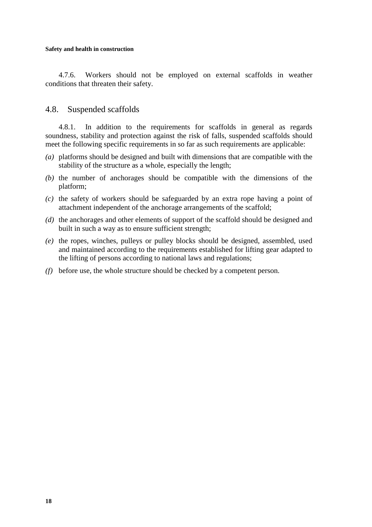<span id="page-29-0"></span>4.7.6. Workers should not be employed on external scaffolds in weather conditions that threaten their safety.

# 4.8. Suspended scaffolds

4.8.1. In addition to the requirements for scaffolds in general as regards soundness, stability and protection against the risk of falls, suspended scaffolds should meet the following specific requirements in so far as such requirements are applicable:

- *(a)* platforms should be designed and built with dimensions that are compatible with the stability of the structure as a whole, especially the length;
- *(b)* the number of anchorages should be compatible with the dimensions of the platform;
- *(c)* the safety of workers should be safeguarded by an extra rope having a point of attachment independent of the anchorage arrangements of the scaffold;
- *(d)* the anchorages and other elements of support of the scaffold should be designed and built in such a way as to ensure sufficient strength;
- *(e)* the ropes, winches, pulleys or pulley blocks should be designed, assembled, used and maintained according to the requirements established for lifting gear adapted to the lifting of persons according to national laws and regulations;
- *(f)* before use, the whole structure should be checked by a competent person.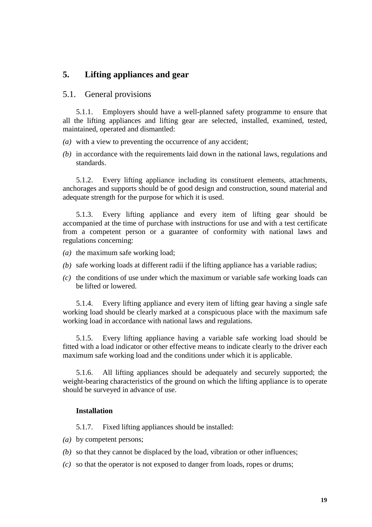# <span id="page-30-0"></span>**5. Lifting appliances and gear**

# 5.1. General provisions

5.1.1. Employers should have a well-planned safety programme to ensure that all the lifting appliances and lifting gear are selected, installed, examined, tested, maintained, operated and dismantled:

- *(a)* with a view to preventing the occurrence of any accident;
- *(b)* in accordance with the requirements laid down in the national laws, regulations and standards.

5.1.2. Every lifting appliance including its constituent elements, attachments, anchorages and supports should be of good design and construction, sound material and adequate strength for the purpose for which it is used.

5.1.3. Every lifting appliance and every item of lifting gear should be accompanied at the time of purchase with instructions for use and with a test certificate from a competent person or a guarantee of conformity with national laws and regulations concerning:

- *(a)* the maximum safe working load;
- *(b)* safe working loads at different radii if the lifting appliance has a variable radius;
- *(c)* the conditions of use under which the maximum or variable safe working loads can be lifted or lowered.

5.1.4. Every lifting appliance and every item of lifting gear having a single safe working load should be clearly marked at a conspicuous place with the maximum safe working load in accordance with national laws and regulations.

5.1.5. Every lifting appliance having a variable safe working load should be fitted with a load indicator or other effective means to indicate clearly to the driver each maximum safe working load and the conditions under which it is applicable.

5.1.6. All lifting appliances should be adequately and securely supported; the weight-bearing characteristics of the ground on which the lifting appliance is to operate should be surveyed in advance of use.

# **Installation**

5.1.7. Fixed lifting appliances should be installed:

- *(a)* by competent persons;
- *(b)* so that they cannot be displaced by the load, vibration or other influences;
- *(c)* so that the operator is not exposed to danger from loads, ropes or drums;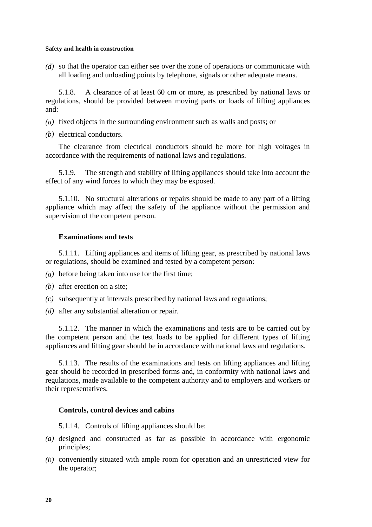*(d)* so that the operator can either see over the zone of operations or communicate with all loading and unloading points by telephone, signals or other adequate means.

5.1.8. A clearance of at least 60 cm or more, as prescribed by national laws or regulations, should be provided between moving parts or loads of lifting appliances and:

- *(a)* fixed objects in the surrounding environment such as walls and posts; or
- *(b)* electrical conductors.

The clearance from electrical conductors should be more for high voltages in accordance with the requirements of national laws and regulations.

5.1.9. The strength and stability of lifting appliances should take into account the effect of any wind forces to which they may be exposed.

5.1.10. No structural alterations or repairs should be made to any part of a lifting appliance which may affect the safety of the appliance without the permission and supervision of the competent person.

### **Examinations and tests**

5.1.11. Lifting appliances and items of lifting gear, as prescribed by national laws or regulations, should be examined and tested by a competent person:

*(a)* before being taken into use for the first time;

- *(b)* after erection on a site;
- *(c)* subsequently at intervals prescribed by national laws and regulations;
- *(d)* after any substantial alteration or repair.

5.1.12. The manner in which the examinations and tests are to be carried out by the competent person and the test loads to be applied for different types of lifting appliances and lifting gear should be in accordance with national laws and regulations.

5.1.13. The results of the examinations and tests on lifting appliances and lifting gear should be recorded in prescribed forms and, in conformity with national laws and regulations, made available to the competent authority and to employers and workers or their representatives.

#### **Controls, control devices and cabins**

5.1.14. Controls of lifting appliances should be:

- *(a)* designed and constructed as far as possible in accordance with ergonomic principles;
- *(b)* conveniently situated with ample room for operation and an unrestricted view for the operator;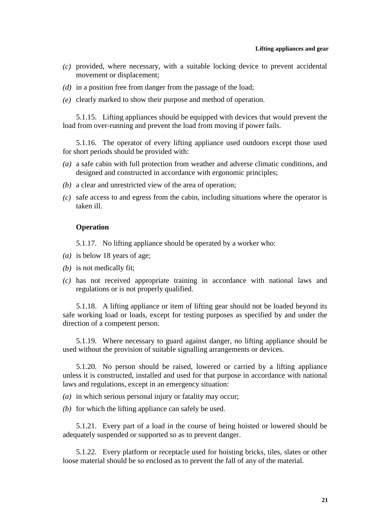- *(c)* provided, where necessary, with a suitable locking device to prevent accidental movement or displacement;
- *(d)* in a position free from danger from the passage of the load;
- *(e)* clearly marked to show their purpose and method of operation.

5.1.15. Lifting appliances should be equipped with devices that would prevent the load from over-running and prevent the load from moving if power fails.

5.1.16. The operator of every lifting appliance used outdoors except those used for short periods should be provided with:

- *(a)* a safe cabin with full protection from weather and adverse climatic conditions, and designed and constructed in accordance with ergonomic principles;
- *(b)* a clear and unrestricted view of the area of operation;
- *(c)* safe access to and egress from the cabin, including situations where the operator is taken ill.

#### **Operation**

5.1.17. No lifting appliance should be operated by a worker who:

- *(a)* is below 18 years of age;
- *(b)* is not medically fit;
- *(c)* has not received appropriate training in accordance with national laws and regulations or is not properly qualified.

5.1.18. A lifting appliance or item of lifting gear should not be loaded beyond its safe working load or loads, except for testing purposes as specified by and under the direction of a competent person.

5.1.19. Where necessary to guard against danger, no lifting appliance should be used without the provision of suitable signalling arrangements or devices.

5.1.20. No person should be raised, lowered or carried by a lifting appliance unless it is constructed, installed and used for that purpose in accordance with national laws and regulations, except in an emergency situation:

*(a)* in which serious personal injury or fatality may occur;

*(b)* for which the lifting appliance can safely be used.

5.1.21. Every part of a load in the course of being hoisted or lowered should be adequately suspended or supported so as to prevent danger.

5.1.22. Every platform or receptacle used for hoisting bricks, tiles, slates or other loose material should be so enclosed as to prevent the fall of any of the material.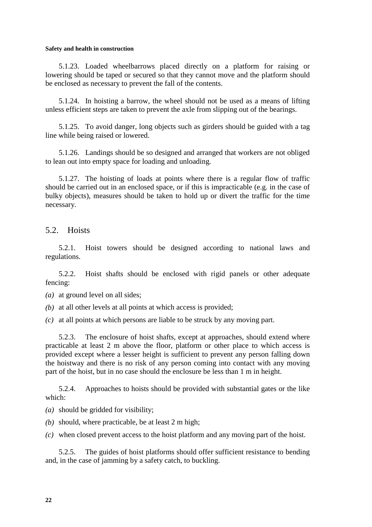<span id="page-33-0"></span>5.1.23. Loaded wheelbarrows placed directly on a platform for raising or lowering should be taped or secured so that they cannot move and the platform should be enclosed as necessary to prevent the fall of the contents.

5.1.24. In hoisting a barrow, the wheel should not be used as a means of lifting unless efficient steps are taken to prevent the axle from slipping out of the bearings.

5.1.25. To avoid danger, long objects such as girders should be guided with a tag line while being raised or lowered.

5.1.26. Landings should be so designed and arranged that workers are not obliged to lean out into empty space for loading and unloading.

5.1.27. The hoisting of loads at points where there is a regular flow of traffic should be carried out in an enclosed space, or if this is impracticable (e.g. in the case of bulky objects), measures should be taken to hold up or divert the traffic for the time necessary.

# 5.2. Hoists

5.2.1. Hoist towers should be designed according to national laws and regulations.

5.2.2. Hoist shafts should be enclosed with rigid panels or other adequate fencing:

*(a)* at ground level on all sides;

*(b)* at all other levels at all points at which access is provided;

*(c)* at all points at which persons are liable to be struck by any moving part.

5.2.3. The enclosure of hoist shafts, except at approaches, should extend where practicable at least 2 m above the floor, platform or other place to which access is provided except where a lesser height is sufficient to prevent any person falling down the hoistway and there is no risk of any person coming into contact with any moving part of the hoist, but in no case should the enclosure be less than 1 m in height.

5.2.4. Approaches to hoists should be provided with substantial gates or the like which:

*(a)* should be gridded for visibility;

*(b)* should, where practicable, be at least 2 m high;

*(c)* when closed prevent access to the hoist platform and any moving part of the hoist.

5.2.5. The guides of hoist platforms should offer sufficient resistance to bending and, in the case of jamming by a safety catch, to buckling.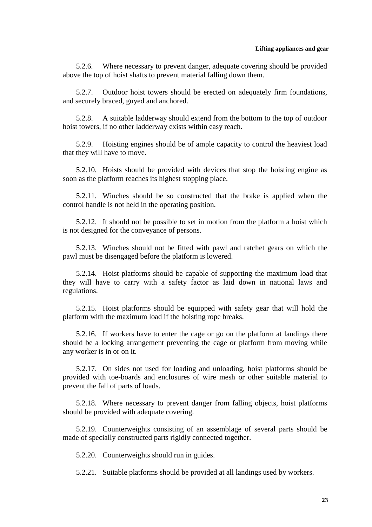5.2.6. Where necessary to prevent danger, adequate covering should be provided above the top of hoist shafts to prevent material falling down them.

5.2.7. Outdoor hoist towers should be erected on adequately firm foundations, and securely braced, guyed and anchored.

5.2.8. A suitable ladderway should extend from the bottom to the top of outdoor hoist towers, if no other ladderway exists within easy reach.

5.2.9. Hoisting engines should be of ample capacity to control the heaviest load that they will have to move.

5.2.10. Hoists should be provided with devices that stop the hoisting engine as soon as the platform reaches its highest stopping place.

5.2.11. Winches should be so constructed that the brake is applied when the control handle is not held in the operating position.

5.2.12. It should not be possible to set in motion from the platform a hoist which is not designed for the conveyance of persons.

5.2.13. Winches should not be fitted with pawl and ratchet gears on which the pawl must be disengaged before the platform is lowered.

5.2.14. Hoist platforms should be capable of supporting the maximum load that they will have to carry with a safety factor as laid down in national laws and regulations.

5.2.15. Hoist platforms should be equipped with safety gear that will hold the platform with the maximum load if the hoisting rope breaks.

5.2.16. If workers have to enter the cage or go on the platform at landings there should be a locking arrangement preventing the cage or platform from moving while any worker is in or on it.

5.2.17. On sides not used for loading and unloading, hoist platforms should be provided with toe-boards and enclosures of wire mesh or other suitable material to prevent the fall of parts of loads.

5.2.18. Where necessary to prevent danger from falling objects, hoist platforms should be provided with adequate covering.

5.2.19. Counterweights consisting of an assemblage of several parts should be made of specially constructed parts rigidly connected together.

5.2.20. Counterweights should run in guides.

5.2.21. Suitable platforms should be provided at all landings used by workers.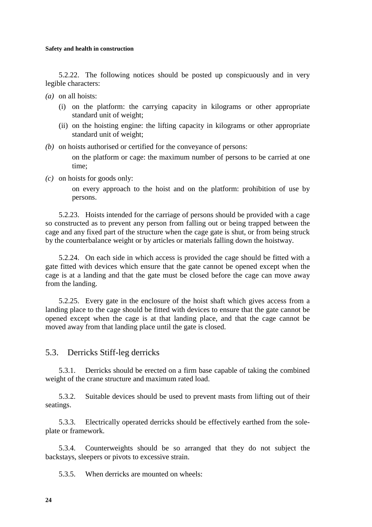<span id="page-35-0"></span>5.2.22. The following notices should be posted up conspicuously and in very legible characters:

*(a)* on all hoists:

- (i) on the platform: the carrying capacity in kilograms or other appropriate standard unit of weight;
- (ii) on the hoisting engine: the lifting capacity in kilograms or other appropriate standard unit of weight;
- *(b)* on hoists authorised or certified for the conveyance of persons:

on the platform or cage: the maximum number of persons to be carried at one time;

*(c)* on hoists for goods only:

on every approach to the hoist and on the platform: prohibition of use by persons.

5.2.23. Hoists intended for the carriage of persons should be provided with a cage so constructed as to prevent any person from falling out or being trapped between the cage and any fixed part of the structure when the cage gate is shut, or from being struck by the counterbalance weight or by articles or materials falling down the hoistway.

5.2.24. On each side in which access is provided the cage should be fitted with a gate fitted with devices which ensure that the gate cannot be opened except when the cage is at a landing and that the gate must be closed before the cage can move away from the landing.

5.2.25. Every gate in the enclosure of the hoist shaft which gives access from a landing place to the cage should be fitted with devices to ensure that the gate cannot be opened except when the cage is at that landing place, and that the cage cannot be moved away from that landing place until the gate is closed.

### 5.3. Derricks Stiff-leg derricks

5.3.1. Derricks should be erected on a firm base capable of taking the combined weight of the crane structure and maximum rated load.

5.3.2. Suitable devices should be used to prevent masts from lifting out of their seatings.

5.3.3. Electrically operated derricks should be effectively earthed from the soleplate or framework.

5.3.4. Counterweights should be so arranged that they do not subject the backstays, sleepers or pivots to excessive strain.

5.3.5. When derricks are mounted on wheels: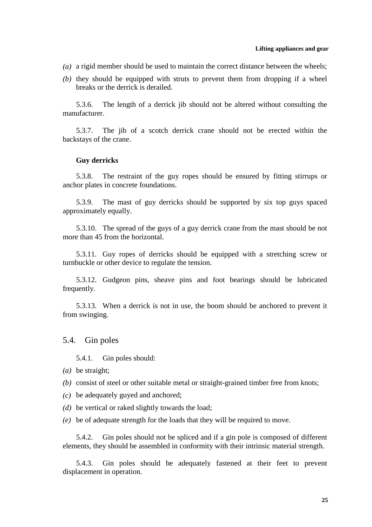- *(a)* a rigid member should be used to maintain the correct distance between the wheels;
- *(b)* they should be equipped with struts to prevent them from dropping if a wheel breaks or the derrick is derailed.

5.3.6. The length of a derrick jib should not be altered without consulting the manufacturer.

5.3.7. The jib of a scotch derrick crane should not be erected within the backstays of the crane.

### **Guy derricks**

5.3.8. The restraint of the guy ropes should be ensured by fitting stirrups or anchor plates in concrete foundations.

5.3.9. The mast of guy derricks should be supported by six top guys spaced approximately equally.

5.3.10. The spread of the guys of a guy derrick crane from the mast should be not more than 45 from the horizontal.

5.3.11. Guy ropes of derricks should be equipped with a stretching screw or turnbuckle or other device to regulate the tension.

5.3.12. Gudgeon pins, sheave pins and foot bearings should be lubricated frequently.

5.3.13. When a derrick is not in use, the boom should be anchored to prevent it from swinging.

## 5.4. Gin poles

#### 5.4.1. Gin poles should:

*(a)* be straight;

*(b)* consist of steel or other suitable metal or straight-grained timber free from knots;

- *(c)* be adequately guyed and anchored;
- *(d)* be vertical or raked slightly towards the load;
- *(e)* be of adequate strength for the loads that they will be required to move.

5.4.2. Gin poles should not be spliced and if a gin pole is composed of different elements, they should be assembled in conformity with their intrinsic material strength.

5.4.3. Gin poles should be adequately fastened at their feet to prevent displacement in operation.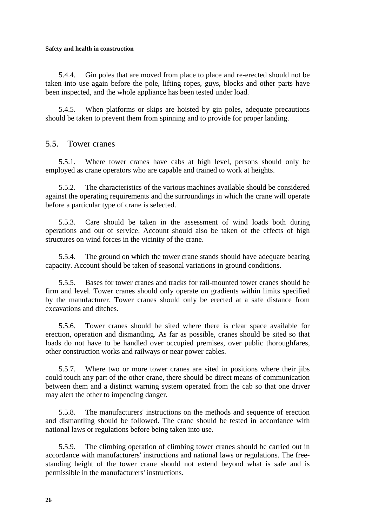5.4.4. Gin poles that are moved from place to place and re-erected should not be taken into use again before the pole, lifting ropes, guys, blocks and other parts have been inspected, and the whole appliance has been tested under load.

5.4.5. When platforms or skips are hoisted by gin poles, adequate precautions should be taken to prevent them from spinning and to provide for proper landing.

## 5.5. Tower cranes

5.5.1. Where tower cranes have cabs at high level, persons should only be employed as crane operators who are capable and trained to work at heights.

5.5.2. The characteristics of the various machines available should be considered against the operating requirements and the surroundings in which the crane will operate before a particular type of crane is selected.

5.5.3. Care should be taken in the assessment of wind loads both during operations and out of service. Account should also be taken of the effects of high structures on wind forces in the vicinity of the crane.

5.5.4. The ground on which the tower crane stands should have adequate bearing capacity. Account should be taken of seasonal variations in ground conditions.

5.5.5. Bases for tower cranes and tracks for rail-mounted tower cranes should be firm and level. Tower cranes should only operate on gradients within limits specified by the manufacturer. Tower cranes should only be erected at a safe distance from excavations and ditches.

5.5.6. Tower cranes should be sited where there is clear space available for erection, operation and dismantling. As far as possible, cranes should be sited so that loads do not have to be handled over occupied premises, over public thoroughfares, other construction works and railways or near power cables.

5.5.7. Where two or more tower cranes are sited in positions where their jibs could touch any part of the other crane, there should be direct means of communication between them and a distinct warning system operated from the cab so that one driver may alert the other to impending danger.

5.5.8. The manufacturers' instructions on the methods and sequence of erection and dismantling should be followed. The crane should be tested in accordance with national laws or regulations before being taken into use.

5.5.9. The climbing operation of climbing tower cranes should be carried out in accordance with manufacturers' instructions and national laws or regulations. The freestanding height of the tower crane should not extend beyond what is safe and is permissible in the manufacturers' instructions.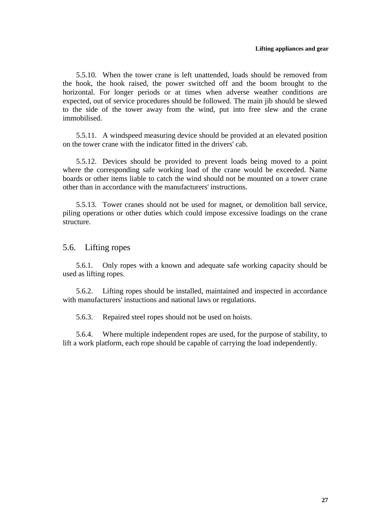5.5.10. When the tower crane is left unattended, loads should be removed from the hook, the hook raised, the power switched off and the boom brought to the horizontal. For longer periods or at times when adverse weather conditions are expected, out of service procedures should be followed. The main jib should be slewed to the side of the tower away from the wind, put into free slew and the crane immobilised.

5.5.11. A windspeed measuring device should be provided at an elevated position on the tower crane with the indicator fitted in the drivers' cab.

5.5.12. Devices should be provided to prevent loads being moved to a point where the corresponding safe working load of the crane would be exceeded. Name boards or other items liable to catch the wind should not be mounted on a tower crane other than in accordance with the manufacturers' instructions.

5.5.13. Tower cranes should not be used for magnet, or demolition ball service, piling operations or other duties which could impose excessive loadings on the crane structure.

## 5.6. Lifting ropes

5.6.1. Only ropes with a known and adequate safe working capacity should be used as lifting ropes.

5.6.2. Lifting ropes should be installed, maintained and inspected in accordance with manufacturers' instuctions and national laws or regulations.

5.6.3. Repaired steel ropes should not be used on hoists.

5.6.4. Where multiple independent ropes are used, for the purpose of stability, to lift a work platform, each rope should be capable of carrying the load independently.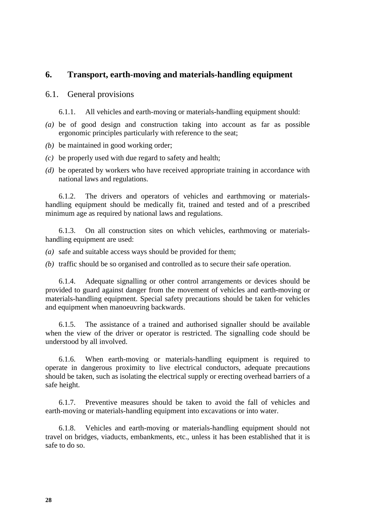# **6. Transport, earth-moving and materials-handling equipment**

## 6.1. General provisions

## 6.1.1. All vehicles and earth-moving or materials-handling equipment should:

- *(a)* be of good design and construction taking into account as far as possible ergonomic principles particularly with reference to the seat;
- *(b)* be maintained in good working order;
- *(c)* be properly used with due regard to safety and health;
- *(d)* be operated by workers who have received appropriate training in accordance with national laws and regulations.

6.1.2. The drivers and operators of vehicles and earthmoving or materialshandling equipment should be medically fit, trained and tested and of a prescribed minimum age as required by national laws and regulations.

6.1.3. On all construction sites on which vehicles, earthmoving or materialshandling equipment are used:

*(a)* safe and suitable access ways should be provided for them;

*(b)* traffic should be so organised and controlled as to secure their safe operation.

6.1.4. Adequate signalling or other control arrangements or devices should be provided to guard against danger from the movement of vehicles and earth-moving or materials-handling equipment. Special safety precautions should be taken for vehicles and equipment when manoeuvring backwards.

6.1.5. The assistance of a trained and authorised signaller should be available when the view of the driver or operator is restricted. The signalling code should be understood by all involved.

6.1.6. When earth-moving or materials-handling equipment is required to operate in dangerous proximity to live electrical conductors, adequate precautions should be taken, such as isolating the electrical supply or erecting overhead barriers of a safe height.

6.1.7. Preventive measures should be taken to avoid the fall of vehicles and earth-moving or materials-handling equipment into excavations or into water.

6.1.8. Vehicles and earth-moving or materials-handling equipment should not travel on bridges, viaducts, embankments, etc., unless it has been established that it is safe to do so.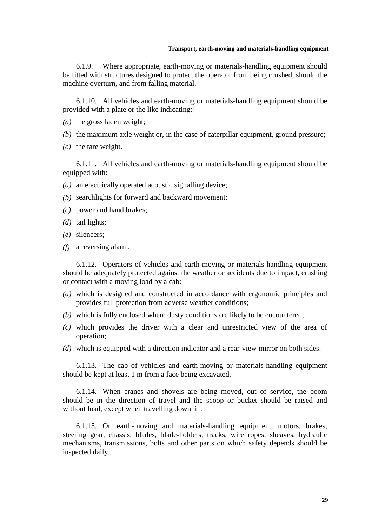#### **Transport, earth-moving and materials-handling equipment**

6.1.9. Where appropriate, earth-moving or materials-handling equipment should be fitted with structures designed to protect the operator from being crushed, should the machine overturn, and from falling material.

6.1.10. All vehicles and earth-moving or materials-handling equipment should be provided with a plate or the like indicating:

- *(a)* the gross laden weight;
- *(b)* the maximum axle weight or, in the case of caterpillar equipment, ground pressure;
- *(c)* the tare weight.

6.1.11. All vehicles and earth-moving or materials-handling equipment should be equipped with:

- *(a)* an electrically operated acoustic signalling device;
- *(b)* searchlights for forward and backward movement;
- *(c)* power and hand brakes;
- *(d)* tail lights;
- *(e)* silencers;
- *(f)* a reversing alarm.

6.1.12. Operators of vehicles and earth-moving or materials-handling equipment should be adequately protected against the weather or accidents due to impact, crushing or contact with a moving load by a cab:

- *(a)* which is designed and constructed in accordance with ergonomic principles and provides full protection from adverse weather conditions;
- *(b)* which is fully enclosed where dusty conditions are likely to be encountered;
- *(c)* which provides the driver with a clear and unrestricted view of the area of operation;
- *(d)* which is equipped with a direction indicator and a rear-view mirror on both sides.

6.1.13. The cab of vehicles and earth-moving or materials-handling equipment should be kept at least 1 m from a face being excavated.

6.1.14. When cranes and shovels are being moved, out of service, the boom should be in the direction of travel and the scoop or bucket should be raised and without load, except when travelling downhill.

6.1.15. On earth-moving and materials-handling equipment, motors, brakes, steering gear, chassis, blades, blade-holders, tracks, wire ropes, sheaves, hydraulic mechanisms, transmissions, bolts and other parts on which safety depends should be inspected daily.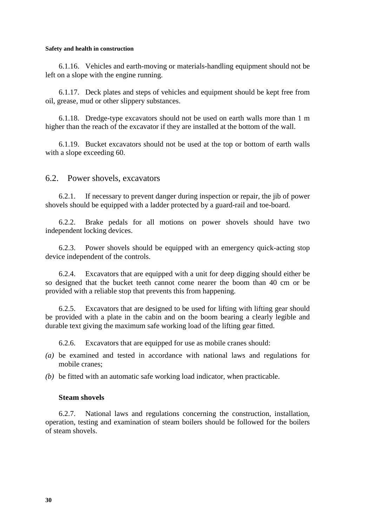6.1.16. Vehicles and earth-moving or materials-handling equipment should not be left on a slope with the engine running.

6.1.17. Deck plates and steps of vehicles and equipment should be kept free from oil, grease, mud or other slippery substances.

6.1.18. Dredge-type excavators should not be used on earth walls more than 1 m higher than the reach of the excavator if they are installed at the bottom of the wall.

6.1.19. Bucket excavators should not be used at the top or bottom of earth walls with a slope exceeding 60.

## 6.2. Power shovels, excavators

6.2.1. If necessary to prevent danger during inspection or repair, the jib of power shovels should be equipped with a ladder protected by a guard-rail and toe-board.

6.2.2. Brake pedals for all motions on power shovels should have two independent locking devices.

6.2.3. Power shovels should be equipped with an emergency quick-acting stop device independent of the controls.

6.2.4. Excavators that are equipped with a unit for deep digging should either be so designed that the bucket teeth cannot come nearer the boom than 40 cm or be provided with a reliable stop that prevents this from happening.

6.2.5. Excavators that are designed to be used for lifting with lifting gear should be provided with a plate in the cabin and on the boom bearing a clearly legible and durable text giving the maximum safe working load of the lifting gear fitted.

6.2.6. Excavators that are equipped for use as mobile cranes should:

*(a)* be examined and tested in accordance with national laws and regulations for mobile cranes;

*(b)* be fitted with an automatic safe working load indicator, when practicable.

## **Steam shovels**

6.2.7. National laws and regulations concerning the construction, installation, operation, testing and examination of steam boilers should be followed for the boilers of steam shovels.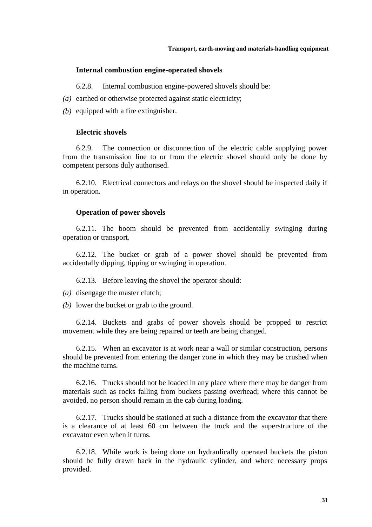#### **Internal combustion engine-operated shovels**

6.2.8. Internal combustion engine-powered shovels should be:

- *(a)* earthed or otherwise protected against static electricity;
- *(b)* equipped with a fire extinguisher.

### **Electric shovels**

6.2.9. The connection or disconnection of the electric cable supplying power from the transmission line to or from the electric shovel should only be done by competent persons duly authorised.

6.2.10. Electrical connectors and relays on the shovel should be inspected daily if in operation.

### **Operation of power shovels**

6.2.11. The boom should be prevented from accidentally swinging during operation or transport.

6.2.12. The bucket or grab of a power shovel should be prevented from accidentally dipping, tipping or swinging in operation.

6.2.13. Before leaving the shovel the operator should:

- *(a)* disengage the master clutch;
- *(b)* lower the bucket or grab to the ground.

6.2.14. Buckets and grabs of power shovels should be propped to restrict movement while they are being repaired or teeth are being changed.

6.2.15. When an excavator is at work near a wall or similar construction, persons should be prevented from entering the danger zone in which they may be crushed when the machine turns.

6.2.16. Trucks should not be loaded in any place where there may be danger from materials such as rocks falling from buckets passing overhead; where this cannot be avoided, no person should remain in the cab during loading.

6.2.17. Trucks should be stationed at such a distance from the excavator that there is a clearance of at least 60 cm between the truck and the superstructure of the excavator even when it turns.

6.2.18. While work is being done on hydraulically operated buckets the piston should be fully drawn back in the hydraulic cylinder, and where necessary props provided.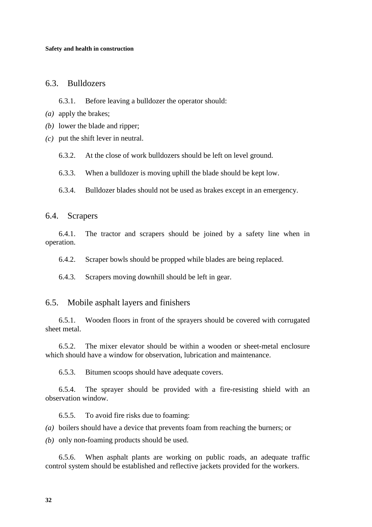## 6.3. Bulldozers

- 6.3.1. Before leaving a bulldozer the operator should:
- *(a)* apply the brakes;
- *(b)* lower the blade and ripper;
- *(c)* put the shift lever in neutral.
	- 6.3.2. At the close of work bulldozers should be left on level ground.
	- 6.3.3. When a bulldozer is moving uphill the blade should be kept low.
	- 6.3.4. Bulldozer blades should not be used as brakes except in an emergency.

# 6.4. Scrapers

6.4.1. The tractor and scrapers should be joined by a safety line when in operation.

- 6.4.2. Scraper bowls should be propped while blades are being replaced.
- 6.4.3. Scrapers moving downhill should be left in gear.

## 6.5. Mobile asphalt layers and finishers

6.5.1. Wooden floors in front of the sprayers should be covered with corrugated sheet metal.

6.5.2. The mixer elevator should be within a wooden or sheet-metal enclosure which should have a window for observation, lubrication and maintenance.

6.5.3. Bitumen scoops should have adequate covers.

6.5.4. The sprayer should be provided with a fire-resisting shield with an observation window.

6.5.5. To avoid fire risks due to foaming:

*(a)* boilers should have a device that prevents foam from reaching the burners; or

*(b)* only non-foaming products should be used.

6.5.6. When asphalt plants are working on public roads, an adequate traffic control system should be established and reflective jackets provided for the workers.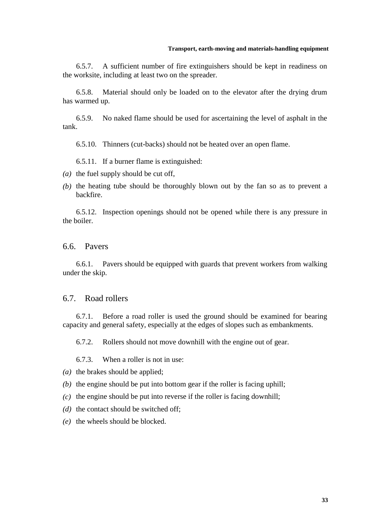### **Transport, earth-moving and materials-handling equipment**

6.5.7. A sufficient number of fire extinguishers should be kept in readiness on the worksite, including at least two on the spreader.

6.5.8. Material should only be loaded on to the elevator after the drying drum has warmed up.

6.5.9. No naked flame should be used for ascertaining the level of asphalt in the tank.

6.5.10. Thinners (cut-backs) should not be heated over an open flame.

6.5.11. If a burner flame is extinguished:

- *(a)* the fuel supply should be cut off,
- *(b)* the heating tube should be thoroughly blown out by the fan so as to prevent a backfire.

6.5.12. Inspection openings should not be opened while there is any pressure in the boiler.

6.6. Pavers

6.6.1. Pavers should be equipped with guards that prevent workers from walking under the skip.

# 6.7. Road rollers

6.7.1. Before a road roller is used the ground should be examined for bearing capacity and general safety, especially at the edges of slopes such as embankments.

6.7.2. Rollers should not move downhill with the engine out of gear.

6.7.3. When a roller is not in use:

- *(a)* the brakes should be applied;
- *(b)* the engine should be put into bottom gear if the roller is facing uphill;
- *(c)* the engine should be put into reverse if the roller is facing downhill;
- *(d)* the contact should be switched off;
- *(e)* the wheels should be blocked.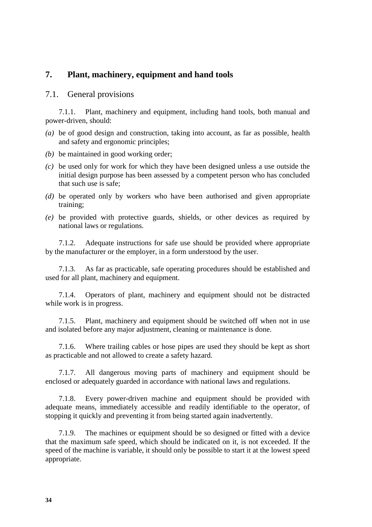# **7. Plant, machinery, equipment and hand tools**

## 7.1. General provisions

7.1.1. Plant, machinery and equipment, including hand tools, both manual and power-driven, should:

- *(a)* be of good design and construction, taking into account, as far as possible, health and safety and ergonomic principles;
- *(b)* be maintained in good working order;
- *(c)* be used only for work for which they have been designed unless a use outside the initial design purpose has been assessed by a competent person who has concluded that such use is safe;
- *(d)* be operated only by workers who have been authorised and given appropriate training;
- *(e)* be provided with protective guards, shields, or other devices as required by national laws or regulations.

7.1.2. Adequate instructions for safe use should be provided where appropriate by the manufacturer or the employer, in a form understood by the user.

7.1.3. As far as practicable, safe operating procedures should be established and used for all plant, machinery and equipment.

7.1.4. Operators of plant, machinery and equipment should not be distracted while work is in progress.

7.1.5. Plant, machinery and equipment should be switched off when not in use and isolated before any major adjustment, cleaning or maintenance is done.

7.1.6. Where trailing cables or hose pipes are used they should be kept as short as practicable and not allowed to create a safety hazard.

7.1.7. All dangerous moving parts of machinery and equipment should be enclosed or adequately guarded in accordance with national laws and regulations.

7.1.8. Every power-driven machine and equipment should be provided with adequate means, immediately accessible and readily identifiable to the operator, of stopping it quickly and preventing it from being started again inadvertently.

7.1.9. The machines or equipment should be so designed or fitted with a device that the maximum safe speed, which should be indicated on it, is not exceeded. If the speed of the machine is variable, it should only be possible to start it at the lowest speed appropriate.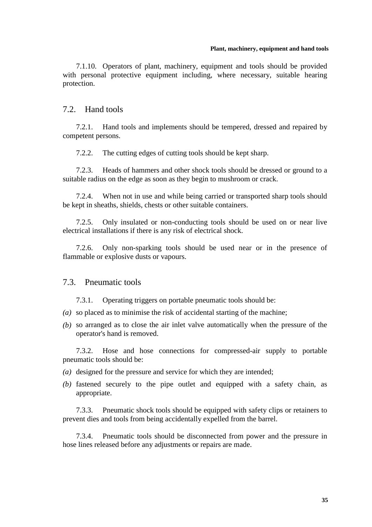#### **Plant, machinery, equipment and hand tools**

7.1.10. Operators of plant, machinery, equipment and tools should be provided with personal protective equipment including, where necessary, suitable hearing protection.

## 7.2. Hand tools

7.2.1. Hand tools and implements should be tempered, dressed and repaired by competent persons.

7.2.2. The cutting edges of cutting tools should be kept sharp.

7.2.3. Heads of hammers and other shock tools should be dressed or ground to a suitable radius on the edge as soon as they begin to mushroom or crack.

7.2.4. When not in use and while being carried or transported sharp tools should be kept in sheaths, shields, chests or other suitable containers.

7.2.5. Only insulated or non-conducting tools should be used on or near live electrical installations if there is any risk of electrical shock.

7.2.6. Only non-sparking tools should be used near or in the presence of flammable or explosive dusts or vapours.

### 7.3. Pneumatic tools

7.3.1. Operating triggers on portable pneumatic tools should be:

- *(a)* so placed as to minimise the risk of accidental starting of the machine;
- *(b)* so arranged as to close the air inlet valve automatically when the pressure of the operator's hand is removed.

7.3.2. Hose and hose connections for compressed-air supply to portable pneumatic tools should be:

- *(a)* designed for the pressure and service for which they are intended;
- *(b)* fastened securely to the pipe outlet and equipped with a safety chain, as appropriate.

7.3.3. Pneumatic shock tools should be equipped with safety clips or retainers to prevent dies and tools from being accidentally expelled from the barrel.

7.3.4. Pneumatic tools should be disconnected from power and the pressure in hose lines released before any adjustments or repairs are made.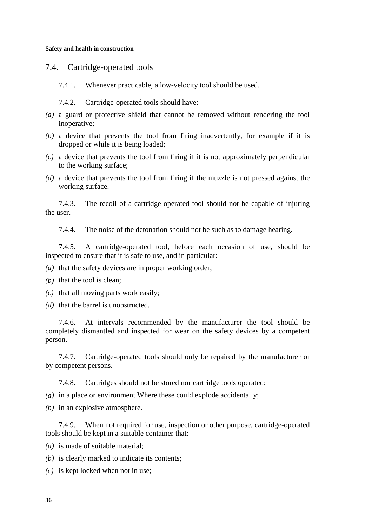7.4. Cartridge-operated tools

7.4.1. Whenever practicable, a low-velocity tool should be used.

7.4.2. Cartridge-operated tools should have:

- *(a)* a guard or protective shield that cannot be removed without rendering the tool inoperative;
- *(b)* a device that prevents the tool from firing inadvertently, for example if it is dropped or while it is being loaded;
- *(c)* a device that prevents the tool from firing if it is not approximately perpendicular to the working surface;
- *(d)* a device that prevents the tool from firing if the muzzle is not pressed against the working surface.

7.4.3. The recoil of a cartridge-operated tool should not be capable of injuring the user.

7.4.4. The noise of the detonation should not be such as to damage hearing.

7.4.5. A cartridge-operated tool, before each occasion of use, should be inspected to ensure that it is safe to use, and in particular:

*(a)* that the safety devices are in proper working order;

- *(b)* that the tool is clean;
- *(c)* that all moving parts work easily;
- *(d)* that the barrel is unobstructed.

7.4.6. At intervals recommended by the manufacturer the tool should be completely dismantled and inspected for wear on the safety devices by a competent person.

7.4.7. Cartridge-operated tools should only be repaired by the manufacturer or by competent persons.

7.4.8. Cartridges should not be stored nor cartridge tools operated:

*(a)* in a place or environment Where these could explode accidentally;

*(b)* in an explosive atmosphere.

7.4.9. When not required for use, inspection or other purpose, cartridge-operated tools should be kept in a suitable container that:

*(a)* is made of suitable material;

*(b)* is clearly marked to indicate its contents;

*(c)* is kept locked when not in use;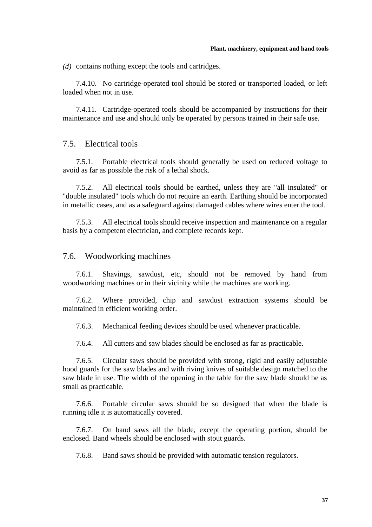#### **Plant, machinery, equipment and hand tools**

*(d)* contains nothing except the tools and cartridges.

7.4.10. No cartridge-operated tool should be stored or transported loaded, or left loaded when not in use.

7.4.11. Cartridge-operated tools should be accompanied by instructions for their maintenance and use and should only be operated by persons trained in their safe use.

## 7.5. Electrical tools

7.5.1. Portable electrical tools should generally be used on reduced voltage to avoid as far as possible the risk of a lethal shock.

7.5.2. All electrical tools should be earthed, unless they are "all insulated" or "double insulated" tools which do not require an earth. Earthing should be incorporated in metallic cases, and as a safeguard against damaged cables where wires enter the tool.

7.5.3. All electrical tools should receive inspection and maintenance on a regular basis by a competent electrician, and complete records kept.

## 7.6. Woodworking machines

7.6.1. Shavings, sawdust, etc, should not be removed by hand from woodworking machines or in their vicinity while the machines are working.

7.6.2. Where provided, chip and sawdust extraction systems should be maintained in efficient working order.

7.6.3. Mechanical feeding devices should be used whenever practicable.

7.6.4. All cutters and saw blades should be enclosed as far as practicable.

7.6.5. Circular saws should be provided with strong, rigid and easily adjustable hood guards for the saw blades and with riving knives of suitable design matched to the saw blade in use. The width of the opening in the table for the saw blade should be as small as practicable.

7.6.6. Portable circular saws should be so designed that when the blade is running idle it is automatically covered.

7.6.7. On band saws all the blade, except the operating portion, should be enclosed. Band wheels should be enclosed with stout guards.

7.6.8. Band saws should be provided with automatic tension regulators.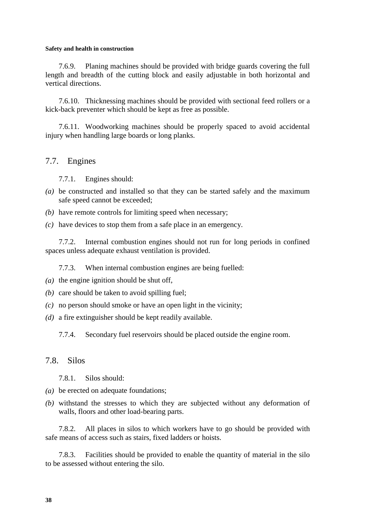7.6.9. Planing machines should be provided with bridge guards covering the full length and breadth of the cutting block and easily adjustable in both horizontal and vertical directions.

7.6.10. Thicknessing machines should be provided with sectional feed rollers or a kick-back preventer which should be kept as free as possible.

7.6.11. Woodworking machines should be properly spaced to avoid accidental injury when handling large boards or long planks.

## 7.7. Engines

7.7.1. Engines should:

- *(a)* be constructed and installed so that they can be started safely and the maximum safe speed cannot be exceeded;
- *(b)* have remote controls for limiting speed when necessary;
- *(c)* have devices to stop them from a safe place in an emergency.

7.7.2. Internal combustion engines should not run for long periods in confined spaces unless adequate exhaust ventilation is provided.

7.7.3. When internal combustion engines are being fuelled:

- *(a)* the engine ignition should be shut off,
- *(b)* care should be taken to avoid spilling fuel;
- *(c)* no person should smoke or have an open light in the vicinity;
- *(d)* a fire extinguisher should be kept readily available.
	- 7.7.4. Secondary fuel reservoirs should be placed outside the engine room.

# 7.8. Silos

- 7.8.1. Silos should:
- *(a)* be erected on adequate foundations;
- *(b)* withstand the stresses to which they are subjected without any deformation of walls, floors and other load-bearing parts.

7.8.2. All places in silos to which workers have to go should be provided with safe means of access such as stairs, fixed ladders or hoists.

7.8.3. Facilities should be provided to enable the quantity of material in the silo to be assessed without entering the silo.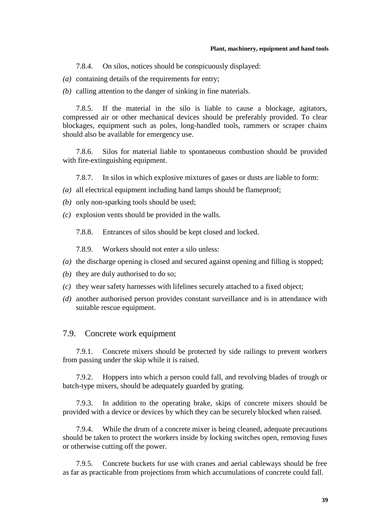#### **Plant, machinery, equipment and hand tools**

7.8.4. On silos, notices should be conspicuously displayed:

- *(a)* containing details of the requirements for entry;
- *(b)* calling attention to the danger of sinking in fine materials.

7.8.5. If the material in the silo is liable to cause a blockage, agitators, compressed air or other mechanical devices should be preferably provided. To clear blockages, equipment such as poles, long-handled tools, rammers or scraper chains should also be available for emergency use.

7.8.6. Silos for material liable to spontaneous combustion should be provided with fire-extinguishing equipment.

7.8.7. In silos in which explosive mixtures of gases or dusts are liable to form:

- *(a)* all electrical equipment including hand lamps should be flameproof;
- *(b)* only non-sparking tools should be used;
- *(c)* explosion vents should be provided in the walls.

7.8.8. Entrances of silos should be kept closed and locked.

7.8.9. Workers should not enter a silo unless:

- *(a)* the discharge opening is closed and secured against opening and filling is stopped;
- *(b)* they are duly authorised to do so;
- *(c)* they wear safety harnesses with lifelines securely attached to a fixed object;
- *(d)* another authorised person provides constant surveillance and is in attendance with suitable rescue equipment.

## 7.9. Concrete work equipment

7.9.1. Concrete mixers should be protected by side railings to prevent workers from passing under the skip while it is raised.

7.9.2. Hoppers into which a person could fall, and revolving blades of trough or batch-type mixers, should be adequately guarded by grating.

7.9.3. In addition to the operating brake, skips of concrete mixers should be provided with a device or devices by which they can be securely blocked when raised.

7.9.4. While the drum of a concrete mixer is being cleaned, adequate precautions should be taken to protect the workers inside by locking switches open, removing fuses or otherwise cutting off the power.

7.9.5. Concrete buckets for use with cranes and aerial cableways should be free as far as practicable from projections from which accumulations of concrete could fall.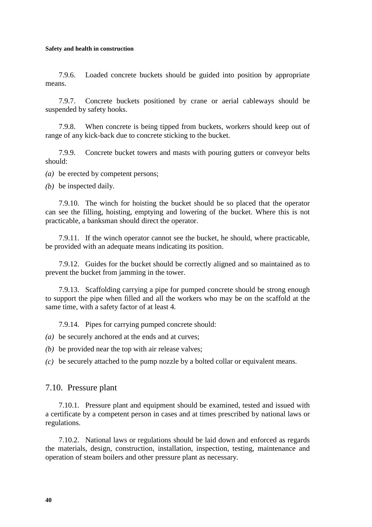7.9.6. Loaded concrete buckets should be guided into position by appropriate means.

7.9.7. Concrete buckets positioned by crane or aerial cableways should be suspended by safety hooks.

7.9.8. When concrete is being tipped from buckets, workers should keep out of range of any kick-back due to concrete sticking to the bucket.

7.9.9. Concrete bucket towers and masts with pouring gutters or conveyor belts should:

*(a)* be erected by competent persons;

*(b)* be inspected daily.

7.9.10. The winch for hoisting the bucket should be so placed that the operator can see the filling, hoisting, emptying and lowering of the bucket. Where this is not practicable, a banksman should direct the operator.

7.9.11. If the winch operator cannot see the bucket, he should, where practicable, be provided with an adequate means indicating its position.

7.9.12. Guides for the bucket should be correctly aligned and so maintained as to prevent the bucket from jamming in the tower.

7.9.13. Scaffolding carrying a pipe for pumped concrete should be strong enough to support the pipe when filled and all the workers who may be on the scaffold at the same time, with a safety factor of at least 4.

7.9.14. Pipes for carrying pumped concrete should:

*(a)* be securely anchored at the ends and at curves;

*(b)* be provided near the top with air release valves;

*(c)* be securely attached to the pump nozzle by a bolted collar or equivalent means.

## 7.10. Pressure plant

7.10.1. Pressure plant and equipment should be examined, tested and issued with a certificate by a competent person in cases and at times prescribed by national laws or regulations.

7.10.2. National laws or regulations should be laid down and enforced as regards the materials, design, construction, installation, inspection, testing, maintenance and operation of steam boilers and other pressure plant as necessary.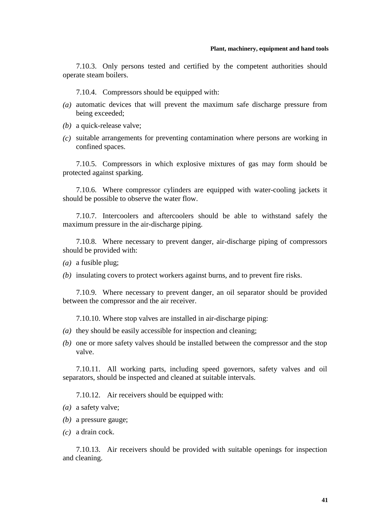#### **Plant, machinery, equipment and hand tools**

7.10.3. Only persons tested and certified by the competent authorities should operate steam boilers.

7.10.4. Compressors should be equipped with:

- *(a)* automatic devices that will prevent the maximum safe discharge pressure from being exceeded;
- *(b)* a quick-release valve;
- *(c)* suitable arrangements for preventing contamination where persons are working in confined spaces.

7.10.5. Compressors in which explosive mixtures of gas may form should be protected against sparking.

7.10.6. Where compressor cylinders are equipped with water-cooling jackets it should be possible to observe the water flow.

7.10.7. Intercoolers and aftercoolers should be able to withstand safely the maximum pressure in the air-discharge piping.

7.10.8. Where necessary to prevent danger, air-discharge piping of compressors should be provided with:

- *(a)* a fusible plug;
- *(b)* insulating covers to protect workers against burns, and to prevent fire risks.

7.10.9. Where necessary to prevent danger, an oil separator should be provided between the compressor and the air receiver.

7.10.10. Where stop valves are installed in air-discharge piping:

- *(a)* they should be easily accessible for inspection and cleaning;
- *(b)* one or more safety valves should be installed between the compressor and the stop valve.

7.10.11. All working parts, including speed governors, safety valves and oil separators, should be inspected and cleaned at suitable intervals.

7.10.12. Air receivers should be equipped with:

- *(a)* a safety valve;
- *(b)* a pressure gauge;
- *(c)* a drain cock.

7.10.13. Air receivers should be provided with suitable openings for inspection and cleaning.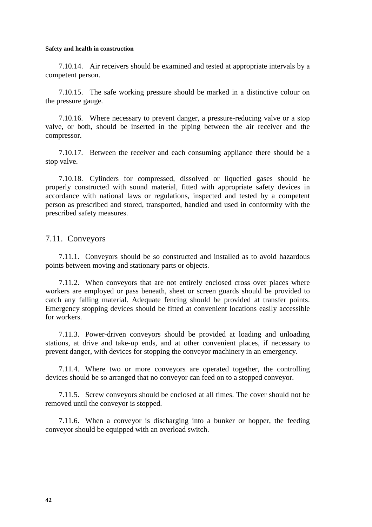7.10.14. Air receivers should be examined and tested at appropriate intervals by a competent person.

7.10.15. The safe working pressure should be marked in a distinctive colour on the pressure gauge.

7.10.16. Where necessary to prevent danger, a pressure-reducing valve or a stop valve, or both, should be inserted in the piping between the air receiver and the compressor.

7.10.17. Between the receiver and each consuming appliance there should be a stop valve.

7.10.18. Cylinders for compressed, dissolved or liquefied gases should be properly constructed with sound material, fitted with appropriate safety devices in accordance with national laws or regulations, inspected and tested by a competent person as prescribed and stored, transported, handled and used in conformity with the prescribed safety measures.

## 7.11. Conveyors

7.11.1. Conveyors should be so constructed and installed as to avoid hazardous points between moving and stationary parts or objects.

7.11.2. When conveyors that are not entirely enclosed cross over places where workers are employed or pass beneath, sheet or screen guards should be provided to catch any falling material. Adequate fencing should be provided at transfer points. Emergency stopping devices should be fitted at convenient locations easily accessible for workers.

7.11.3. Power-driven conveyors should be provided at loading and unloading stations, at drive and take-up ends, and at other convenient places, if necessary to prevent danger, with devices for stopping the conveyor machinery in an emergency.

7.11.4. Where two or more conveyors are operated together, the controlling devices should be so arranged that no conveyor can feed on to a stopped conveyor.

7.11.5. Screw conveyors should be enclosed at all times. The cover should not be removed until the conveyor is stopped.

7.11.6. When a conveyor is discharging into a bunker or hopper, the feeding conveyor should be equipped with an overload switch.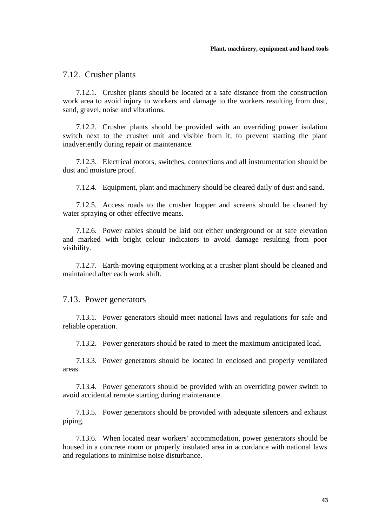## 7.12. Crusher plants

7.12.1. Crusher plants should be located at a safe distance from the construction work area to avoid injury to workers and damage to the workers resulting from dust, sand, gravel, noise and vibrations.

7.12.2. Crusher plants should be provided with an overriding power isolation switch next to the crusher unit and visible from it, to prevent starting the plant inadvertently during repair or maintenance.

7.12.3. Electrical motors, switches, connections and all instrumentation should be dust and moisture proof.

7.12.4. Equipment, plant and machinery should be cleared daily of dust and sand.

7.12.5. Access roads to the crusher hopper and screens should be cleaned by water spraying or other effective means.

7.12.6. Power cables should be laid out either underground or at safe elevation and marked with bright colour indicators to avoid damage resulting from poor visibility.

7.12.7. Earth-moving equipment working at a crusher plant should be cleaned and maintained after each work shift.

### 7.13. Power generators

7.13.1. Power generators should meet national laws and regulations for safe and reliable operation.

7.13.2. Power generators should be rated to meet the maximum anticipated load.

7.13.3. Power generators should be located in enclosed and properly ventilated areas.

7.13.4. Power generators should be provided with an overriding power switch to avoid accidental remote starting during maintenance.

7.13.5. Power generators should be provided with adequate silencers and exhaust piping.

7.13.6. When located near workers' accommodation, power generators should be housed in a concrete room or properly insulated area in accordance with national laws and regulations to minimise noise disturbance.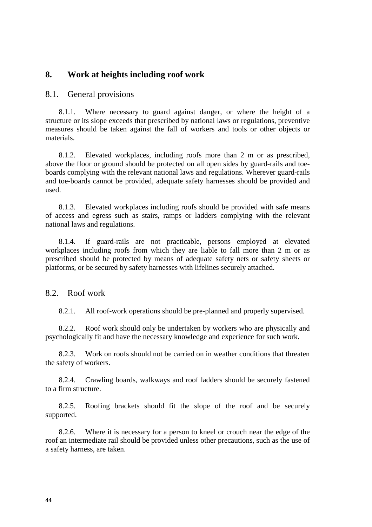# **8. Work at heights including roof work**

## 8.1. General provisions

8.1.1. Where necessary to guard against danger, or where the height of a structure or its slope exceeds that prescribed by national laws or regulations, preventive measures should be taken against the fall of workers and tools or other objects or materials.

8.1.2. Elevated workplaces, including roofs more than 2 m or as prescribed, above the floor or ground should be protected on all open sides by guard-rails and toeboards complying with the relevant national laws and regulations. Wherever guard-rails and toe-boards cannot be provided, adequate safety harnesses should be provided and used.

8.1.3. Elevated workplaces including roofs should be provided with safe means of access and egress such as stairs, ramps or ladders complying with the relevant national laws and regulations.

8.1.4. If guard-rails are not practicable, persons employed at elevated workplaces including roofs from which they are liable to fall more than 2 m or as prescribed should be protected by means of adequate safety nets or safety sheets or platforms, or be secured by safety harnesses with lifelines securely attached.

## 8.2. Roof work

8.2.1. All roof-work operations should be pre-planned and properly supervised.

8.2.2. Roof work should only be undertaken by workers who are physically and psychologically fit and have the necessary knowledge and experience for such work.

8.2.3. Work on roofs should not be carried on in weather conditions that threaten the safety of workers.

8.2.4. Crawling boards, walkways and roof ladders should be securely fastened to a firm structure.

8.2.5. Roofing brackets should fit the slope of the roof and be securely supported.

8.2.6. Where it is necessary for a person to kneel or crouch near the edge of the roof an intermediate rail should be provided unless other precautions, such as the use of a safety harness, are taken.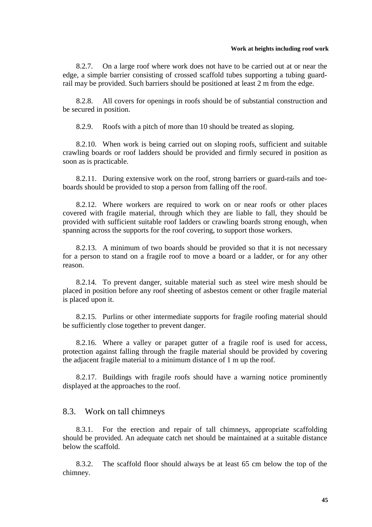### **Work at heights including roof work**

8.2.7. On a large roof where work does not have to be carried out at or near the edge, a simple barrier consisting of crossed scaffold tubes supporting a tubing guardrail may be provided. Such barriers should be positioned at least 2 m from the edge.

8.2.8. All covers for openings in roofs should be of substantial construction and be secured in position.

8.2.9. Roofs with a pitch of more than 10 should be treated as sloping.

8.2.10. When work is being carried out on sloping roofs, sufficient and suitable crawling boards or roof ladders should be provided and firmly secured in position as soon as is practicable.

8.2.11. During extensive work on the roof, strong barriers or guard-rails and toeboards should be provided to stop a person from falling off the roof.

8.2.12. Where workers are required to work on or near roofs or other places covered with fragile material, through which they are liable to fall, they should be provided with sufficient suitable roof ladders or crawling boards strong enough, when spanning across the supports for the roof covering, to support those workers.

8.2.13. A minimum of two boards should be provided so that it is not necessary for a person to stand on a fragile roof to move a board or a ladder, or for any other reason.

8.2.14. To prevent danger, suitable material such as steel wire mesh should be placed in position before any roof sheeting of asbestos cement or other fragile material is placed upon it.

8.2.15. Purlins or other intermediate supports for fragile roofing material should be sufficiently close together to prevent danger.

8.2.16. Where a valley or parapet gutter of a fragile roof is used for access, protection against falling through the fragile material should be provided by covering the adjacent fragile material to a minimum distance of 1 m up the roof.

8.2.17. Buildings with fragile roofs should have a warning notice prominently displayed at the approaches to the roof.

## 8.3. Work on tall chimneys

8.3.1. For the erection and repair of tall chimneys, appropriate scaffolding should be provided. An adequate catch net should be maintained at a suitable distance below the scaffold.

8.3.2. The scaffold floor should always be at least 65 cm below the top of the chimney.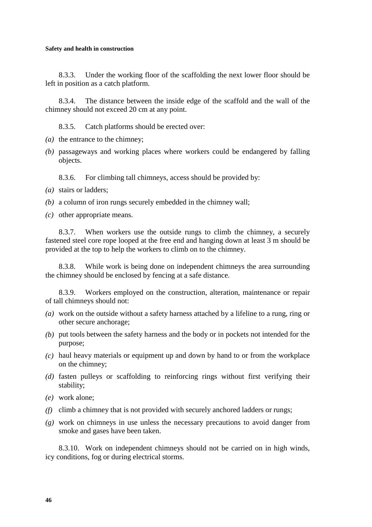8.3.3. Under the working floor of the scaffolding the next lower floor should be left in position as a catch platform.

8.3.4. The distance between the inside edge of the scaffold and the wall of the chimney should not exceed 20 cm at any point.

8.3.5. Catch platforms should be erected over:

- *(a)* the entrance to the chimney;
- *(b)* passageways and working places where workers could be endangered by falling objects.

8.3.6. For climbing tall chimneys, access should be provided by:

- *(a)* stairs or ladders;
- *(b)* a column of iron rungs securely embedded in the chimney wall;
- *(c)* other appropriate means.

8.3.7. When workers use the outside rungs to climb the chimney, a securely fastened steel core rope looped at the free end and hanging down at least 3 m should be provided at the top to help the workers to climb on to the chimney.

8.3.8. While work is being done on independent chimneys the area surrounding the chimney should be enclosed by fencing at a safe distance.

8.3.9. Workers employed on the construction, alteration, maintenance or repair of tall chimneys should not:

- *(a)* work on the outside without a safety harness attached by a lifeline to a rung, ring or other secure anchorage;
- *(b)* put tools between the safety harness and the body or in pockets not intended for the purpose;
- *(c)* haul heavy materials or equipment up and down by hand to or from the workplace on the chimney;
- *(d)* fasten pulleys or scaffolding to reinforcing rings without first verifying their stability;
- *(e)* work alone;
- *(f)* climb a chimney that is not provided with securely anchored ladders or rungs;
- *(g)* work on chimneys in use unless the necessary precautions to avoid danger from smoke and gases have been taken.

8.3.10. Work on independent chimneys should not be carried on in high winds, icy conditions, fog or during electrical storms.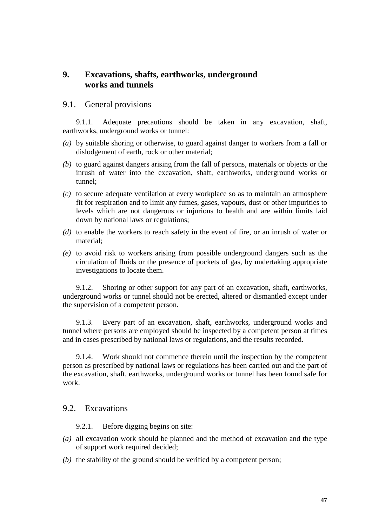# **9. Excavations, shafts, earthworks, underground works and tunnels**

# 9.1. General provisions

9.1.1. Adequate precautions should be taken in any excavation, shaft, earthworks, underground works or tunnel:

- *(a)* by suitable shoring or otherwise, to guard against danger to workers from a fall or dislodgement of earth, rock or other material;
- *(b)* to guard against dangers arising from the fall of persons, materials or objects or the inrush of water into the excavation, shaft, earthworks, underground works or tunnel;
- *(c)* to secure adequate ventilation at every workplace so as to maintain an atmosphere fit for respiration and to limit any fumes, gases, vapours, dust or other impurities to levels which are not dangerous or injurious to health and are within limits laid down by national laws or regulations;
- *(d)* to enable the workers to reach safety in the event of fire, or an inrush of water or material;
- *(e)* to avoid risk to workers arising from possible underground dangers such as the circulation of fluids or the presence of pockets of gas, by undertaking appropriate investigations to locate them.

9.1.2. Shoring or other support for any part of an excavation, shaft, earthworks, underground works or tunnel should not be erected, altered or dismantled except under the supervision of a competent person.

9.1.3. Every part of an excavation, shaft, earthworks, underground works and tunnel where persons are employed should be inspected by a competent person at times and in cases prescribed by national laws or regulations, and the results recorded.

9.1.4. Work should not commence therein until the inspection by the competent person as prescribed by national laws or regulations has been carried out and the part of the excavation, shaft, earthworks, underground works or tunnel has been found safe for work.

# 9.2. Excavations

9.2.1. Before digging begins on site:

- *(a)* all excavation work should be planned and the method of excavation and the type of support work required decided;
- *(b)* the stability of the ground should be verified by a competent person;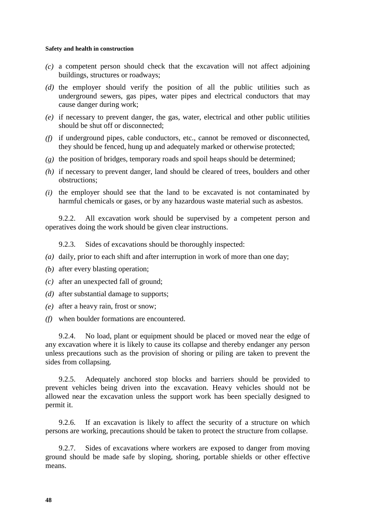- *(c)* a competent person should check that the excavation will not affect adjoining buildings, structures or roadways;
- *(d)* the employer should verify the position of all the public utilities such as underground sewers, gas pipes, water pipes and electrical conductors that may cause danger during work;
- *(e)* if necessary to prevent danger, the gas, water, electrical and other public utilities should be shut off or disconnected;
- *(f)* if underground pipes, cable conductors, etc., cannot be removed or disconnected, they should be fenced, hung up and adequately marked or otherwise protected;
- *(g)* the position of bridges, temporary roads and spoil heaps should be determined;
- *(h)* if necessary to prevent danger, land should be cleared of trees, boulders and other obstructions;
- *(i)* the employer should see that the land to be excavated is not contaminated by harmful chemicals or gases, or by any hazardous waste material such as asbestos.

9.2.2. All excavation work should be supervised by a competent person and operatives doing the work should be given clear instructions.

9.2.3. Sides of excavations should be thoroughly inspected:

- *(a)* daily, prior to each shift and after interruption in work of more than one day;
- *(b)* after every blasting operation;
- *(c)* after an unexpected fall of ground;
- *(d)* after substantial damage to supports;
- *(e)* after a heavy rain, frost or snow;
- *(f)* when boulder formations are encountered.

9.2.4. No load, plant or equipment should be placed or moved near the edge of any excavation where it is likely to cause its collapse and thereby endanger any person unless precautions such as the provision of shoring or piling are taken to prevent the sides from collapsing.

9.2.5. Adequately anchored stop blocks and barriers should be provided to prevent vehicles being driven into the excavation. Heavy vehicles should not be allowed near the excavation unless the support work has been specially designed to permit it.

9.2.6. If an excavation is likely to affect the security of a structure on which persons are working, precautions should be taken to protect the structure from collapse.

9.2.7. Sides of excavations where workers are exposed to danger from moving ground should be made safe by sloping, shoring, portable shields or other effective means.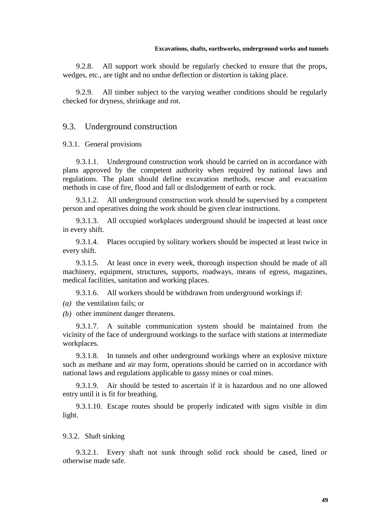#### **Excavations, shafts, earthworks, underground works and tunnels**

9.2.8. All support work should be regularly checked to ensure that the props, wedges, etc., are tight and no undue deflection or distortion is taking place.

9.2.9. All timber subject to the varying weather conditions should be regularly checked for dryness, shrinkage and rot.

## 9.3. Underground construction

9.3.1. General provisions

9.3.1.1. Underground construction work should be carried on in accordance with plans approved by the competent authority when required by national laws and regulations. The plant should define excavation methods, rescue and evacuation methods in case of fire, flood and fall or dislodgement of earth or rock.

9.3.1.2. All underground construction work should be supervised by a competent person and operatives doing the work should be given clear instructions.

9.3.1.3. All occupied workplaces underground should be inspected at least once in every shift.

9.3.1.4. Places occupied by solitary workers should be inspected at least twice in every shift.

9.3.1.5. At least once in every week, thorough inspection should be made of all machinery, equipment, structures, supports, roadways, means of egress, magazines, medical facilities, sanitation and working places.

9.3.1.6. All workers should be withdrawn from underground workings if:

*(a)* the ventilation fails; or

*(b)* other imminent danger threatens.

9.3.1.7. A suitable communication system should be maintained from the vicinity of the face of underground workings to the surface with stations at intermediate workplaces.

9.3.1.8. In tunnels and other underground workings where an explosive mixture such as methane and air may form, operations should be carried on in accordance with national laws and regulations applicable to gassy mines or coal mines.

9.3.1.9. Air should be tested to ascertain if it is hazardous and no one allowed entry until it is fit for breathing.

9.3.1.10. Escape routes should be properly indicated with signs visible in dim light.

### 9.3.2. Shaft sinking

9.3.2.1. Every shaft not sunk through solid rock should be cased, lined or otherwise made safe.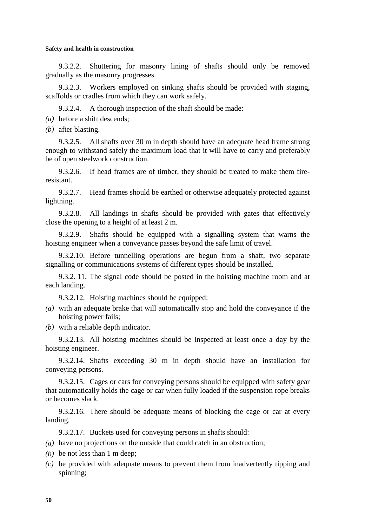9.3.2.2. Shuttering for masonry lining of shafts should only be removed gradually as the masonry progresses.

9.3.2.3. Workers employed on sinking shafts should be provided with staging, scaffolds or cradles from which they can work safely.

9.3.2.4. A thorough inspection of the shaft should be made:

*(a)* before a shift descends;

*(b)* after blasting.

9.3.2.5. All shafts over 30 m in depth should have an adequate head frame strong enough to withstand safely the maximum load that it will have to carry and preferably be of open steelwork construction.

9.3.2.6. If head frames are of timber, they should be treated to make them fireresistant.

9.3.2.7. Head frames should be earthed or otherwise adequately protected against lightning.

9.3.2.8. All landings in shafts should be provided with gates that effectively close the opening to a height of at least 2 m.

9.3.2.9. Shafts should be equipped with a signalling system that warns the hoisting engineer when a conveyance passes beyond the safe limit of travel.

9.3.2.10. Before tunnelling operations are begun from a shaft, two separate signalling or communications systems of different types should be installed.

9.3.2. 11. The signal code should be posted in the hoisting machine room and at each landing.

9.3.2.12. Hoisting machines should be equipped:

- *(a)* with an adequate brake that will automatically stop and hold the conveyance if the hoisting power fails;
- *(b)* with a reliable depth indicator.

9.3.2.13. All hoisting machines should be inspected at least once a day by the hoisting engineer.

9.3.2.14. Shafts exceeding 30 m in depth should have an installation for conveying persons.

9.3.2.15. Cages or cars for conveying persons should be equipped with safety gear that automatically holds the cage or car when fully loaded if the suspension rope breaks or becomes slack.

9.3.2.16. There should be adequate means of blocking the cage or car at every landing.

9.3.2.17. Buckets used for conveying persons in shafts should:

*(a)* have no projections on the outside that could catch in an obstruction;

- *(b)* be not less than 1 m deep;
- *(c)* be provided with adequate means to prevent them from inadvertently tipping and spinning;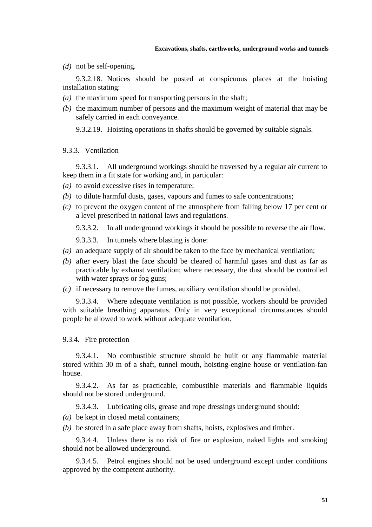#### **Excavations, shafts, earthworks, underground works and tunnels**

*(d)* not be self-opening.

9.3.2.18. Notices should be posted at conspicuous places at the hoisting installation stating:

- *(a)* the maximum speed for transporting persons in the shaft;
- *(b)* the maximum number of persons and the maximum weight of material that may be safely carried in each conveyance.

9.3.2.19. Hoisting operations in shafts should be governed by suitable signals.

## 9.3.3. Ventilation

9.3.3.1. All underground workings should be traversed by a regular air current to keep them in a fit state for working and, in particular:

- *(a)* to avoid excessive rises in temperature;
- *(b)* to dilute harmful dusts, gases, vapours and fumes to safe concentrations;
- *(c)* to prevent the oxygen content of the atmosphere from falling below 17 per cent or a level prescribed in national laws and regulations.

9.3.3.2. In all underground workings it should be possible to reverse the air flow.

9.3.3.3. In tunnels where blasting is done:

- *(a)* an adequate supply of air should be taken to the face by mechanical ventilation;
- *(b)* after every blast the face should be cleared of harmful gases and dust as far as practicable by exhaust ventilation; where necessary, the dust should be controlled with water sprays or fog guns;
- *(c)* if necessary to remove the fumes, auxiliary ventilation should be provided.

9.3.3.4. Where adequate ventilation is not possible, workers should be provided with suitable breathing apparatus. Only in very exceptional circumstances should people be allowed to work without adequate ventilation.

### 9.3.4. Fire protection

9.3.4.1. No combustible structure should be built or any flammable material stored within 30 m of a shaft, tunnel mouth, hoisting-engine house or ventilation-fan house.

9.3.4.2. As far as practicable, combustible materials and flammable liquids should not be stored underground.

9.3.4.3. Lubricating oils, grease and rope dressings underground should:

*(a)* be kept in closed metal containers;

*(b)* be stored in a safe place away from shafts, hoists, explosives and timber.

9.3.4.4. Unless there is no risk of fire or explosion, naked lights and smoking should not be allowed underground.

9.3.4.5. Petrol engines should not be used underground except under conditions approved by the competent authority.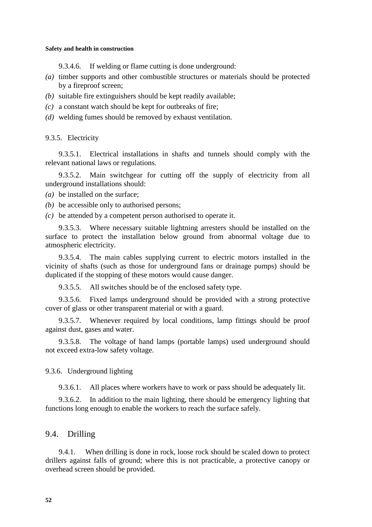9.3.4.6. If welding or flame cutting is done underground:

- *(a)* timber supports and other combustible structures or materials should be protected by a fireproof screen;
- *(b)* suitable fire extinguishers should be kept readily available;
- *(c)* a constant watch should be kept for outbreaks of fire;
- *(d)* welding fumes should be removed by exhaust ventilation.

## 9.3.5. Electricity

9.3.5.1. Electrical installations in shafts and tunnels should comply with the relevant national laws or regulations.

9.3.5.2. Main switchgear for cutting off the supply of electricity from all underground installations should:

- *(a)* be installed on the surface;
- *(b)* be accessible only to authorised persons;
- *(c)* be attended by a competent person authorised to operate it.

9.3.5.3. Where necessary suitable lightning arresters should be installed on the surface to protect the installation below ground from abnormal voltage due to atmospheric electricity.

9.3.5.4. The main cables supplying current to electric motors installed in the vicinity of shafts (such as those for underground fans or drainage pumps) should be duplicated if the stopping of these motors would cause danger.

9.3.5.5. All switches should be of the enclosed safety type.

9.3.5.6. Fixed lamps underground should be provided with a strong protective cover of glass or other transparent material or with a guard.

9.3.5.7. Whenever required by local conditions, lamp fittings should be proof against dust, gases and water.

9.3.5.8. The voltage of hand lamps (portable lamps) used underground should not exceed extra-low safety voltage.

### 9.3.6. Underground lighting

9.3.6.1. All places where workers have to work or pass should be adequately lit.

9.3.6.2. In addition to the main lighting, there should be emergency lighting that functions long enough to enable the workers to reach the surface safely.

## 9.4. Drilling

9.4.1. When drilling is done in rock, loose rock should be scaled down to protect drillers against falls of ground; where this is not practicable, a protective canopy or overhead screen should be provided.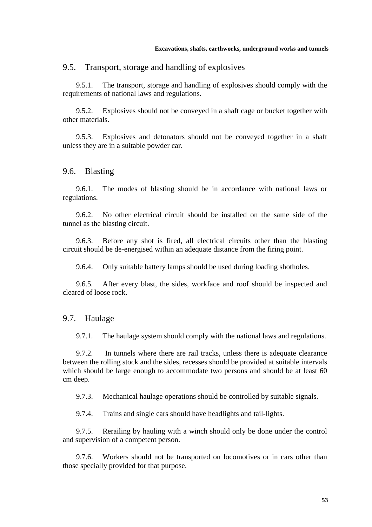# 9.5. Transport, storage and handling of explosives

9.5.1. The transport, storage and handling of explosives should comply with the requirements of national laws and regulations.

9.5.2. Explosives should not be conveyed in a shaft cage or bucket together with other materials.

9.5.3. Explosives and detonators should not be conveyed together in a shaft unless they are in a suitable powder car.

## 9.6. Blasting

9.6.1. The modes of blasting should be in accordance with national laws or regulations.

9.6.2. No other electrical circuit should be installed on the same side of the tunnel as the blasting circuit.

9.6.3. Before any shot is fired, all electrical circuits other than the blasting circuit should be de-energised within an adequate distance from the firing point.

9.6.4. Only suitable battery lamps should be used during loading shotholes.

9.6.5. After every blast, the sides, workface and roof should be inspected and cleared of loose rock.

## 9.7. Haulage

9.7.1. The haulage system should comply with the national laws and regulations.

9.7.2. In tunnels where there are rail tracks, unless there is adequate clearance between the rolling stock and the sides, recesses should be provided at suitable intervals which should be large enough to accommodate two persons and should be at least 60 cm deep.

9.7.3. Mechanical haulage operations should be controlled by suitable signals.

9.7.4. Trains and single cars should have headlights and tail-lights.

9.7.5. Rerailing by hauling with a winch should only be done under the control and supervision of a competent person.

9.7.6. Workers should not be transported on locomotives or in cars other than those specially provided for that purpose.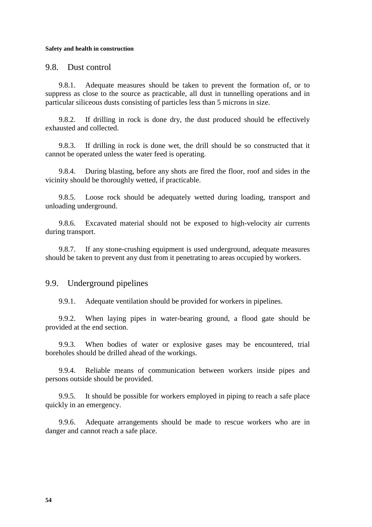## 9.8. Dust control

9.8.1. Adequate measures should be taken to prevent the formation of, or to suppress as close to the source as practicable, all dust in tunnelling operations and in particular siliceous dusts consisting of particles less than 5 microns in size.

9.8.2. If drilling in rock is done dry, the dust produced should be effectively exhausted and collected.

9.8.3. If drilling in rock is done wet, the drill should be so constructed that it cannot be operated unless the water feed is operating.

9.8.4. During blasting, before any shots are fired the floor, roof and sides in the vicinity should be thoroughly wetted, if practicable.

9.8.5. Loose rock should be adequately wetted during loading, transport and unloading underground.

9.8.6. Excavated material should not be exposed to high-velocity air currents during transport.

9.8.7. If any stone-crushing equipment is used underground, adequate measures should be taken to prevent any dust from it penetrating to areas occupied by workers.

### 9.9. Underground pipelines

9.9.1. Adequate ventilation should be provided for workers in pipelines.

9.9.2. When laying pipes in water-bearing ground, a flood gate should be provided at the end section.

9.9.3. When bodies of water or explosive gases may be encountered, trial boreholes should be drilled ahead of the workings.

9.9.4. Reliable means of communication between workers inside pipes and persons outside should be provided.

9.9.5. It should be possible for workers employed in piping to reach a safe place quickly in an emergency.

9.9.6. Adequate arrangements should be made to rescue workers who are in danger and cannot reach a safe place.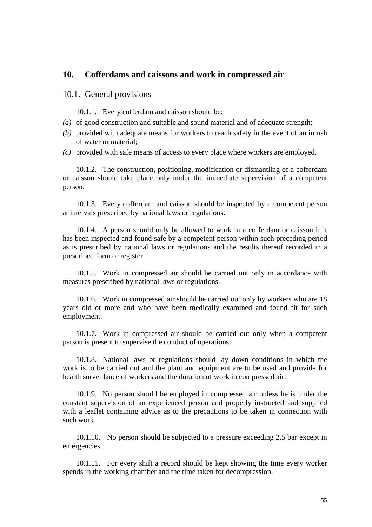# **10. Cofferdams and caissons and work in compressed air**

## 10.1. General provisions

10.1.1. Every cofferdam and caisson should be:

- *(a)* of good construction and suitable and sound material and of adequate strength;
- *(b)* provided with adequate means for workers to reach safety in the event of an inrush of water or material;
- *(c)* provided with safe means of access to every place where workers are employed.

10.1.2. The construction, positioning, modification or dismantling of a cofferdam or caisson should take place only under the immediate supervision of a competent person.

10.1.3. Every cofferdam and caisson should be inspected by a competent person at intervals prescribed by national laws or regulations.

10.1.4. A person should only be allowed to work in a cofferdam or caisson if it has been inspected and found safe by a competent person within such preceding period as is prescribed by national laws or regulations and the results thereof recorded in a prescribed form or register.

10.1.5. Work in compressed air should be carried out only in accordance with measures prescribed by national laws or regulations.

10.1.6. Work in compressed air should be carried out only by workers who are 18 years old or more and who have been medically examined and found fit for such employment.

10.1.7. Work in compressed air should be carried out only when a competent person is present to supervise the conduct of operations.

10.1.8. National laws or regulations should lay down conditions in which the work is to be carried out and the plant and equipment are to be used and provide for health surveillance of workers and the duration of work in compressed air.

10.1.9. No person should be employed in compressed air unless he is under the constant supervision of an experienced person and properly instructed and supplied with a leaflet containing advice as to the precautions to be taken in connection with such work.

10.1.10. No person should be subjected to a pressure exceeding 2.5 bar except in emergencies.

10.1.11. For every shift a record should be kept showing the time every worker spends in the working chamber and the time taken for decompression.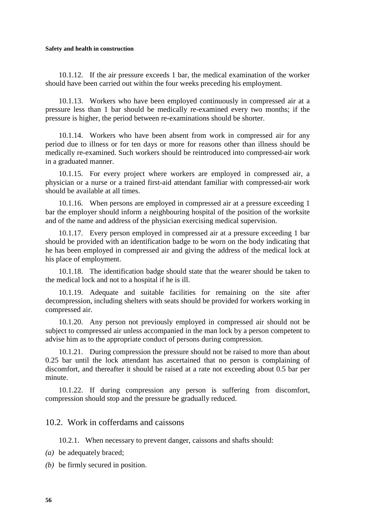10.1.12. If the air pressure exceeds 1 bar, the medical examination of the worker should have been carried out within the four weeks preceding his employment.

10.1.13. Workers who have been employed continuously in compressed air at a pressure less than 1 bar should be medically re-examined every two months; if the pressure is higher, the period between re-examinations should be shorter.

10.1.14. Workers who have been absent from work in compressed air for any period due to illness or for ten days or more for reasons other than illness should be medically re-examined. Such workers should be reintroduced into compressed-air work in a graduated manner.

10.1.15. For every project where workers are employed in compressed air, a physician or a nurse or a trained first-aid attendant familiar with compressed-air work should be available at all times.

10.1.16. When persons are employed in compressed air at a pressure exceeding 1 bar the employer should inform a neighbouring hospital of the position of the worksite and of the name and address of the physician exercising medical supervision.

10.1.17. Every person employed in compressed air at a pressure exceeding 1 bar should be provided with an identification badge to be worn on the body indicating that he has been employed in compressed air and giving the address of the medical lock at his place of employment.

10.1.18. The identification badge should state that the wearer should be taken to the medical lock and not to a hospital if he is ill.

10.1.19. Adequate and suitable facilities for remaining on the site after decompression, including shelters with seats should be provided for workers working in compressed air.

10.1.20. Any person not previously employed in compressed air should not be subject to compressed air unless accompanied in the man lock by a person competent to advise him as to the appropriate conduct of persons during compression.

10.1.21. During compression the pressure should not be raised to more than about 0.25 bar until the lock attendant has ascertained that no person is complaining of discomfort, and thereafter it should be raised at a rate not exceeding about 0.5 bar per minute.

10.1.22. If during compression any person is suffering from discomfort, compression should stop and the pressure be gradually reduced.

# 10.2. Work in cofferdams and caissons

10.2.1. When necessary to prevent danger, caissons and shafts should:

*(a)* be adequately braced;

*(b)* be firmly secured in position.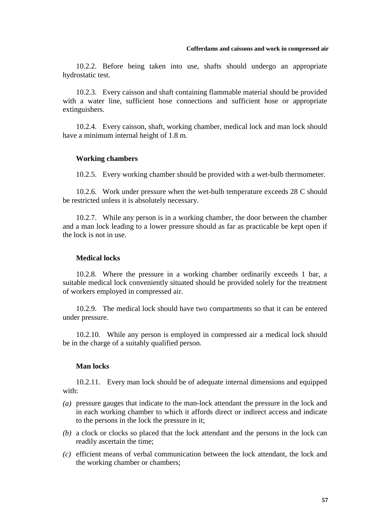10.2.2. Before being taken into use, shafts should undergo an appropriate hydrostatic test.

10.2.3. Every caisson and shaft containing flammable material should be provided with a water line, sufficient hose connections and sufficient hose or appropriate extinguishers.

10.2.4. Every caisson, shaft, working chamber, medical lock and man lock should have a minimum internal height of 1.8 m.

### **Working chambers**

10.2.5. Every working chamber should be provided with a wet-bulb thermometer.

10.2.6. Work under pressure when the wet-bulb temperature exceeds 28 C should be restricted unless it is absolutely necessary.

10.2.7. While any person is in a working chamber, the door between the chamber and a man lock leading to a lower pressure should as far as practicable be kept open if the lock is not in use.

### **Medical locks**

10.2.8. Where the pressure in a working chamber ordinarily exceeds 1 bar, a suitable medical lock conveniently situated should be provided solely for the treatment of workers employed in compressed air.

10.2.9. The medical lock should have two compartments so that it can be entered under pressure.

10.2.10. While any person is employed in compressed air a medical lock should be in the charge of a suitably qualified person.

## **Man locks**

10.2.11. Every man lock should be of adequate internal dimensions and equipped with:

- *(a)* pressure gauges that indicate to the man-lock attendant the pressure in the lock and in each working chamber to which it affords direct or indirect access and indicate to the persons in the lock the pressure in it;
- *(b)* a clock or clocks so placed that the lock attendant and the persons in the lock can readily ascertain the time;
- *(c)* efficient means of verbal communication between the lock attendant, the lock and the working chamber or chambers;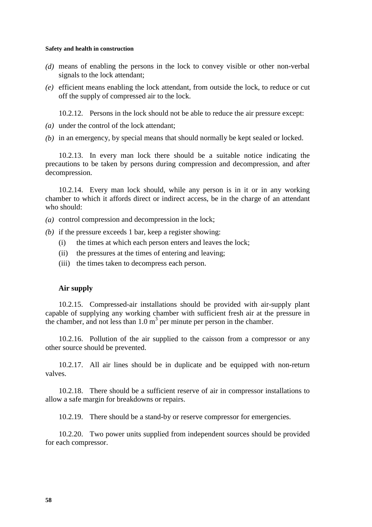- *(d)* means of enabling the persons in the lock to convey visible or other non-verbal signals to the lock attendant;
- *(e)* efficient means enabling the lock attendant, from outside the lock, to reduce or cut off the supply of compressed air to the lock.

10.2.12. Persons in the lock should not be able to reduce the air pressure except:

- *(a)* under the control of the lock attendant;
- *(b)* in an emergency, by special means that should normally be kept sealed or locked.

10.2.13. In every man lock there should be a suitable notice indicating the precautions to be taken by persons during compression and decompression, and after decompression.

10.2.14. Every man lock should, while any person is in it or in any working chamber to which it affords direct or indirect access, be in the charge of an attendant who should:

*(a)* control compression and decompression in the lock;

*(b)* if the pressure exceeds 1 bar, keep a register showing:

- (i) the times at which each person enters and leaves the lock;
- (ii) the pressures at the times of entering and leaving;
- (iii) the times taken to decompress each person.

### **Air supply**

10.2.15. Compressed-air installations should be provided with air-supply plant capable of supplying any working chamber with sufficient fresh air at the pressure in the chamber, and not less than  $1.0 \text{ m}^3$  per minute per person in the chamber.

10.2.16. Pollution of the air supplied to the caisson from a compressor or any other source should be prevented.

10.2.17. All air lines should be in duplicate and be equipped with non-return valves.

10.2.18. There should be a sufficient reserve of air in compressor installations to allow a safe margin for breakdowns or repairs.

10.2.19. There should be a stand-by or reserve compressor for emergencies.

10.2.20. Two power units supplied from independent sources should be provided for each compressor.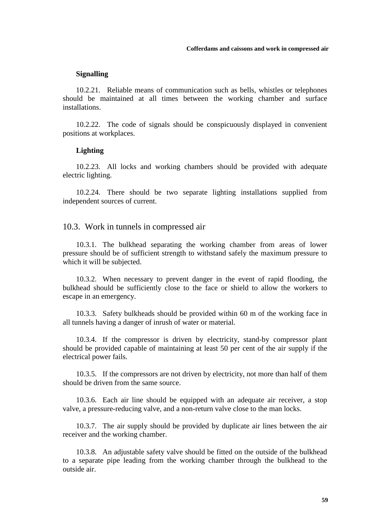### **Signalling**

10.2.21. Reliable means of communication such as bells, whistles or telephones should be maintained at all times between the working chamber and surface installations.

10.2.22. The code of signals should be conspicuously displayed in convenient positions at workplaces.

#### **Lighting**

10.2.23. All locks and working chambers should be provided with adequate electric lighting.

10.2.24. There should be two separate lighting installations supplied from independent sources of current.

## 10.3. Work in tunnels in compressed air

10.3.1. The bulkhead separating the working chamber from areas of lower pressure should be of sufficient strength to withstand safely the maximum pressure to which it will be subjected.

10.3.2. When necessary to prevent danger in the event of rapid flooding, the bulkhead should be sufficiently close to the face or shield to allow the workers to escape in an emergency.

10.3.3. Safety bulkheads should be provided within 60 m of the working face in all tunnels having a danger of inrush of water or material.

10.3.4. If the compressor is driven by electricity, stand-by compressor plant should be provided capable of maintaining at least 50 per cent of the air supply if the electrical power fails.

10.3.5. If the compressors are not driven by electricity, not more than half of them should be driven from the same source.

10.3.6. Each air line should be equipped with an adequate air receiver, a stop valve, a pressure-reducing valve, and a non-return valve close to the man locks.

10.3.7. The air supply should be provided by duplicate air lines between the air receiver and the working chamber.

10.3.8. An adjustable safety valve should be fitted on the outside of the bulkhead to a separate pipe leading from the working chamber through the bulkhead to the outside air.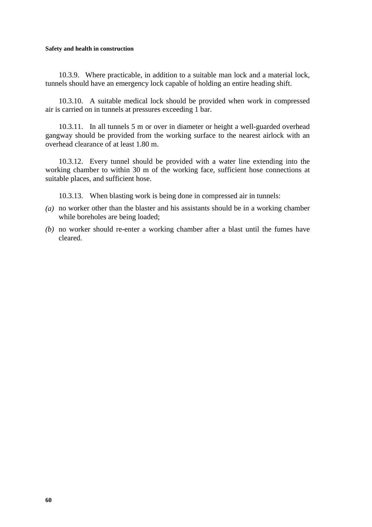10.3.9. Where practicable, in addition to a suitable man lock and a material lock, tunnels should have an emergency lock capable of holding an entire heading shift.

10.3.10. A suitable medical lock should be provided when work in compressed air is carried on in tunnels at pressures exceeding 1 bar.

10.3.11. In all tunnels 5 m or over in diameter or height a well-guarded overhead gangway should be provided from the working surface to the nearest airlock with an overhead clearance of at least 1.80 m.

10.3.12. Every tunnel should be provided with a water line extending into the working chamber to within 30 m of the working face, sufficient hose connections at suitable places, and sufficient hose.

10.3.13. When blasting work is being done in compressed air in tunnels:

- *(a)* no worker other than the blaster and his assistants should be in a working chamber while boreholes are being loaded;
- *(b)* no worker should re-enter a working chamber after a blast until the fumes have cleared.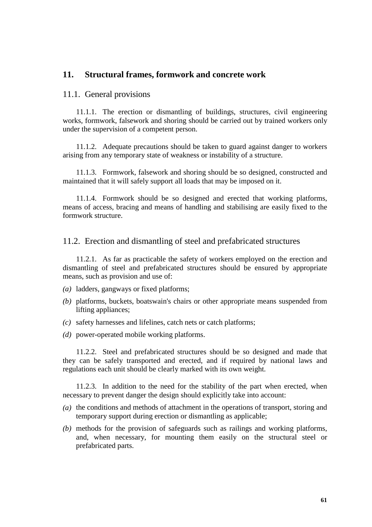# **11. Structural frames, formwork and concrete work**

## 11.1. General provisions

11.1.1. The erection or dismantling of buildings, structures, civil engineering works, formwork, falsework and shoring should be carried out by trained workers only under the supervision of a competent person.

11.1.2. Adequate precautions should be taken to guard against danger to workers arising from any temporary state of weakness or instability of a structure.

11.1.3. Formwork, falsework and shoring should be so designed, constructed and maintained that it will safely support all loads that may be imposed on it.

11.1.4. Formwork should be so designed and erected that working platforms, means of access, bracing and means of handling and stabilising are easily fixed to the formwork structure.

11.2. Erection and dismantling of steel and prefabricated structures

11.2.1. As far as practicable the safety of workers employed on the erection and dismantling of steel and prefabricated structures should be ensured by appropriate means, such as provision and use of:

- *(a)* ladders, gangways or fixed platforms;
- *(b)* platforms, buckets, boatswain's chairs or other appropriate means suspended from lifting appliances;
- *(c)* safety harnesses and lifelines, catch nets or catch platforms;
- *(d)* power-operated mobile working platforms.

11.2.2. Steel and prefabricated structures should be so designed and made that they can be safely transported and erected, and if required by national laws and regulations each unit should be clearly marked with its own weight.

11.2.3. In addition to the need for the stability of the part when erected, when necessary to prevent danger the design should explicitly take into account:

- *(a)* the conditions and methods of attachment in the operations of transport, storing and temporary support during erection or dismantling as applicable;
- *(b)* methods for the provision of safeguards such as railings and working platforms, and, when necessary, for mounting them easily on the structural steel or prefabricated parts.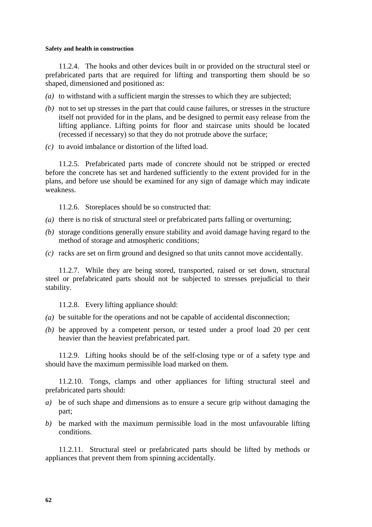11.2.4. The hooks and other devices built in or provided on the structural steel or prefabricated parts that are required for lifting and transporting them should be so shaped, dimensioned and positioned as:

- *(a)* to withstand with a sufficient margin the stresses to which they are subjected;
- *(b)* not to set up stresses in the part that could cause failures, or stresses in the structure itself not provided for in the plans, and be designed to permit easy release from the lifting appliance. Lifting points for floor and staircase units should be located (recessed if necessary) so that they do not protrude above the surface;
- *(c)* to avoid imbalance or distortion of the lifted load.

11.2.5. Prefabricated parts made of concrete should not be stripped or erected before the concrete has set and hardened sufficiently to the extent provided for in the plans, and before use should be examined for any sign of damage which may indicate weakness.

11.2.6. Storeplaces should be so constructed that:

- *(a)* there is no risk of structural steel or prefabricated parts falling or overturning;
- *(b)* storage conditions generally ensure stability and avoid damage having regard to the method of storage and atmospheric conditions;
- *(c)* racks are set on firm ground and designed so that units cannot move accidentally.

11.2.7. While they are being stored, transported, raised or set down, structural steel or prefabricated parts should not be subjected to stresses prejudicial to their stability.

11.2.8. Every lifting appliance should:

- *(a)* be suitable for the operations and not be capable of accidental disconnection;
- *(b)* be approved by a competent person, or tested under a proof load 20 per cent heavier than the heaviest prefabricated part.

11.2.9. Lifting hooks should be of the self-closing type or of a safety type and should have the maximum permissible load marked on them.

11.2.10. Tongs, clamps and other appliances for lifting structural steel and prefabricated parts should:

- *a)* be of such shape and dimensions as to ensure a secure grip without damaging the part;
- *b)* be marked with the maximum permissible load in the most unfavourable lifting conditions.

11.2.11. Structural steel or prefabricated parts should be lifted by methods or appliances that prevent them from spinning accidentally.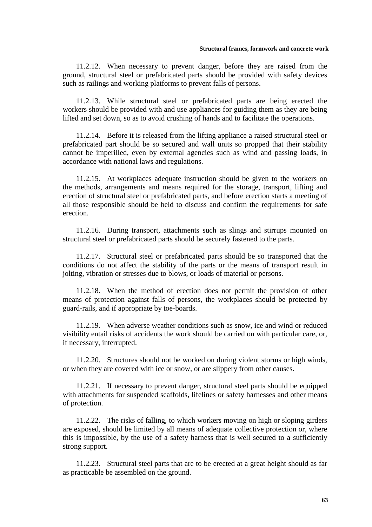### **Structural frames, formwork and concrete work**

11.2.12. When necessary to prevent danger, before they are raised from the ground, structural steel or prefabricated parts should be provided with safety devices such as railings and working platforms to prevent falls of persons.

11.2.13. While structural steel or prefabricated parts are being erected the workers should be provided with and use appliances for guiding them as they are being lifted and set down, so as to avoid crushing of hands and to facilitate the operations.

11.2.14. Before it is released from the lifting appliance a raised structural steel or prefabricated part should be so secured and wall units so propped that their stability cannot be imperilled, even by external agencies such as wind and passing loads, in accordance with national laws and regulations.

11.2.15. At workplaces adequate instruction should be given to the workers on the methods, arrangements and means required for the storage, transport, lifting and erection of structural steel or prefabricated parts, and before erection starts a meeting of all those responsible should be held to discuss and confirm the requirements for safe erection.

11.2.16. During transport, attachments such as slings and stirrups mounted on structural steel or prefabricated parts should be securely fastened to the parts.

11.2.17. Structural steel or prefabricated parts should be so transported that the conditions do not affect the stability of the parts or the means of transport result in jolting, vibration or stresses due to blows, or loads of material or persons.

11.2.18. When the method of erection does not permit the provision of other means of protection against falls of persons, the workplaces should be protected by guard-rails, and if appropriate by toe-boards.

11.2.19. When adverse weather conditions such as snow, ice and wind or reduced visibility entail risks of accidents the work should be carried on with particular care, or, if necessary, interrupted.

11.2.20. Structures should not be worked on during violent storms or high winds, or when they are covered with ice or snow, or are slippery from other causes.

11.2.21. If necessary to prevent danger, structural steel parts should be equipped with attachments for suspended scaffolds, lifelines or safety harnesses and other means of protection.

11.2.22. The risks of falling, to which workers moving on high or sloping girders are exposed, should be limited by all means of adequate collective protection or, where this is impossible, by the use of a safety harness that is well secured to a sufficiently strong support.

11.2.23. Structural steel parts that are to be erected at a great height should as far as practicable be assembled on the ground.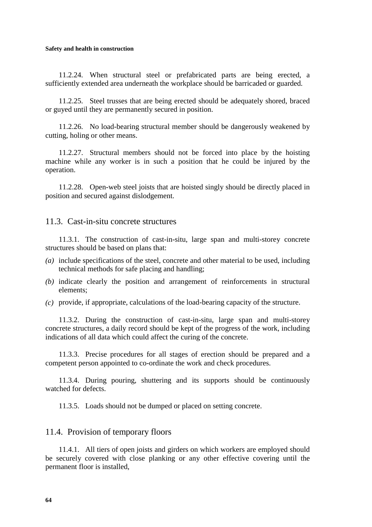11.2.24. When structural steel or prefabricated parts are being erected, a sufficiently extended area underneath the workplace should be barricaded or guarded.

11.2.25. Steel trusses that are being erected should be adequately shored, braced or guyed until they are permanently secured in position.

11.2.26. No load-bearing structural member should be dangerously weakened by cutting, holing or other means.

11.2.27. Structural members should not be forced into place by the hoisting machine while any worker is in such a position that he could be injured by the operation.

11.2.28. Open-web steel joists that are hoisted singly should be directly placed in position and secured against dislodgement.

## 11.3. Cast-in-situ concrete structures

11.3.1. The construction of cast-in-situ, large span and multi-storey concrete structures should be based on plans that:

- *(a)* include specifications of the steel, concrete and other material to be used, including technical methods for safe placing and handling;
- *(b)* indicate clearly the position and arrangement of reinforcements in structural elements;
- *(c)* provide, if appropriate, calculations of the load-bearing capacity of the structure.

11.3.2. During the construction of cast-in-situ, large span and multi-storey concrete structures, a daily record should be kept of the progress of the work, including indications of all data which could affect the curing of the concrete.

11.3.3. Precise procedures for all stages of erection should be prepared and a competent person appointed to co-ordinate the work and check procedures.

11.3.4. During pouring, shuttering and its supports should be continuously watched for defects.

11.3.5. Loads should not be dumped or placed on setting concrete.

## 11.4. Provision of temporary floors

11.4.1. All tiers of open joists and girders on which workers are employed should be securely covered with close planking or any other effective covering until the permanent floor is installed,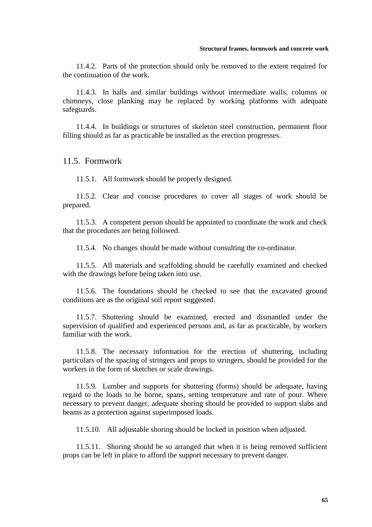### **Structural frames, formwork and concrete work**

11.4.2. Parts of the protection should only be removed to the extent required for the continuation of the work.

11.4.3. In halls and similar buildings without intermediate walls, columns or chimneys, close planking may be replaced by working platforms with adequate safeguards.

11.4.4. In buildings or structures of skeleton steel construction, permanent floor filling should as far as practicable be installed as the erection progresses.

11.5. Formwork

11.5.1. All formwork should be properly designed.

11.5.2. Clear and concise procedures to cover all stages of work should be prepared.

11.5.3. A competent person should be appointed to coordinate the work and check that the procedures are being followed.

11.5.4. No changes should be made without consulting the co-ordinator.

11.5.5. All materials and scaffolding should be carefully examined and checked with the drawings before being taken into use.

11.5.6. The foundations should be checked to see that the excavated ground conditions are as the original soil report suggested.

11.5.7. Shuttering should be examined, erected and dismantled under the supervision of qualified and experienced persons and, as far as practicable, by workers familiar with the work.

11.5.8. The necessary information for the erection of shuttering, including particulars of the spacing of stringers and props to stringers, should be provided for the workers in the form of sketches or scale drawings.

11.5.9. Lumber and supports for shuttering (forms) should be adequate, having regard to the loads to be borne, spans, setting temperature and rate of pour. Where necessary to prevent danger, adequate shoring should be provided to support slabs and beams as a protection against superimposed loads.

11.5.10. All adjustable shoring should be locked in position when adjusted.

11.5.11. Shoring should be so arranged that when it is being removed sufficient props can be left in place to afford the support necessary to prevent danger.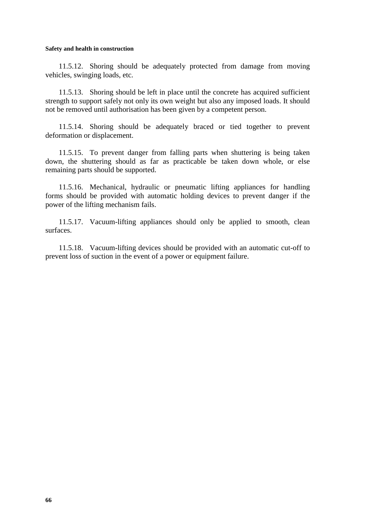11.5.12. Shoring should be adequately protected from damage from moving vehicles, swinging loads, etc.

11.5.13. Shoring should be left in place until the concrete has acquired sufficient strength to support safely not only its own weight but also any imposed loads. It should not be removed until authorisation has been given by a competent person.

11.5.14. Shoring should be adequately braced or tied together to prevent deformation or displacement.

11.5.15. To prevent danger from falling parts when shuttering is being taken down, the shuttering should as far as practicable be taken down whole, or else remaining parts should be supported.

11.5.16. Mechanical, hydraulic or pneumatic lifting appliances for handling forms should be provided with automatic holding devices to prevent danger if the power of the lifting mechanism fails.

11.5.17. Vacuum-lifting appliances should only be applied to smooth, clean surfaces.

11.5.18. Vacuum-lifting devices should be provided with an automatic cut-off to prevent loss of suction in the event of a power or equipment failure.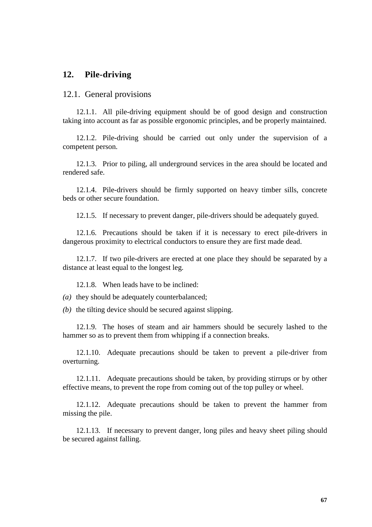# **12. Pile-driving**

### 12.1. General provisions

12.1.1. All pile-driving equipment should be of good design and construction taking into account as far as possible ergonomic principles, and be properly maintained.

12.1.2. Pile-driving should be carried out only under the supervision of a competent person.

12.1.3. Prior to piling, all underground services in the area should be located and rendered safe.

12.1.4. Pile-drivers should be firmly supported on heavy timber sills, concrete beds or other secure foundation.

12.1.5. If necessary to prevent danger, pile-drivers should be adequately guyed.

12.1.6. Precautions should be taken if it is necessary to erect pile-drivers in dangerous proximity to electrical conductors to ensure they are first made dead.

12.1.7. If two pile-drivers are erected at one place they should be separated by a distance at least equal to the longest leg.

12.1.8. When leads have to be inclined:

*(a)* they should be adequately counterbalanced;

*(b)* the tilting device should be secured against slipping.

12.1.9. The hoses of steam and air hammers should be securely lashed to the hammer so as to prevent them from whipping if a connection breaks.

12.1.10. Adequate precautions should be taken to prevent a pile-driver from overturning.

12.1.11. Adequate precautions should be taken, by providing stirrups or by other effective means, to prevent the rope from coming out of the top pulley or wheel.

12.1.12. Adequate precautions should be taken to prevent the hammer from missing the pile.

12.1.13. If necessary to prevent danger, long piles and heavy sheet piling should be secured against falling.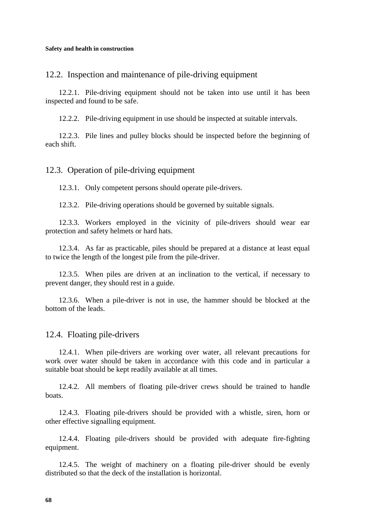# 12.2. Inspection and maintenance of pile-driving equipment

12.2.1. Pile-driving equipment should not be taken into use until it has been inspected and found to be safe.

12.2.2. Pile-driving equipment in use should be inspected at suitable intervals.

12.2.3. Pile lines and pulley blocks should be inspected before the beginning of each shift.

## 12.3. Operation of pile-driving equipment

12.3.1. Only competent persons should operate pile-drivers.

12.3.2. Pile-driving operations should be governed by suitable signals.

12.3.3. Workers employed in the vicinity of pile-drivers should wear ear protection and safety helmets or hard hats.

12.3.4. As far as practicable, piles should be prepared at a distance at least equal to twice the length of the longest pile from the pile-driver.

12.3.5. When piles are driven at an inclination to the vertical, if necessary to prevent danger, they should rest in a guide.

12.3.6. When a pile-driver is not in use, the hammer should be blocked at the bottom of the leads.

### 12.4. Floating pile-drivers

12.4.1. When pile-drivers are working over water, all relevant precautions for work over water should be taken in accordance with this code and in particular a suitable boat should be kept readily available at all times.

12.4.2. All members of floating pile-driver crews should be trained to handle boats.

12.4.3. Floating pile-drivers should be provided with a whistle, siren, horn or other effective signalling equipment.

12.4.4. Floating pile-drivers should be provided with adequate fire-fighting equipment.

12.4.5. The weight of machinery on a floating pile-driver should be evenly distributed so that the deck of the installation is horizontal.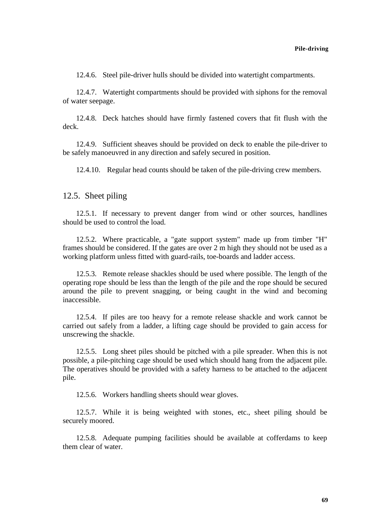12.4.6. Steel pile-driver hulls should be divided into watertight compartments.

12.4.7. Watertight compartments should be provided with siphons for the removal of water seepage.

12.4.8. Deck hatches should have firmly fastened covers that fit flush with the deck.

12.4.9. Sufficient sheaves should be provided on deck to enable the pile-driver to be safely manoeuvred in any direction and safely secured in position.

12.4.10. Regular head counts should be taken of the pile-driving crew members.

## 12.5. Sheet piling

12.5.1. If necessary to prevent danger from wind or other sources, handlines should be used to control the load.

12.5.2. Where practicable, a "gate support system" made up from timber "H" frames should be considered. If the gates are over 2 m high they should not be used as a working platform unless fitted with guard-rails, toe-boards and ladder access.

12.5.3. Remote release shackles should be used where possible. The length of the operating rope should be less than the length of the pile and the rope should be secured around the pile to prevent snagging, or being caught in the wind and becoming inaccessible.

12.5.4. If piles are too heavy for a remote release shackle and work cannot be carried out safely from a ladder, a lifting cage should be provided to gain access for unscrewing the shackle.

12.5.5. Long sheet piles should be pitched with a pile spreader. When this is not possible, a pile-pitching cage should be used which should hang from the adjacent pile. The operatives should be provided with a safety harness to be attached to the adjacent pile.

12.5.6. Workers handling sheets should wear gloves.

12.5.7. While it is being weighted with stones, etc., sheet piling should be securely moored.

12.5.8. Adequate pumping facilities should be available at cofferdams to keep them clear of water.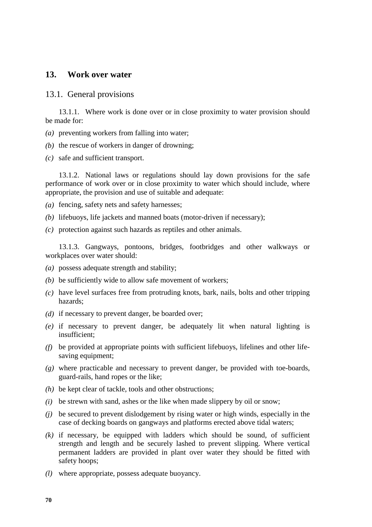# **13. Work over water**

### 13.1. General provisions

13.1.1. Where work is done over or in close proximity to water provision should be made for:

- *(a)* preventing workers from falling into water;
- *(b)* the rescue of workers in danger of drowning;
- *(c)* safe and sufficient transport.

13.1.2. National laws or regulations should lay down provisions for the safe performance of work over or in close proximity to water which should include, where appropriate, the provision and use of suitable and adequate:

- *(a)* fencing, safety nets and safety harnesses;
- *(b)* lifebuoys, life jackets and manned boats (motor-driven if necessary);
- *(c)* protection against such hazards as reptiles and other animals.

13.1.3. Gangways, pontoons, bridges, footbridges and other walkways or workplaces over water should:

- *(a)* possess adequate strength and stability;
- *(b)* be sufficiently wide to allow safe movement of workers;
- *(c)* have level surfaces free from protruding knots, bark, nails, bolts and other tripping hazards;
- *(d)* if necessary to prevent danger, be boarded over;
- *(e)* if necessary to prevent danger, be adequately lit when natural lighting is insufficient;
- *(f)* be provided at appropriate points with sufficient lifebuoys, lifelines and other lifesaving equipment;
- *(g)* where practicable and necessary to prevent danger, be provided with toe-boards, guard-rails, hand ropes or the like;
- *(h)* be kept clear of tackle, tools and other obstructions;
- *(i)* be strewn with sand, ashes or the like when made slippery by oil or snow;
- *(j)* be secured to prevent dislodgement by rising water or high winds, especially in the case of decking boards on gangways and platforms erected above tidal waters;
- $(k)$  if necessary, be equipped with ladders which should be sound, of sufficient strength and length and be securely lashed to prevent slipping. Where vertical permanent ladders are provided in plant over water they should be fitted with safety hoops;
- *(l)* where appropriate, possess adequate buoyancy.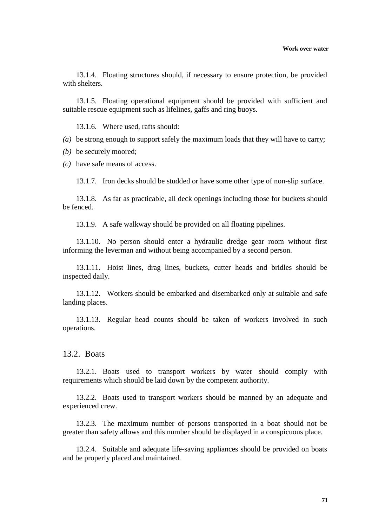13.1.4. Floating structures should, if necessary to ensure protection, be provided with shelters.

13.1.5. Floating operational equipment should be provided with sufficient and suitable rescue equipment such as lifelines, gaffs and ring buoys.

13.1.6. Where used, rafts should:

*(a)* be strong enough to support safely the maximum loads that they will have to carry;

- *(b)* be securely moored;
- *(c)* have safe means of access.

13.1.7. Iron decks should be studded or have some other type of non-slip surface.

13.1.8. As far as practicable, all deck openings including those for buckets should be fenced.

13.1.9. A safe walkway should be provided on all floating pipelines.

13.1.10. No person should enter a hydraulic dredge gear room without first informing the leverman and without being accompanied by a second person.

13.1.11. Hoist lines, drag lines, buckets, cutter heads and bridles should be inspected daily.

13.1.12. Workers should be embarked and disembarked only at suitable and safe landing places.

13.1.13. Regular head counts should be taken of workers involved in such operations.

13.2. Boats

13.2.1. Boats used to transport workers by water should comply with requirements which should be laid down by the competent authority.

13.2.2. Boats used to transport workers should be manned by an adequate and experienced crew.

13.2.3. The maximum number of persons transported in a boat should not be greater than safety allows and this number should be displayed in a conspicuous place.

13.2.4. Suitable and adequate life-saving appliances should be provided on boats and be properly placed and maintained.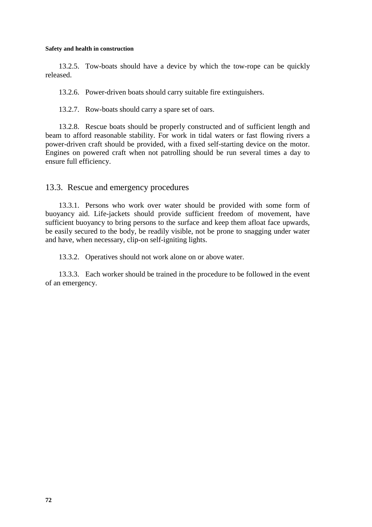13.2.5. Tow-boats should have a device by which the tow-rope can be quickly released.

13.2.6. Power-driven boats should carry suitable fire extinguishers.

13.2.7. Row-boats should carry a spare set of oars.

13.2.8. Rescue boats should be properly constructed and of sufficient length and beam to afford reasonable stability. For work in tidal waters or fast flowing rivers a power-driven craft should be provided, with a fixed self-starting device on the motor. Engines on powered craft when not patrolling should be run several times a day to ensure full efficiency.

# 13.3. Rescue and emergency procedures

13.3.1. Persons who work over water should be provided with some form of buoyancy aid. Life-jackets should provide sufficient freedom of movement, have sufficient buoyancy to bring persons to the surface and keep them afloat face upwards, be easily secured to the body, be readily visible, not be prone to snagging under water and have, when necessary, clip-on self-igniting lights.

13.3.2. Operatives should not work alone on or above water.

13.3.3. Each worker should be trained in the procedure to be followed in the event of an emergency.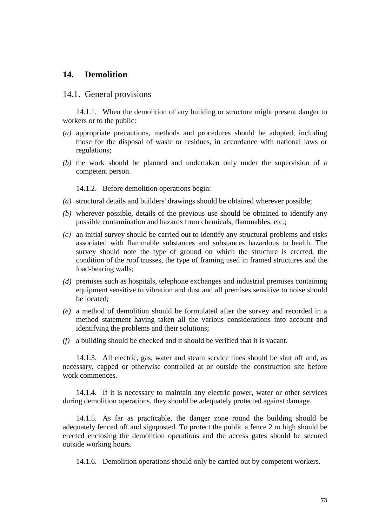# **14. Demolition**

## 14.1. General provisions

14.1.1. When the demolition of any building or structure might present danger to workers or to the public:

- *(a)* appropriate precautions, methods and procedures should be adopted, including those for the disposal of waste or residues, in accordance with national laws or regulations;
- *(b)* the work should be planned and undertaken only under the supervision of a competent person.

14.1.2. Before demolition operations begin:

- *(a)* structural details and builders' drawings should be obtained wherever possible;
- *(b)* wherever possible, details of the previous use should be obtained to identify any possible contamination and hazards from chemicals, flammables, etc.;
- *(c)* an initial survey should be carried out to identify any structural problems and risks associated with flammable substances and substances hazardous to health. The survey should note the type of ground on which the structure is erected, the condition of the roof trusses, the type of framing used in framed structures and the load-bearing walls;
- *(d)* premises such as hospitals, telephone exchanges and industrial premises containing equipment sensitive to vibration and dust and all premises sensitive to noise should be located;
- *(e)* a method of demolition should be formulated after the survey and recorded in a method statement having taken all the various considerations into account and identifying the problems and their solutions;
- *(f)* a building should be checked and it should be verified that it is vacant.

14.1.3. All electric, gas, water and steam service lines should be shut off and, as necessary, capped or otherwise controlled at or outside the construction site before work commences.

14.1.4. If it is necessary to maintain any electric power, water or other services during demolition operations, they should be adequately protected against damage.

14.1.5. As far as practicable, the danger zone round the building should be adequately fenced off and signposted. To protect the public a fence 2 m high should be erected enclosing the demolition operations and the access gates should be secured outside working hours.

14.1.6. Demolition operations should only be carried out by competent workers.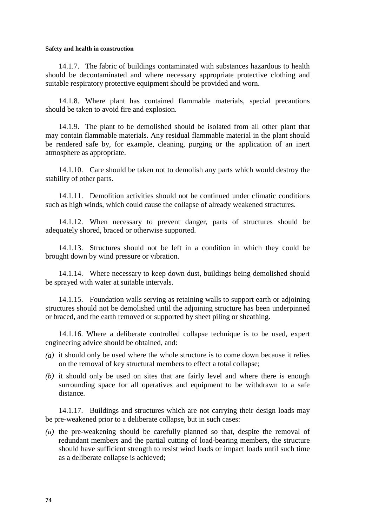14.1.7. The fabric of buildings contaminated with substances hazardous to health should be decontaminated and where necessary appropriate protective clothing and suitable respiratory protective equipment should be provided and worn.

14.1.8. Where plant has contained flammable materials, special precautions should be taken to avoid fire and explosion.

14.1.9. The plant to be demolished should be isolated from all other plant that may contain flammable materials. Any residual flammable material in the plant should be rendered safe by, for example, cleaning, purging or the application of an inert atmosphere as appropriate.

14.1.10. Care should be taken not to demolish any parts which would destroy the stability of other parts.

14.1.11. Demolition activities should not be continued under climatic conditions such as high winds, which could cause the collapse of already weakened structures.

14.1.12. When necessary to prevent danger, parts of structures should be adequately shored, braced or otherwise supported.

14.1.13. Structures should not be left in a condition in which they could be brought down by wind pressure or vibration.

14.1.14. Where necessary to keep down dust, buildings being demolished should be sprayed with water at suitable intervals.

14.1.15. Foundation walls serving as retaining walls to support earth or adjoining structures should not be demolished until the adjoining structure has been underpinned or braced, and the earth removed or supported by sheet piling or sheathing.

14.1.16. Where a deliberate controlled collapse technique is to be used, expert engineering advice should be obtained, and:

- *(a)* it should only be used where the whole structure is to come down because it relies on the removal of key structural members to effect a total collapse;
- *(b)* it should only be used on sites that are fairly level and where there is enough surrounding space for all operatives and equipment to be withdrawn to a safe distance.

14.1.17. Buildings and structures which are not carrying their design loads may be pre-weakened prior to a deliberate collapse, but in such cases:

*(a)* the pre-weakening should be carefully planned so that, despite the removal of redundant members and the partial cutting of load-bearing members, the structure should have sufficient strength to resist wind loads or impact loads until such time as a deliberate collapse is achieved;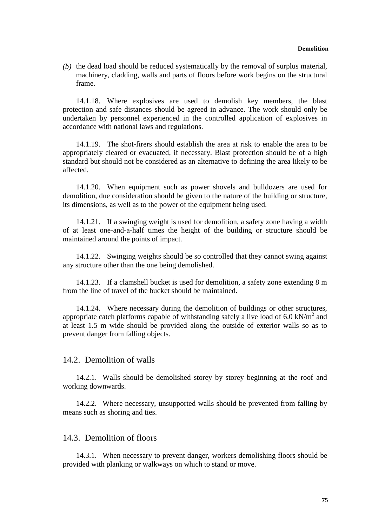*(b)* the dead load should be reduced systematically by the removal of surplus material, machinery, cladding, walls and parts of floors before work begins on the structural frame.

14.1.18. Where explosives are used to demolish key members, the blast protection and safe distances should be agreed in advance. The work should only be undertaken by personnel experienced in the controlled application of explosives in accordance with national laws and regulations.

14.1.19. The shot-firers should establish the area at risk to enable the area to be appropriately cleared or evacuated, if necessary. Blast protection should be of a high standard but should not be considered as an alternative to defining the area likely to be affected.

14.1.20. When equipment such as power shovels and bulldozers are used for demolition, due consideration should be given to the nature of the building or structure, its dimensions, as well as to the power of the equipment being used.

14.1.21. If a swinging weight is used for demolition, a safety zone having a width of at least one-and-a-half times the height of the building or structure should be maintained around the points of impact.

14.1.22. Swinging weights should be so controlled that they cannot swing against any structure other than the one being demolished.

14.1.23. If a clamshell bucket is used for demolition, a safety zone extending 8 m from the line of travel of the bucket should be maintained.

14.1.24. Where necessary during the demolition of buildings or other structures, appropriate catch platforms capable of withstanding safely a live load of 6.0 kN/ $m<sup>2</sup>$  and at least 1.5 m wide should be provided along the outside of exterior walls so as to prevent danger from falling objects.

# 14.2. Demolition of walls

14.2.1. Walls should be demolished storey by storey beginning at the roof and working downwards.

14.2.2. Where necessary, unsupported walls should be prevented from falling by means such as shoring and ties.

## 14.3. Demolition of floors

14.3.1. When necessary to prevent danger, workers demolishing floors should be provided with planking or walkways on which to stand or move.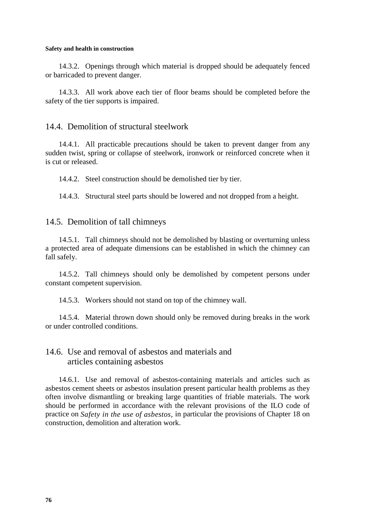14.3.2. Openings through which material is dropped should be adequately fenced or barricaded to prevent danger.

14.3.3. All work above each tier of floor beams should be completed before the safety of the tier supports is impaired.

# 14.4. Demolition of structural steelwork

14.4.1. All practicable precautions should be taken to prevent danger from any sudden twist, spring or collapse of steelwork, ironwork or reinforced concrete when it is cut or released.

14.4.2. Steel construction should be demolished tier by tier.

14.4.3. Structural steel parts should be lowered and not dropped from a height.

# 14.5. Demolition of tall chimneys

14.5.1. Tall chimneys should not be demolished by blasting or overturning unless a protected area of adequate dimensions can be established in which the chimney can fall safely.

14.5.2. Tall chimneys should only be demolished by competent persons under constant competent supervision.

14.5.3. Workers should not stand on top of the chimney wall.

14.5.4. Material thrown down should only be removed during breaks in the work or under controlled conditions.

# 14.6. Use and removal of asbestos and materials and articles containing asbestos

14.6.1. Use and removal of asbestos-containing materials and articles such as asbestos cement sheets or asbestos insulation present particular health problems as they often involve dismantling or breaking large quantities of friable materials. The work should be performed in accordance with the relevant provisions of the ILO code of practice on *Safety in the use of asbestos,* in particular the provisions of Chapter 18 on construction, demolition and alteration work.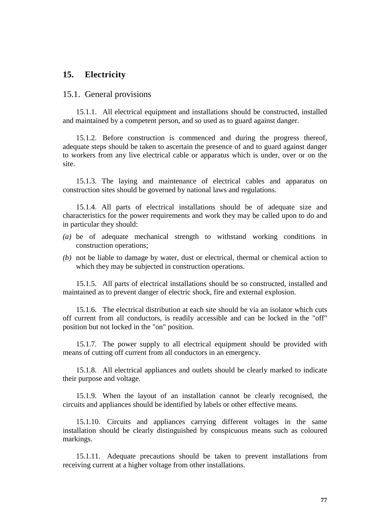# **15. Electricity**

### 15.1. General provisions

15.1.1. All electrical equipment and installations should be constructed, installed and maintained by a competent person, and so used as to guard against danger.

15.1.2. Before construction is commenced and during the progress thereof, adequate steps should be taken to ascertain the presence of and to guard against danger to workers from any live electrical cable or apparatus which is under, over or on the site.

15.1.3. The laying and maintenance of electrical cables and apparatus on construction sites should be governed by national laws and regulations.

15.1.4. All parts of electrical installations should be of adequate size and characteristics for the power requirements and work they may be called upon to do and in particular they should:

- *(a)* be of adequate mechanical strength to withstand working conditions in construction operations;
- *(b)* not be liable to damage by water, dust or electrical, thermal or chemical action to which they may be subjected in construction operations.

15.1.5. All parts of electrical installations should be so constructed, installed and maintained as to prevent danger of electric shock, fire and external explosion.

15.1.6. The electrical distribution at each site should be via an isolator which cuts off current from all conductors, is readily accessible and can be locked in the "off" position but not locked in the "on" position.

15.1.7. The power supply to all electrical equipment should be provided with means of cutting off current from all conductors in an emergency.

15.1.8. All electrical appliances and outlets should be clearly marked to indicate their purpose and voltage.

15.1.9. When the layout of an installation cannot be clearly recognised, the circuits and appliances should be identified by labels or other effective means.

15.1.10. Circuits and appliances carrying different voltages in the same installation should be clearly distinguished by conspicuous means such as coloured markings.

15.1.11. Adequate precautions should be taken to prevent installations from receiving current at a higher voltage from other installations.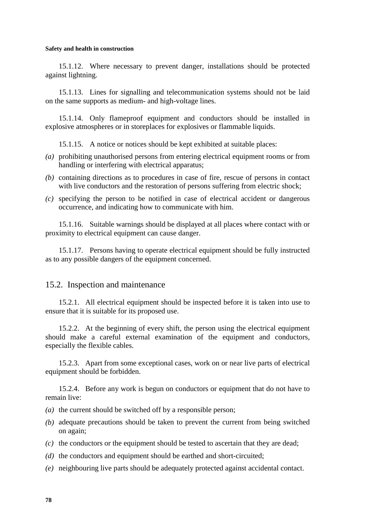15.1.12. Where necessary to prevent danger, installations should be protected against lightning.

15.1.13. Lines for signalling and telecommunication systems should not be laid on the same supports as medium- and high-voltage lines.

15.1.14. Only flameproof equipment and conductors should be installed in explosive atmospheres or in storeplaces for explosives or flammable liquids.

15.1.15. A notice or notices should be kept exhibited at suitable places:

- *(a)* prohibiting unauthorised persons from entering electrical equipment rooms or from handling or interfering with electrical apparatus;
- *(b)* containing directions as to procedures in case of fire, rescue of persons in contact with live conductors and the restoration of persons suffering from electric shock;
- *(c)* specifying the person to be notified in case of electrical accident or dangerous occurrence, and indicating how to communicate with him.

15.1.16. Suitable warnings should be displayed at all places where contact with or proximity to electrical equipment can cause danger.

15.1.17. Persons having to operate electrical equipment should be fully instructed as to any possible dangers of the equipment concerned.

## 15.2. Inspection and maintenance

15.2.1. All electrical equipment should be inspected before it is taken into use to ensure that it is suitable for its proposed use.

15.2.2. At the beginning of every shift, the person using the electrical equipment should make a careful external examination of the equipment and conductors, especially the flexible cables.

15.2.3. Apart from some exceptional cases, work on or near live parts of electrical equipment should be forbidden.

15.2.4. Before any work is begun on conductors or equipment that do not have to remain live:

- *(a)* the current should be switched off by a responsible person;
- *(b)* adequate precautions should be taken to prevent the current from being switched on again;
- *(c)* the conductors or the equipment should be tested to ascertain that they are dead;
- *(d)* the conductors and equipment should be earthed and short-circuited;
- *(e)* neighbouring live parts should be adequately protected against accidental contact.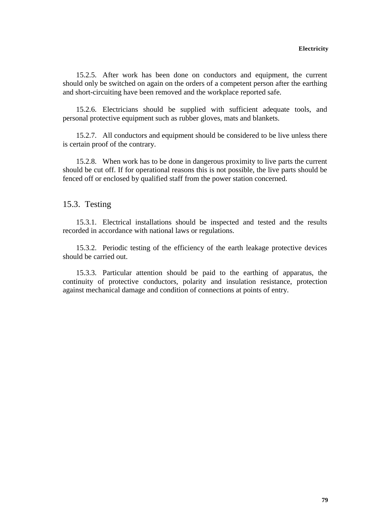15.2.5. After work has been done on conductors and equipment, the current should only be switched on again on the orders of a competent person after the earthing and short-circuiting have been removed and the workplace reported safe.

15.2.6. Electricians should be supplied with sufficient adequate tools, and personal protective equipment such as rubber gloves, mats and blankets.

15.2.7. All conductors and equipment should be considered to be live unless there is certain proof of the contrary.

15.2.8. When work has to be done in dangerous proximity to live parts the current should be cut off. If for operational reasons this is not possible, the live parts should be fenced off or enclosed by qualified staff from the power station concerned.

# 15.3. Testing

15.3.1. Electrical installations should be inspected and tested and the results recorded in accordance with national laws or regulations.

15.3.2. Periodic testing of the efficiency of the earth leakage protective devices should be carried out.

15.3.3. Particular attention should be paid to the earthing of apparatus, the continuity of protective conductors, polarity and insulation resistance, protection against mechanical damage and condition of connections at points of entry.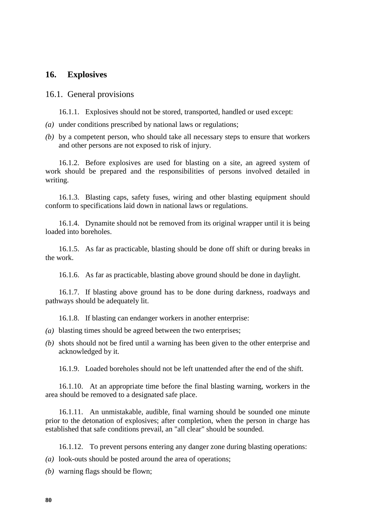# **16. Explosives**

## 16.1. General provisions

16.1.1. Explosives should not be stored, transported, handled or used except:

- *(a)* under conditions prescribed by national laws or regulations;
- *(b)* by a competent person, who should take all necessary steps to ensure that workers and other persons are not exposed to risk of injury.

16.1.2. Before explosives are used for blasting on a site, an agreed system of work should be prepared and the responsibilities of persons involved detailed in writing.

16.1.3. Blasting caps, safety fuses, wiring and other blasting equipment should conform to specifications laid down in national laws or regulations.

16.1.4. Dynamite should not be removed from its original wrapper until it is being loaded into boreholes.

16.1.5. As far as practicable, blasting should be done off shift or during breaks in the work.

16.1.6. As far as practicable, blasting above ground should be done in daylight.

16.1.7. If blasting above ground has to be done during darkness, roadways and pathways should be adequately lit.

16.1.8. If blasting can endanger workers in another enterprise:

- *(a)* blasting times should be agreed between the two enterprises;
- *(b)* shots should not be fired until a warning has been given to the other enterprise and acknowledged by it.

16.1.9. Loaded boreholes should not be left unattended after the end of the shift.

16.1.10. At an appropriate time before the final blasting warning, workers in the area should be removed to a designated safe place.

16.1.11. An unmistakable, audible, final warning should be sounded one minute prior to the detonation of explosives; after completion, when the person in charge has established that safe conditions prevail, an "all clear" should be sounded.

16.1.12. To prevent persons entering any danger zone during blasting operations:

*(a)* look-outs should be posted around the area of operations;

*(b)* warning flags should be flown;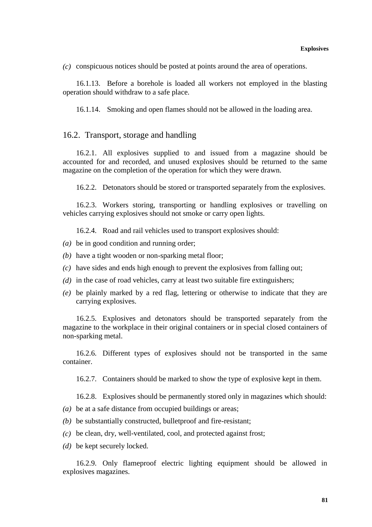*(c)* conspicuous notices should be posted at points around the area of operations.

16.1.13. Before a borehole is loaded all workers not employed in the blasting operation should withdraw to a safe place.

16.1.14. Smoking and open flames should not be allowed in the loading area.

## 16.2. Transport, storage and handling

16.2.1. All explosives supplied to and issued from a magazine should be accounted for and recorded, and unused explosives should be returned to the same magazine on the completion of the operation for which they were drawn.

16.2.2. Detonators should be stored or transported separately from the explosives.

16.2.3. Workers storing, transporting or handling explosives or travelling on vehicles carrying explosives should not smoke or carry open lights.

16.2.4. Road and rail vehicles used to transport explosives should:

- *(a)* be in good condition and running order;
- *(b)* have a tight wooden or non-sparking metal floor;
- *(c)* have sides and ends high enough to prevent the explosives from falling out;
- *(d)* in the case of road vehicles, carry at least two suitable fire extinguishers;
- *(e)* be plainly marked by a red flag, lettering or otherwise to indicate that they are carrying explosives.

16.2.5. Explosives and detonators should be transported separately from the magazine to the workplace in their original containers or in special closed containers of non-sparking metal.

16.2.6. Different types of explosives should not be transported in the same container.

16.2.7. Containers should be marked to show the type of explosive kept in them.

16.2.8. Explosives should be permanently stored only in magazines which should:

- *(a)* be at a safe distance from occupied buildings or areas;
- *(b)* be substantially constructed, bulletproof and fire-resistant;
- *(c)* be clean, dry, well-ventilated, cool, and protected against frost;
- *(d)* be kept securely locked.

16.2.9. Only flameproof electric lighting equipment should be allowed in explosives magazines.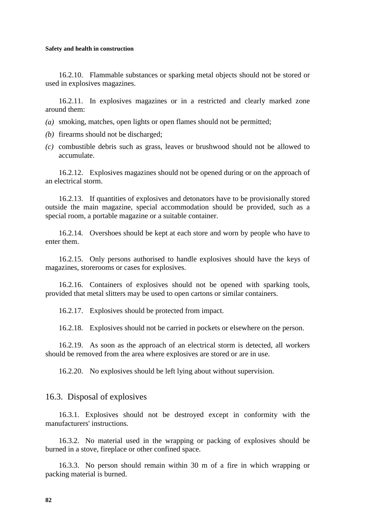16.2.10. Flammable substances or sparking metal objects should not be stored or used in explosives magazines.

16.2.11. In explosives magazines or in a restricted and clearly marked zone around them:

- *(a)* smoking, matches, open lights or open flames should not be permitted;
- *(b)* firearms should not be discharged;
- *(c)* combustible debris such as grass, leaves or brushwood should not be allowed to accumulate.

16.2.12. Explosives magazines should not be opened during or on the approach of an electrical storm.

16.2.13. If quantities of explosives and detonators have to be provisionally stored outside the main magazine, special accommodation should be provided, such as a special room, a portable magazine or a suitable container.

16.2.14. Overshoes should be kept at each store and worn by people who have to enter them.

16.2.15. Only persons authorised to handle explosives should have the keys of magazines, storerooms or cases for explosives.

16.2.16. Containers of explosives should not be opened with sparking tools, provided that metal slitters may be used to open cartons or similar containers.

16.2.17. Explosives should be protected from impact.

16.2.18. Explosives should not be carried in pockets or elsewhere on the person.

16.2.19. As soon as the approach of an electrical storm is detected, all workers should be removed from the area where explosives are stored or are in use.

16.2.20. No explosives should be left lying about without supervision.

## 16.3. Disposal of explosives

16.3.1. Explosives should not be destroyed except in conformity with the manufacturers' instructions.

16.3.2. No material used in the wrapping or packing of explosives should be burned in a stove, fireplace or other confined space.

16.3.3. No person should remain within 30 m of a fire in which wrapping or packing material is burned.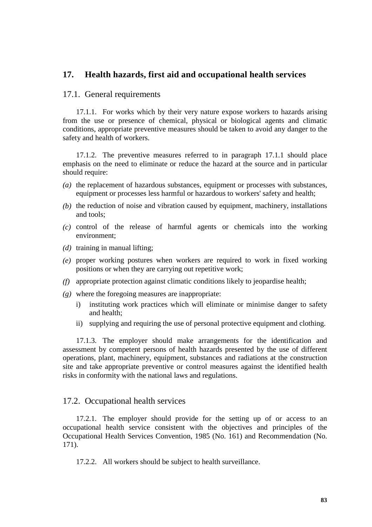# **17. Health hazards, first aid and occupational health services**

# 17.1. General requirements

17.1.1. For works which by their very nature expose workers to hazards arising from the use or presence of chemical, physical or biological agents and climatic conditions, appropriate preventive measures should be taken to avoid any danger to the safety and health of workers.

17.1.2. The preventive measures referred to in paragraph 17.1.1 should place emphasis on the need to eliminate or reduce the hazard at the source and in particular should require:

- *(a)* the replacement of hazardous substances, equipment or processes with substances, equipment or processes less harmful or hazardous to workers' safety and health;
- *(b)* the reduction of noise and vibration caused by equipment, machinery, installations and tools;
- *(c)* control of the release of harmful agents or chemicals into the working environment;
- *(d)* training in manual lifting;
- *(e)* proper working postures when workers are required to work in fixed working positions or when they are carrying out repetitive work;
- *(f)* appropriate protection against climatic conditions likely to jeopardise health;
- *(g)* where the foregoing measures are inappropriate:
	- i) instituting work practices which will eliminate or minimise danger to safety and health;
	- ii) supplying and requiring the use of personal protective equipment and clothing.

17.1.3. The employer should make arrangements for the identification and assessment by competent persons of health hazards presented by the use of different operations, plant, machinery, equipment, substances and radiations at the construction site and take appropriate preventive or control measures against the identified health risks in conformity with the national laws and regulations.

# 17.2. Occupational health services

17.2.1. The employer should provide for the setting up of or access to an occupational health service consistent with the objectives and principles of the Occupational Health Services Convention, 1985 (No. 161) and Recommendation (No. 171).

17.2.2. All workers should be subject to health surveillance.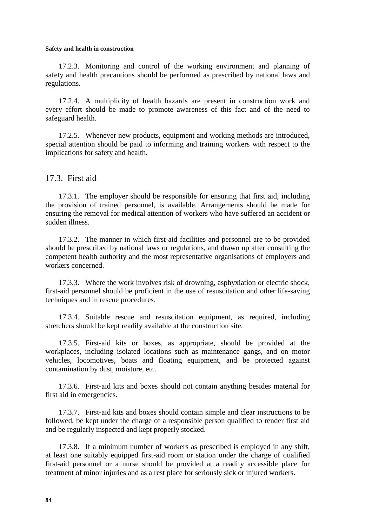17.2.3. Monitoring and control of the working environment and planning of safety and health precautions should be performed as prescribed by national laws and regulations.

17.2.4. A multiplicity of health hazards are present in construction work and every effort should be made to promote awareness of this fact and of the need to safeguard health.

17.2.5. Whenever new products, equipment and working methods are introduced, special attention should be paid to informing and training workers with respect to the implications for safety and health.

## 17.3. First aid

17.3.1. The employer should be responsible for ensuring that first aid, including the provision of trained personnel, is available. Arrangements should be made for ensuring the removal for medical attention of workers who have suffered an accident or sudden illness.

17.3.2. The manner in which first-aid facilities and personnel are to be provided should be prescribed by national laws or regulations, and drawn up after consulting the competent health authority and the most representative organisations of employers and workers concerned.

17.3.3. Where the work involves risk of drowning, asphyxiation or electric shock, first-aid personnel should be proficient in the use of resuscitation and other life-saving techniques and in rescue procedures.

17.3.4. Suitable rescue and resuscitation equipment, as required, including stretchers should be kept readily available at the construction site.

17.3.5. First-aid kits or boxes, as appropriate, should be provided at the workplaces, including isolated locations such as maintenance gangs, and on motor vehicles, locomotives, boats and floating equipment, and be protected against contamination by dust, moisture, etc.

17.3.6. First-aid kits and boxes should not contain anything besides material for first aid in emergencies.

17.3.7. First-aid kits and boxes should contain simple and clear instructions to be followed, be kept under the charge of a responsible person qualified to render first aid and be regularly inspected and kept properly stocked.

17.3.8. If a minimum number of workers as prescribed is employed in any shift, at least one suitably equipped first-aid room or station under the charge of qualified first-aid personnel or a nurse should be provided at a readily accessible place for treatment of minor injuries and as a rest place for seriously sick or injured workers.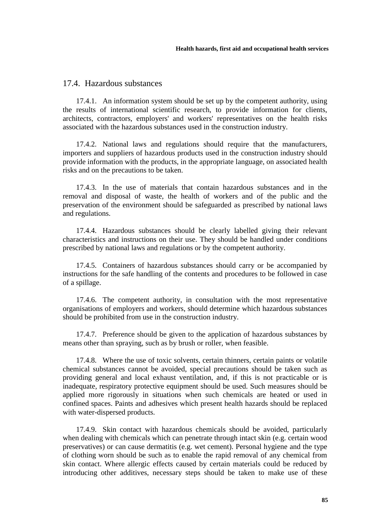# 17.4. Hazardous substances

17.4.1. An information system should be set up by the competent authority, using the results of international scientific research, to provide information for clients, architects, contractors, employers' and workers' representatives on the health risks associated with the hazardous substances used in the construction industry.

17.4.2. National laws and regulations should require that the manufacturers, importers and suppliers of hazardous products used in the construction industry should provide information with the products, in the appropriate language, on associated health risks and on the precautions to be taken.

17.4.3. In the use of materials that contain hazardous substances and in the removal and disposal of waste, the health of workers and of the public and the preservation of the environment should be safeguarded as prescribed by national laws and regulations.

17.4.4. Hazardous substances should be clearly labelled giving their relevant characteristics and instructions on their use. They should be handled under conditions prescribed by national laws and regulations or by the competent authority.

17.4.5. Containers of hazardous substances should carry or be accompanied by instructions for the safe handling of the contents and procedures to be followed in case of a spillage.

17.4.6. The competent authority, in consultation with the most representative organisations of employers and workers, should determine which hazardous substances should be prohibited from use in the construction industry.

17.4.7. Preference should be given to the application of hazardous substances by means other than spraying, such as by brush or roller, when feasible.

17.4.8. Where the use of toxic solvents, certain thinners, certain paints or volatile chemical substances cannot be avoided, special precautions should be taken such as providing general and local exhaust ventilation, and, if this is not practicable or is inadequate, respiratory protective equipment should be used. Such measures should be applied more rigorously in situations when such chemicals are heated or used in confined spaces. Paints and adhesives which present health hazards should be replaced with water-dispersed products.

17.4.9. Skin contact with hazardous chemicals should be avoided, particularly when dealing with chemicals which can penetrate through intact skin (e.g. certain wood preservatives) or can cause dermatitis (e.g. wet cement). Personal hygiene and the type of clothing worn should be such as to enable the rapid removal of any chemical from skin contact. Where allergic effects caused by certain materials could be reduced by introducing other additives, necessary steps should be taken to make use of these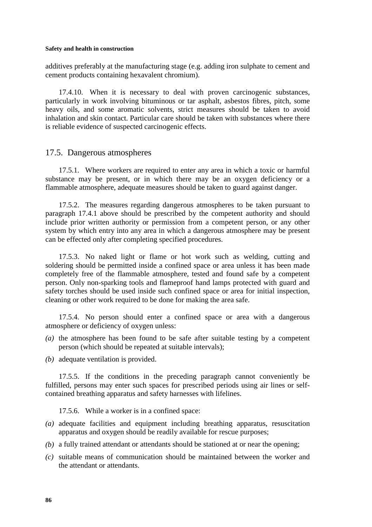additives preferably at the manufacturing stage (e.g. adding iron sulphate to cement and cement products containing hexavalent chromium).

17.4.10. When it is necessary to deal with proven carcinogenic substances, particularly in work involving bituminous or tar asphalt, asbestos fibres, pitch, some heavy oils, and some aromatic solvents, strict measures should be taken to avoid inhalation and skin contact. Particular care should be taken with substances where there is reliable evidence of suspected carcinogenic effects.

## 17.5. Dangerous atmospheres

17.5.1. Where workers are required to enter any area in which a toxic or harmful substance may be present, or in which there may be an oxygen deficiency or a flammable atmosphere, adequate measures should be taken to guard against danger.

17.5.2. The measures regarding dangerous atmospheres to be taken pursuant to paragraph 17.4.1 above should be prescribed by the competent authority and should include prior written authority or permission from a competent person, or any other system by which entry into any area in which a dangerous atmosphere may be present can be effected only after completing specified procedures.

17.5.3. No naked light or flame or hot work such as welding, cutting and soldering should be permitted inside a confined space or area unless it has been made completely free of the flammable atmosphere, tested and found safe by a competent person. Only non-sparking tools and flameproof hand lamps protected with guard and safety torches should be used inside such confined space or area for initial inspection, cleaning or other work required to be done for making the area safe.

17.5.4. No person should enter a confined space or area with a dangerous atmosphere or deficiency of oxygen unless:

- *(a)* the atmosphere has been found to be safe after suitable testing by a competent person (which should be repeated at suitable intervals);
- *(b)* adequate ventilation is provided.

17.5.5. If the conditions in the preceding paragraph cannot conveniently be fulfilled, persons may enter such spaces for prescribed periods using air lines or selfcontained breathing apparatus and safety harnesses with lifelines.

17.5.6. While a worker is in a confined space:

- *(a)* adequate facilities and equipment including breathing apparatus, resuscitation apparatus and oxygen should be readily available for rescue purposes;
- *(b)* a fully trained attendant or attendants should be stationed at or near the opening;
- *(c)* suitable means of communication should be maintained between the worker and the attendant or attendants.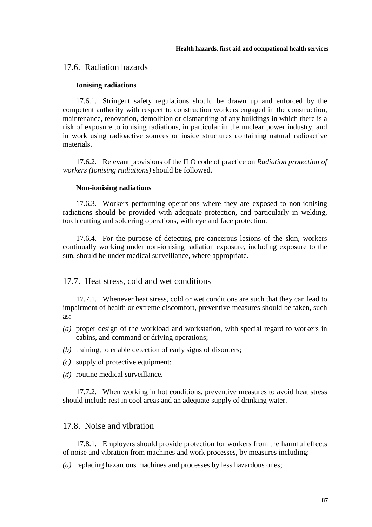## 17.6. Radiation hazards

### **Ionising radiations**

17.6.1. Stringent safety regulations should be drawn up and enforced by the competent authority with respect to construction workers engaged in the construction, maintenance, renovation, demolition or dismantling of any buildings in which there is a risk of exposure to ionising radiations, in particular in the nuclear power industry, and in work using radioactive sources or inside structures containing natural radioactive materials.

17.6.2. Relevant provisions of the ILO code of practice on *Radiation protection of workers (Ionising radiations)* should be followed.

### **Non-ionising radiations**

17.6.3. Workers performing operations where they are exposed to non-ionising radiations should be provided with adequate protection, and particularly in welding, torch cutting and soldering operations, with eye and face protection.

17.6.4. For the purpose of detecting pre-cancerous lesions of the skin, workers continually working under non-ionising radiation exposure, including exposure to the sun, should be under medical surveillance, where appropriate.

## 17.7. Heat stress, cold and wet conditions

17.7.1. Whenever heat stress, cold or wet conditions are such that they can lead to impairment of health or extreme discomfort, preventive measures should be taken, such as:

- *(a)* proper design of the workload and workstation, with special regard to workers in cabins, and command or driving operations;
- *(b)* training, to enable detection of early signs of disorders;
- *(c)* supply of protective equipment;
- *(d)* routine medical surveillance.

17.7.2. When working in hot conditions, preventive measures to avoid heat stress should include rest in cool areas and an adequate supply of drinking water.

# 17.8. Noise and vibration

17.8.1. Employers should provide protection for workers from the harmful effects of noise and vibration from machines and work processes, by measures including:

*(a)* replacing hazardous machines and processes by less hazardous ones;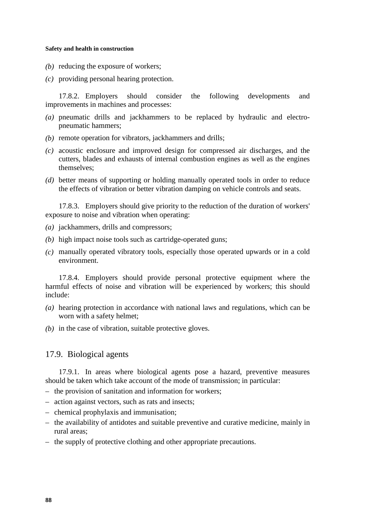- *(b)* reducing the exposure of workers;
- *(c)* providing personal hearing protection.

17.8.2. Employers should consider the following developments and improvements in machines and processes:

- *(a)* pneumatic drills and jackhammers to be replaced by hydraulic and electropneumatic hammers;
- *(b)* remote operation for vibrators, jackhammers and drills;
- *(c)* acoustic enclosure and improved design for compressed air discharges, and the cutters, blades and exhausts of internal combustion engines as well as the engines themselves;
- *(d)* better means of supporting or holding manually operated tools in order to reduce the effects of vibration or better vibration damping on vehicle controls and seats.

17.8.3. Employers should give priority to the reduction of the duration of workers' exposure to noise and vibration when operating:

- *(a)* jackhammers, drills and compressors;
- *(b)* high impact noise tools such as cartridge-operated guns;
- *(c)* manually operated vibratory tools, especially those operated upwards or in a cold environment.

17.8.4. Employers should provide personal protective equipment where the harmful effects of noise and vibration will be experienced by workers; this should include:

- *(a)* hearing protection in accordance with national laws and regulations, which can be worn with a safety helmet;
- *(b)* in the case of vibration, suitable protective gloves.

# 17.9. Biological agents

17.9.1. In areas where biological agents pose a hazard, preventive measures should be taken which take account of the mode of transmission; in particular:

- the provision of sanitation and information for workers;
- action against vectors, such as rats and insects;
- chemical prophylaxis and immunisation;
- the availability of antidotes and suitable preventive and curative medicine, mainly in rural areas;
- the supply of protective clothing and other appropriate precautions.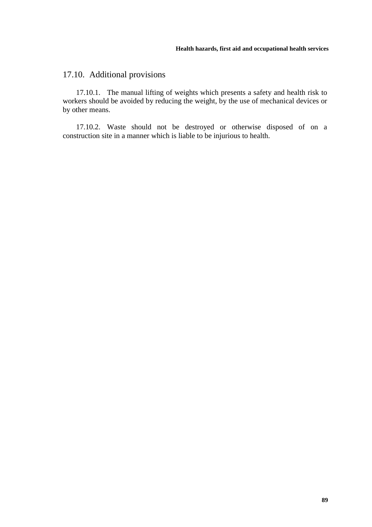# 17.10. Additional provisions

17.10.1. The manual lifting of weights which presents a safety and health risk to workers should be avoided by reducing the weight, by the use of mechanical devices or by other means.

17.10.2. Waste should not be destroyed or otherwise disposed of on a construction site in a manner which is liable to be injurious to health.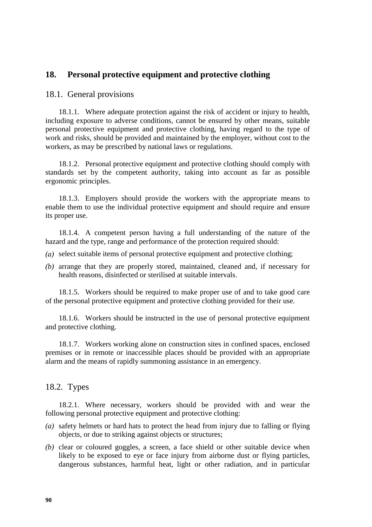# **18. Personal protective equipment and protective clothing**

## 18.1. General provisions

18.1.1. Where adequate protection against the risk of accident or injury to health, including exposure to adverse conditions, cannot be ensured by other means, suitable personal protective equipment and protective clothing, having regard to the type of work and risks, should be provided and maintained by the employer, without cost to the workers, as may be prescribed by national laws or regulations.

18.1.2. Personal protective equipment and protective clothing should comply with standards set by the competent authority, taking into account as far as possible ergonomic principles.

18.1.3. Employers should provide the workers with the appropriate means to enable them to use the individual protective equipment and should require and ensure its proper use.

18.1.4. A competent person having a full understanding of the nature of the hazard and the type, range and performance of the protection required should:

*(a)* select suitable items of personal protective equipment and protective clothing;

*(b)* arrange that they are properly stored, maintained, cleaned and, if necessary for health reasons, disinfected or sterilised at suitable intervals.

18.1.5. Workers should be required to make proper use of and to take good care of the personal protective equipment and protective clothing provided for their use.

18.1.6. Workers should be instructed in the use of personal protective equipment and protective clothing.

18.1.7. Workers working alone on construction sites in confined spaces, enclosed premises or in remote or inaccessible places should be provided with an appropriate alarm and the means of rapidly summoning assistance in an emergency.

# 18.2. Types

18.2.1. Where necessary, workers should be provided with and wear the following personal protective equipment and protective clothing:

- *(a)* safety helmets or hard hats to protect the head from injury due to falling or flying objects, or due to striking against objects or structures;
- *(b)* clear or coloured goggles, a screen, a face shield or other suitable device when likely to be exposed to eye or face injury from airborne dust or flying particles, dangerous substances, harmful heat, light or other radiation, and in particular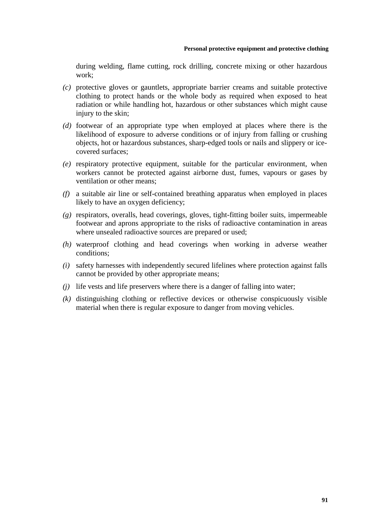### **Personal protective equipment and protective clothing**

during welding, flame cutting, rock drilling, concrete mixing or other hazardous work;

- *(c)* protective gloves or gauntlets, appropriate barrier creams and suitable protective clothing to protect hands or the whole body as required when exposed to heat radiation or while handling hot, hazardous or other substances which might cause injury to the skin;
- *(d)* footwear of an appropriate type when employed at places where there is the likelihood of exposure to adverse conditions or of injury from falling or crushing objects, hot or hazardous substances, sharp-edged tools or nails and slippery or icecovered surfaces;
- *(e)* respiratory protective equipment, suitable for the particular environment, when workers cannot be protected against airborne dust, fumes, vapours or gases by ventilation or other means;
- *(f)* a suitable air line or self-contained breathing apparatus when employed in places likely to have an oxygen deficiency:
- *(g)* respirators, overalls, head coverings, gloves, tight-fitting boiler suits, impermeable footwear and aprons appropriate to the risks of radioactive contamination in areas where unsealed radioactive sources are prepared or used:
- *(h)* waterproof clothing and head coverings when working in adverse weather conditions;
- *(i)* safety harnesses with independently secured lifelines where protection against falls cannot be provided by other appropriate means;
- *(j)* life vests and life preservers where there is a danger of falling into water;
- *(k)* distinguishing clothing or reflective devices or otherwise conspicuously visible material when there is regular exposure to danger from moving vehicles.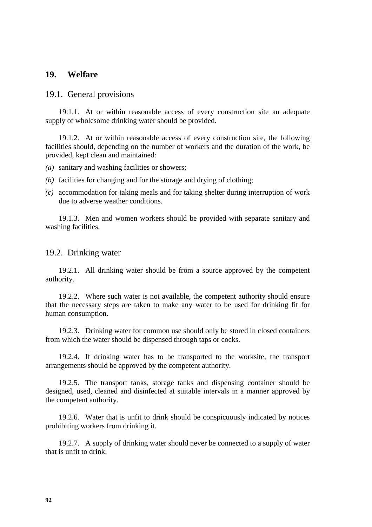# **19. Welfare**

## 19.1. General provisions

19.1.1. At or within reasonable access of every construction site an adequate supply of wholesome drinking water should be provided.

19.1.2. At or within reasonable access of every construction site, the following facilities should, depending on the number of workers and the duration of the work, be provided, kept clean and maintained:

- *(a)* sanitary and washing facilities or showers;
- *(b)* facilities for changing and for the storage and drying of clothing;
- *(c)* accommodation for taking meals and for taking shelter during interruption of work due to adverse weather conditions.

19.1.3. Men and women workers should be provided with separate sanitary and washing facilities.

## 19.2. Drinking water

19.2.1. All drinking water should be from a source approved by the competent authority.

19.2.2. Where such water is not available, the competent authority should ensure that the necessary steps are taken to make any water to be used for drinking fit for human consumption.

19.2.3. Drinking water for common use should only be stored in closed containers from which the water should be dispensed through taps or cocks.

19.2.4. If drinking water has to be transported to the worksite, the transport arrangements should be approved by the competent authority.

19.2.5. The transport tanks, storage tanks and dispensing container should be designed, used, cleaned and disinfected at suitable intervals in a manner approved by the competent authority.

19.2.6. Water that is unfit to drink should be conspicuously indicated by notices prohibiting workers from drinking it.

19.2.7. A supply of drinking water should never be connected to a supply of water that is unfit to drink.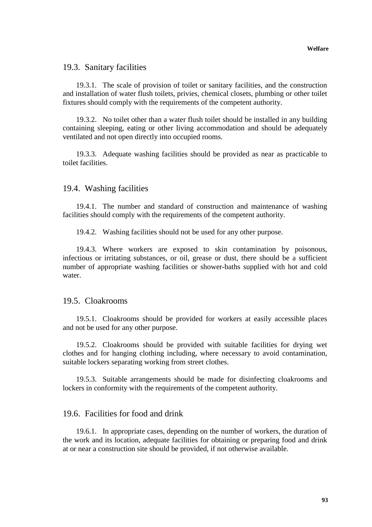## 19.3. Sanitary facilities

19.3.1. The scale of provision of toilet or sanitary facilities, and the construction and installation of water flush toilets, privies, chemical closets, plumbing or other toilet fixtures should comply with the requirements of the competent authority.

19.3.2. No toilet other than a water flush toilet should be installed in any building containing sleeping, eating or other living accommodation and should be adequately ventilated and not open directly into occupied rooms.

19.3.3. Adequate washing facilities should be provided as near as practicable to toilet facilities.

## 19.4. Washing facilities

19.4.1. The number and standard of construction and maintenance of washing facilities should comply with the requirements of the competent authority.

19.4.2. Washing facilities should not be used for any other purpose.

19.4.3. Where workers are exposed to skin contamination by poisonous, infectious or irritating substances, or oil, grease or dust, there should be a sufficient number of appropriate washing facilities or shower-baths supplied with hot and cold water.

## 19.5. Cloakrooms

19.5.1. Cloakrooms should be provided for workers at easily accessible places and not be used for any other purpose.

19.5.2. Cloakrooms should be provided with suitable facilities for drying wet clothes and for hanging clothing including, where necessary to avoid contamination, suitable lockers separating working from street clothes.

19.5.3. Suitable arrangements should be made for disinfecting cloakrooms and lockers in conformity with the requirements of the competent authority.

# 19.6. Facilities for food and drink

19.6.1. In appropriate cases, depending on the number of workers, the duration of the work and its location, adequate facilities for obtaining or preparing food and drink at or near a construction site should be provided, if not otherwise available.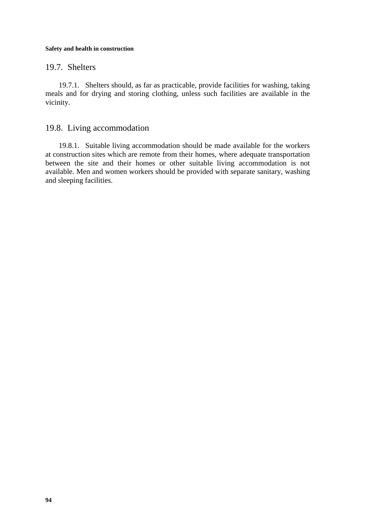# 19.7. Shelters

19.7.1. Shelters should, as far as practicable, provide facilities for washing, taking meals and for drying and storing clothing, unless such facilities are available in the vicinity.

# 19.8. Living accommodation

19.8.1. Suitable living accommodation should be made available for the workers at construction sites which are remote from their homes, where adequate transportation between the site and their homes or other suitable living accommodation is not available. Men and women workers should be provided with separate sanitary, washing and sleeping facilities.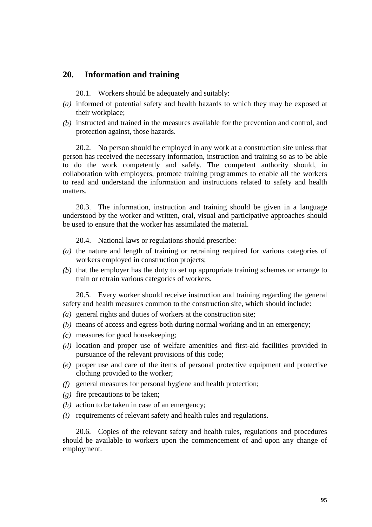# **20. Information and training**

20.1. Workers should be adequately and suitably:

- *(a)* informed of potential safety and health hazards to which they may be exposed at their workplace;
- *(b)* instructed and trained in the measures available for the prevention and control, and protection against, those hazards.

20.2. No person should be employed in any work at a construction site unless that person has received the necessary information, instruction and training so as to be able to do the work competently and safely. The competent authority should, in collaboration with employers, promote training programmes to enable all the workers to read and understand the information and instructions related to safety and health matters.

20.3. The information, instruction and training should be given in a language understood by the worker and written, oral, visual and participative approaches should be used to ensure that the worker has assimilated the material.

20.4. National laws or regulations should prescribe:

- *(a)* the nature and length of training or retraining required for various categories of workers employed in construction projects;
- *(b)* that the employer has the duty to set up appropriate training schemes or arrange to train or retrain various categories of workers.

20.5. Every worker should receive instruction and training regarding the general safety and health measures common to the construction site, which should include:

- *(a)* general rights and duties of workers at the construction site;
- *(b)* means of access and egress both during normal working and in an emergency;
- *(c)* measures for good housekeeping;
- *(d)* location and proper use of welfare amenities and first-aid facilities provided in pursuance of the relevant provisions of this code;
- *(e)* proper use and care of the items of personal protective equipment and protective clothing provided to the worker;
- *(f)* general measures for personal hygiene and health protection;
- *(g)* fire precautions to be taken;
- *(h)* action to be taken in case of an emergency;
- *(i)* requirements of relevant safety and health rules and regulations.

20.6. Copies of the relevant safety and health rules, regulations and procedures should be available to workers upon the commencement of and upon any change of employment.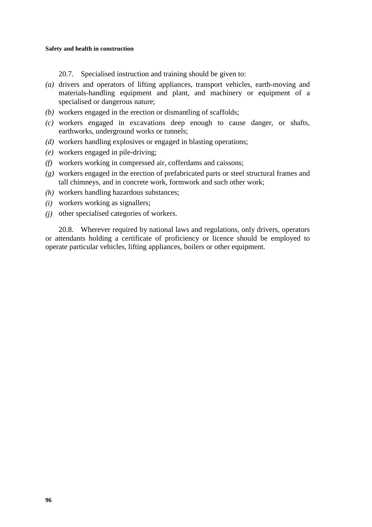20.7. Specialised instruction and training should be given to:

- *(a)* drivers and operators of lifting appliances, transport vehicles, earth-moving and materials-handling equipment and plant, and machinery or equipment of a specialised or dangerous nature;
- *(b)* workers engaged in the erection or dismantling of scaffolds;
- *(c)* workers engaged in excavations deep enough to cause danger, or shafts, earthworks, underground works or tunnels;
- *(d)* workers handling explosives or engaged in blasting operations;
- *(e)* workers engaged in pile-driving;
- *(f)* workers working in compressed air, cofferdams and caissons;
- *(g)* workers engaged in the erection of prefabricated parts or steel structural frames and tall chimneys, and in concrete work, formwork and such other work;
- *(h)* workers handling hazardous substances;
- *(i)* workers working as signallers;
- *(j)* other specialised categories of workers.

20.8. Wherever required by national laws and regulations, only drivers, operators or attendants holding a certificate of proficiency or licence should be employed to operate particular vehicles, lifting appliances, boilers or other equipment.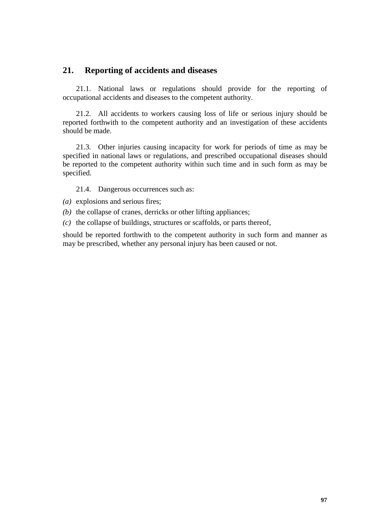# **21. Reporting of accidents and diseases**

21.1. National laws or regulations should provide for the reporting of occupational accidents and diseases to the competent authority.

21.2. All accidents to workers causing loss of life or serious injury should be reported forthwith to the competent authority and an investigation of these accidents should be made.

21.3. Other injuries causing incapacity for work for periods of time as may be specified in national laws or regulations, and prescribed occupational diseases should be reported to the competent authority within such time and in such form as may be specified.

21.4. Dangerous occurrences such as:

*(a)* explosions and serious fires;

*(b)* the collapse of cranes, derricks or other lifting appliances;

*(c)* the collapse of buildings, structures or scaffolds, or parts thereof,

should be reported forthwith to the competent authority in such form and manner as may be prescribed, whether any personal injury has been caused or not.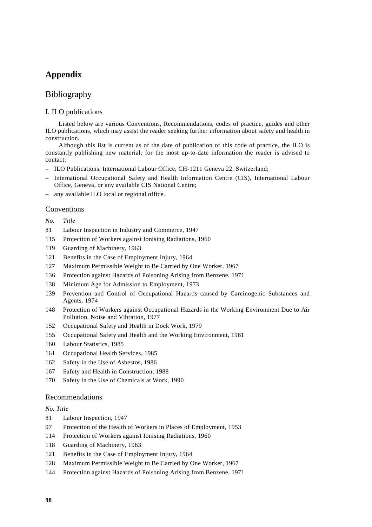# **Appendix**

## Bibliography

## I. ILO publications

Listed below are various Conventions, Recommendations, codes of practice, guides and other ILO publications, which may assist the reader seeking further information about safety and health in construction.

Although this list is current as of the date of publication of this code of practice, the ILO is constantly publishing new material; for the most up-to-date information the reader is advised to contact:

- ILO Publications, International Labour Office, CH-1211 Geneva 22, Switzerland;
- International Occupational Safety and Health Information Centre (CIS), International Labour Office, Geneva, or any available CIS National Centre;
- any available ILO local or regional office.

## Conventions

- *No. Title*
- 81 Labour Inspection in Industry and Commerce, 1947
- 115 Protection of Workers against Ionising Radiations, 1960
- 119 Guarding of Machinery, 1963
- 121 Benefits in the Case of Employment Injury, 1964
- 127 Maximum Permissible Weight to Be Carried by One Worker, 1967
- 136 Protection against Hazards of Poisoning Arising from Benzene, 1971
- 138 Minimum Age for Admission to Employment, 1973
- 139 Prevention and Control of Occupational Hazards caused by Carcinogenic Substances and Agents, 1974
- 148 Protection of Workers against Occupational Hazards in the Working Environment Due to Air Pollution, Noise and Vibration, 1977
- 152 Occupational Safety and Health in Dock Work, 1979
- 155 Occupational Safety and Health and the Working Environment, 1981
- 160 Labour Statistics, 1985
- 161 Occupational Health Services, 1985
- 162 Safety in the Use of Asbestos, 1986
- 167 Safety and Health in Construction, 1988
- 170 Safety in the Use of Chemicals at Work, 1990

## Recommendations

### *No. Title*

- 81 Labour Inspection, 1947
- 97 Protection of the Health of Workers in Places of Employment, 1953
- 114 Protection of Workers against Ionising Radiations, 1960
- 118 Guarding of Machinery, 1963
- 121 Benefits in the Case of Employment Injury, 1964
- 128 Maximum Permissible Weight to Be Carried by One Worker, 1967
- 144 Protection against Hazards of Poisoning Arising from Benzene, 1971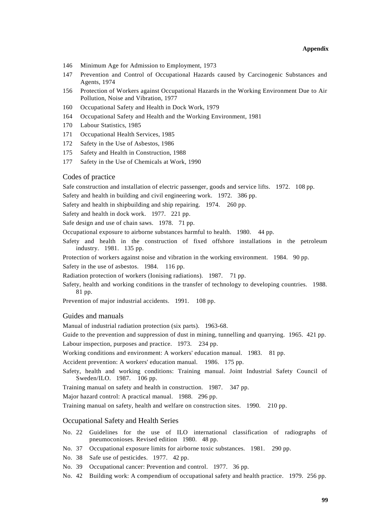#### **Appendix**

- 146 Minimum Age for Admission to Employment, 1973
- 147 Prevention and Control of Occupational Hazards caused by Carcinogenic Substances and Agents, 1974
- 156 Protection of Workers against Occupational Hazards in the Working Environment Due to Air Pollution, Noise and Vibration, 1977
- 160 Occupational Safety and Health in Dock Work, 1979
- 164 Occupational Safety and Health and the Working Environment, 1981
- 170 Labour Statistics, 1985
- 171 Occupational Health Services, 1985
- 172 Safety in the Use of Asbestos, 1986
- 175 Safety and Health in Construction, 1988
- 177 Safety in the Use of Chemicals at Work, 1990

#### Codes of practice

Safe construction and installation of electric passenger, goods and service lifts. 1972. 108 pp.

Safety and health in building and civil engineering work. 1972. 386 pp.

Safety and health in shipbuilding and ship repairing. 1974. 260 pp.

Safety and health in dock work. 1977. 221 pp.

Safe design and use of chain saws. 1978. 71 pp.

Occupational exposure to airborne substances harmful to health. 1980. 44 pp.

Safety and health in the construction of fixed offshore installations in the petroleum industry. 1981. 135 pp.

Protection of workers against noise and vibration in the working environment. 1984. 90 pp.

Safety in the use of asbestos. 1984. 116 pp.

Radiation protection of workers (Ionising radiations). 1987. 71 pp.

Safety, health and working conditions in the transfer of technology to developing countries. 1988. 81 pp.

Prevention of major industrial accidents. 1991. 108 pp.

#### Guides and manuals

Manual of industrial radiation protection (six parts). 1963-68.

Guide to the prevention and suppression of dust in mining, tunnelling and quarrying. 1965. 421 pp.

Labour inspection, purposes and practice. 1973. 234 pp.

Working conditions and environment: A workers' education manual. 1983. 81 pp.

Accident prevention: A workers' education manual. 1986. 175 pp.

Safety, health and working conditions: Training manual. Joint Industrial Safety Council of Sweden/ILO. 1987. 106 pp.

Training manual on safety and health in construction. 1987. 347 pp.

Major hazard control: A practical manual. 1988. 296 pp.

Training manual on safety, health and welfare on construction sites. 1990. 210 pp.

#### Occupational Safety and Health Series

- No. 22 Guidelines for the use of ILO international classification of radiographs of pneumoconioses. Revised edition 1980. 48 pp.
- No. 37 Occupational exposure limits for airborne toxic substances. 1981. 290 pp.
- No. 38 Safe use of pesticides. 1977. 42 pp.
- No. 39 Occupational cancer: Prevention and control. 1977. 36 pp.
- No. 42 Building work: A compendium of occupational safety and health practice. 1979. 256 pp.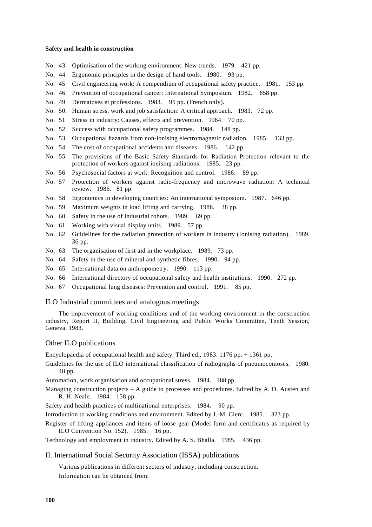- No. 43 Optimisation of the working environment: New trends. 1979. 421 pp.
- No. 44 Ergonomic principles in the design of hand tools. 1980. 93 pp.
- No. 45 Civil engineering work: A compendium of occupational safety practice. 1981. 153 pp.
- No. 46 Prevention of occupational cancer: International Symposium. 1982. 658 pp.
- No. 49 Dermatoses et professions. 1983. 95 pp. (French only).
- No. 50. Human stress, work and job satisfaction: A critical approach. 1983. 72 pp.
- No. 51 Stress in industry: Causes, effects and prevention. 1984. 70 pp.
- No. 52 Success with occupational safety programmes. 1984. 148 pp.
- No. 53 Occupational hazards from non-ionising electromagnetic radiation. 1985. 133 pp.
- No. 54 The cost of occupational accidents and diseases. 1986. 142 pp.
- No. 55 The provisions of the Basic Safety Standards for Radiation Protection relevant to the protection of workers against ionising radiations. 1985. 23 pp.
- No. 56 Psychosocial factors at work: Recognition and control. 1986. 89 pp.
- No. 57 Protection of workers against radio-frequency and microwave radiation: A technical review. 1986. 81 pp.
- No. 58 Ergonomics in developing countries: An international symposium. 1987. 646 pp.
- No. 59 Maximum weights in load lifting and carrying. 1988. 38 pp.
- No. 60 Safety in the use of industrial robots. 1989. 69 pp.
- No. 61 Working with visual display units. 1989. 57 pp.
- No. 62 Guidelines for the radiation protection of workers in industry (Ionising radiation). 1989. 36 pp.
- No. 63 The organisation of first aid in the workplace. 1989. 73 pp.
- No. 64 Safety in the use of mineral and synthetic fibres. 1990. 94 pp.
- No. 65 International data on anthropometry. 1990. 113 pp.
- No. 66 International directory of occupational safety and health institutions. 1990. 272 pp.
- No. 67 Occupational lung diseases: Prevention and control. 1991. 85 pp.

#### ILO Industrial committees and analogous meetings

The improvement of working conditions and of the working environment in the construction industry, Report II, Building, Civil Engineering and Public Works Committee, Tenth Session, Geneva, 1983.

#### Other ILO publications

Encyclopaedia of occupational health and safety. Third ed., 1983. 1176 pp. + 1361 pp.

Guidelines for the use of ILO international classification of radiographs of pneumoconioses. 1980. 48 pp.

Automation, work organisation and occupational stress. 1984. 188 pp.

Managing construction projects – A guide to processes and procedures. Edited by A. D. Austen and R. H. Neale. 1984. 158 pp.

Safety and health practices of multinational enterprises. 1984. 90 pp.

Introduction to working conditions and environment. Edited by J.-M. Clerc. 1985. 323 pp.

Register of lifting appliances and items of loose gear (Model form and certificates as required by ILO Convention No. 152). 1985. 16 pp.

Technology and employment in industry. Edited by A. S. Bhalla. 1985. 436 pp.

## II. International Social Security Association (ISSA) publications

Various publications in different sectors of industry, including construction. Information can be obtained from: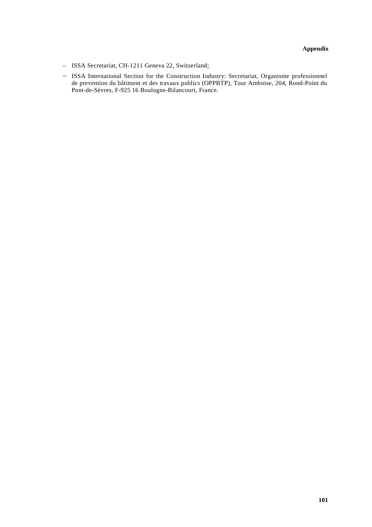## **Appendix**

- ISSA Secretariat, CH-1211 Geneva 22, Switzerland;
- ISSA International Section for the Construction Industry: Secretariat, Organisme professionnel de prevention du bâtiment et des travaux publics (OPPBTP), Tour Amboise, 204, Rond-Point du Pont-de-Sévres, F-925 16 Boulogne-Bilancourt, France.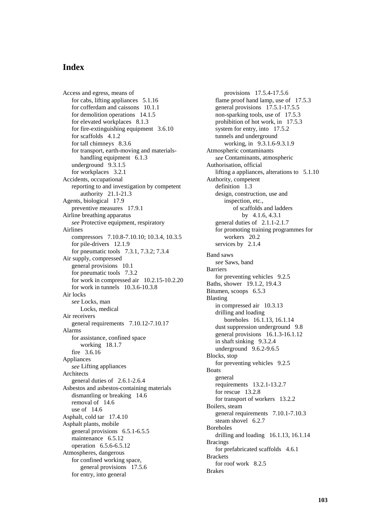Access and egress, means of for cabs, lifting appliances 5.1.16 for cofferdam and caissons 10.1.1 for demolition operations 14.1.5 for elevated workplaces 8.1.3 for fire-extinguishing equipment 3.6.10 for scaffolds 4.1.2 for tall chimneys 8.3.6 for transport, earth-moving and materialshandling equipment 6.1.3 underground 9.3.1.5 for workplaces 3.2.1 Accidents, occupational reporting to and investigation by competent authority 21.1-21.3 Agents, biological 17.9 preventive measures 17.9.1 Airline breathing apparatus *see* Protective equipment, respiratory Airlines compressors 7.10.8-7.10.10; 10.3.4, 10.3.5 for pile-drivers 12.1.9 for pneumatic tools 7.3.1, 7.3.2; 7.3.4 Air supply, compressed general provisions 10.1 for pneumatic tools 7.3.2 for work in compressed air 10.2.15-10.2.20 for work in tunnels 10.3.6-10.3.8 Air locks *see* Locks, man Locks, medical Air receivers general requirements 7.10.12-7.10.17 Alarms for assistance, confined space working 18.1.7 fire 3.6.16 Appliances *see* Lifting appliances Architects general duties of 2.6.1-2.6.4 Asbestos and asbestos-containing materials dismantling or breaking 14.6 removal of 14.6 use of 14.6 Asphalt, cold tar 17.4.10 Asphalt plants, mobile general provisions 6.5.1-6.5.5 maintenance 6.5.12 operation 6.5.6-6.5.12 Atmospheres, dangerous for confined working space, general provisions 17.5.6 for entry, into general

provisions 17.5.4-17.5.6 flame proof hand lamp, use of 17.5.3 general provisions 17.5.1-17.5.5 non-sparking tools, use of 17.5.3 prohibition of hot work, in 17.5.3 system for entry, into 17.5.2 tunnels and underground working, in 9.3.1.6-9.3.1.9 Atmospheric contaminants *see* Contaminants, atmospheric Authorisation, official lifting a appliances, alterations to 5.1.10 Authority, competent definition 1.3 design, construction, use and inspection, etc., of scaffolds and ladders by 4.1.6, 4.3.1 general duties of 2.1.1-2.1.7 for promoting training programmes for workers 20.2 services by 2.1.4 Band saws *see* Saws, band Barriers for preventing vehicles 9.2.5 Baths, shower 19.1.2, 19.4.3 Bitumen, scoops 6.5.3 Blasting in compressed air 10.3.13 drilling and loading boreholes 16.1.13, 16.1.14 dust suppression underground 9.8 general provisions 16.1.3-16.1.12 in shaft sinking 9.3.2.4 underground 9.6.2-9.6.5 Blocks, stop for preventing vehicles 9.2.5 Boats general requirements 13.2.1-13.2.7 for rescue 13.2.8 for transport of workers 13.2.2 Boilers, steam general requirements 7.10.1-7.10.3 steam shovel 6.2.7 Boreholes drilling and loading 16.1.13, 16.1.14 Bracings for prefabricated scaffolds 4.6.1 **Brackets** for roof work 8.2.5 Brakes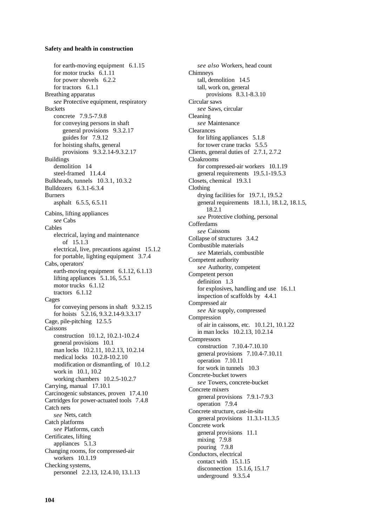for earth-moving equipment 6.1.15 for motor trucks 6.1.11 for power shovels 6.2.2 for tractors 6.1.1 Breathing apparatus *see* Protective equipment, respiratory **Buckets** concrete 7.9.5-7.9.8 for conveying persons in shaft general provisions 9.3.2.17 guides for 7.9.12 for hoisting shafts, general provisions 9.3.2.14-9.3.2.17 Buildings demolition 14 steel-framed 11.4.4 Bulkheads, tunnels 10.3.1, 10.3.2 Bulldozers 6.3.1-6.3.4 Burners asphalt 6.5.5, 6.5.11 Cabins, lifting appliances *see* Cabs Cables electrical, laying and maintenance of 15.1.3 electrical, live, precautions against 15.1.2 for portable, lighting equipment 3.7.4 Cabs, operators' earth-moving equipment 6.1.12, 6.1.13 lifting appliances 5.1.16, 5.5.1 motor trucks 6.1.12 tractors 6.1.12 Cages for conveying persons in shaft 9.3.2.15 for hoists 5.2.16, 9.3.2.14-9.3.3.17 Cage, pile-pitching 12.5.5 Caissons construction 10.1.2, 10.2.1-10.2.4 general provisions 10.1 man locks 10.2.11, 10.2.13, 10.2.14 medical locks 10.2.8-10.2.10 modification or dismantling, of 10.1.2 work in 10.1, 10.2 working chambers 10.2.5-10.2.7 Carrying, manual 17.10.1 Carcinogenic substances, proven 17.4.10 Cartridges for power-actuated tools 7.4.8 Catch nets *see* Nets, catch Catch platforms *see* Platforms, catch Certificates, lifting appliances 5.1.3 Changing rooms, for compressed-air workers 10.1.19 Checking systems, personnel 2.2.13, 12.4.10, 13.1.13

*see also* Workers, head count Chimneys tall, demolition 14.5 tall, work on, general provisions 8.3.1-8.3.10 Circular saws *see* Saws, circular Cleaning *see* Maintenance Clearances for lifting appliances 5.1.8 for tower crane tracks 5.5.5 Clients, general duties of 2.7.1, 2.7.2 Cloakrooms for compressed-air workers 10.1.19 general requirements 19.5.1-19.5.3 Closets, chemical 19.3.1 Clothing drying facilities for 19.7.1, 19.5.2 general requirements 18.1.1, 18.1.2, 18.1.5, 18.2.1 *see* Protective clothing, personal Cofferdams *see* Caissons Collapse of structures 3.4.2 Combustible materials *see* Materials, combustible Competent authority *see* Authority, competent Competent person definition 1.3 for explosives, handling and use 16.1.1 inspection of scaffolds by 4.4.1 Compressed air *see* Air supply, compressed Compression of air in caissons, etc. 10.1.21, 10.1.22 in man locks 10.2.13, 10.2.14 **Compressors** construction 7.10.4-7.10.10 general provisions 7.10.4-7.10.11 operation 7.10.11 for work in tunnels 10.3 Concrete-bucket towers *see* Towers, concrete-bucket Concrete mixers general provisions 7.9.1-7.9.3 operation 7.9.4 Concrete structure, cast-in-situ general provisions 11.3.1-11.3.5 Concrete work general provisions 11.1 mixing 7.9.8 pouring 7.9.8 Conductors, electrical contact with 15.1.15 disconnection 15.1.6, 15.1.7 underground 9.3.5.4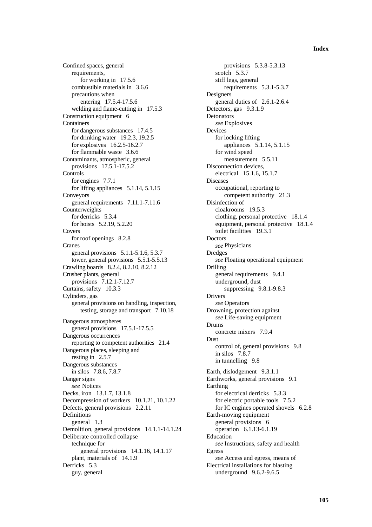Confined spaces, general requirements, for working in 17.5.6 combustible materials in 3.6.6 precautions when entering 17.5.4-17.5.6 welding and flame-cutting in 17.5.3 Construction equipment 6 Containers for dangerous substances 17.4.5 for drinking water 19.2.3, 19.2.5 for explosives 16.2.5-16.2.7 for flammable waste 3.6.6 Contaminants, atmospheric, general provisions 17.5.1-17.5.2 Controls for engines 7.7.1 for lifting appliances 5.1.14, 5.1.15 Conveyors general requirements 7.11.1-7.11.6 Counterweights for derricks 5.3.4 for hoists 5.2.19, 5.2.20 Covers for roof openings 8.2.8 Cranes general provisions 5.1.1-5.1.6, 5.3.7 tower, general provisions 5.5.1-5.5.13 Crawling boards 8.2.4, 8.2.10, 8.2.12 Crusher plants, general provisions 7.12.1-7.12.7 Curtains, safety 10.3.3 Cylinders, gas general provisions on handling, inspection, testing, storage and transport 7.10.18 Dangerous atmospheres general provisions 17.5.1-17.5.5 Dangerous occurrences reporting to competent authorities 21.4 Dangerous places, sleeping and resting in 2.5.7 Dangerous substances in silos 7.8.6, 7.8.7 Danger signs *see* Notices Decks, iron 13.1.7, 13.1.8 Decompression of workers 10.1.21, 10.1.22 Defects, general provisions 2.2.11 Definitions general 1.3 Demolition, general provisions 14.1.1-14.1.24 Deliberate controlled collapse technique for general provisions 14.1.16, 14.1.17 plant, materials of 14.1.9 Derricks 5.3 guy, general

provisions 5.3.8-5.3.13 scotch 5.3.7 stiff legs, general requirements 5.3.1-5.3.7 Designers general duties of 2.6.1-2.6.4 Detectors, gas 9.3.1.9 Detonators *see* Explosives Devices for locking lifting appliances 5.1.14, 5.1.15 for wind speed measurement 5.5.11 Disconnection devices, electrical 15.1.6, 15.1.7 Diseases occupational, reporting to competent authority 21.3 Disinfection of cloakrooms 19.5.3 clothing, personal protective 18.1.4 equipment, personal protective 18.1.4 toilet facilities 19.3.1 **Doctors** *see* Physicians Dredges *see* Floating operational equipment Drilling general requirements 9.4.1 underground, dust suppressing 9.8.1-9.8.3 Drivers *see* Operators Drowning, protection against *see* Life-saving equipment Drums concrete mixers 7.9.4 Dust control of, general provisions 9.8 in silos 7.8.7 in tunnelling 9.8 Earth, dislodgement 9.3.1.1 Earthworks, general provisions 9.1 Earthing for electrical derricks 5.3.3 for electric portable tools 7.5.2 for IC engines operated shovels 6.2.8 Earth-moving equipment general provisions 6 operation 6.1.13-6.1.19 Education *see* Instructions, safety and health Egress *see* Access and egress, means of Electrical installations for blasting underground 9.6.2-9.6.5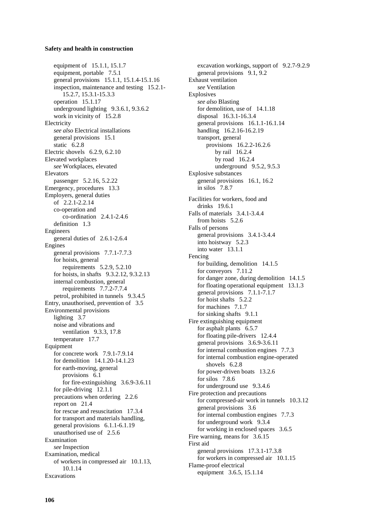equipment of 15.1.1, 15.1.7 equipment, portable 7.5.1 general provisions 15.1.1, 15.1.4-15.1.16 inspection, maintenance and testing 15.2.1- 15.2.7, 15.3.1-15.3.3 operation 15.1.17 underground lighting 9.3.6.1, 9.3.6.2 work in vicinity of 15.2.8 Electricity *see also* Electrical installations general provisions 15.1 static 6.2.8 Electric shovels 6.2.9, 6.2.10 Elevated workplaces *see* Workplaces, elevated Elevators passenger 5.2.16, 5.2.22 Emergency, procedures 13.3 Employers, general duties of 2.2.1-2.2.14 co-operation and co-ordination 2.4.1-2.4.6 definition 1.3 Engineers general duties of 2.6.1-2.6.4 Engines general provisions 7.7.1-7.7.3 for hoists, general requirements 5.2.9, 5.2.10 for hoists, in shafts 9.3.2.12, 9.3.2.13 internal combustion, general requirements 7.7.2-7.7.4 petrol, prohibited in tunnels 9.3.4.5 Entry, unauthorised, prevention of 3.5 Environmental provisions lighting 3.7 noise and vibrations and ventilation 9.3.3, 17.8 temperature 17.7 Equipment for concrete work 7.9.1-7.9.14 for demolition 14.1.20-14.1.23 for earth-moving, general provisions 6.1 for fire-extinguishing 3.6.9-3.6.11 for pile-driving 12.1.1 precautions when ordering 2.2.6 report on 21.4 for rescue and resuscitation 17.3.4 for transport and materials handling, general provisions 6.1.1-6.1.19 unauthorised use of 2.5.6 Examination *see* Inspection Examination, medical of workers in compressed air 10.1.13, 10.1.14 Excavations

excavation workings, support of 9.2.7-9.2.9 general provisions 9.1, 9.2 Exhaust ventilation *see* Ventilation Explosives *see also* Blasting for demolition, use of 14.1.18 disposal 16.3.1-16.3.4 general provisions 16.1.1-16.1.14 handling 16.2.16-16.2.19 transport, general provisions 16.2.2-16.2.6 by rail 16.2.4 by road 16.2.4 underground 9.5.2, 9.5.3 Explosive substances general provisions 16.1, 16.2 in silos 7.8.7 Facilities for workers, food and drinks 19.6.1 Falls of materials 3.4.1-3.4.4 from hoists 5.2.6 Falls of persons general provisions 3.4.1-3.4.4 into hoistway 5.2.3 into water 13.1.1 Fencing for building, demolition 14.1.5 for conveyors 7.11.2 for danger zone, during demolition 14.1.5 for floating operational equipment 13.1.3 general provisions 7.1.1-7.1.7 for hoist shafts 5.2.2 for machines 7.1.7 for sinking shafts 9.1.1 Fire extinguishing equipment for asphalt plants 6.5.7 for floating pile-drivers 12.4.4 general provisions 3.6.9-3.6.11 for internal combustion engines 7.7.3 for internal combustion engine-operated shovels 6.2.8 for power-driven boats 13.2.6 for silos 7.8.6 for underground use 9.3.4.6 Fire protection and precautions for compressed-air work in tunnels 10.3.12 general provisions 3.6 for internal combustion engines 7.7.3 for underground work 9.3.4 for working in enclosed spaces 3.6.5 Fire warning, means for 3.6.15 First aid general provisions 17.3.1-17.3.8 for workers in compressed air 10.1.15 Flame-proof electrical equipment 3.6.5, 15.1.14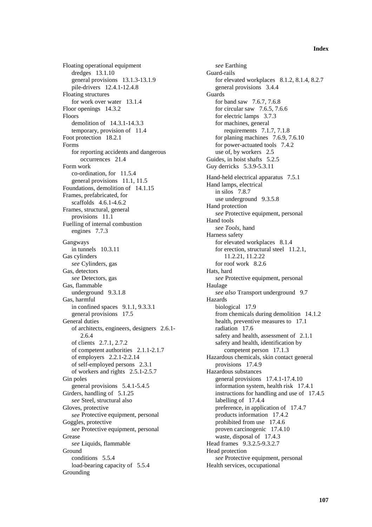Floating operational equipment dredges 13.1.10 general provisions 13.1.3-13.1.9 pile-drivers 12.4.1-12.4.8 Floating structures for work over water 13.1.4 Floor openings 14.3.2 Floors demolition of 14.3.1-14.3.3 temporary, provision of 11.4 Foot protection 18.2.1 Forms for reporting accidents and dangerous occurrences 21.4 Form work co-ordination, for 11.5.4 general provisions 11.1, 11.5 Foundations, demolition of 14.1.15 Frames, prefabricated, for scaffolds 4.6.1-4.6.2 Frames, structural, general provisions 11.1 Fuelling of internal combustion engines 7.7.3 Gangways in tunnels 10.3.11 Gas cylinders *see* Cylinders, gas Gas, detectors *see* Detectors, gas Gas, flammable underground 9.3.1.8 Gas, harmful in confined spaces 9.1.1, 9.3.3.1 general provisions 17.5 General duties of architects, engineers, designers 2.6.1- 2.6.4 of clients 2.7.1, 2.7.2 of competent authorities 2.1.1-2.1.7 of employers 2.2.1-2.2.14 of self-employed persons 2.3.1 of workers and rights 2.5.1-2.5.7 Gin poles general provisions 5.4.1-5.4.5 Girders, handling of 5.1.25 *see* Steel, structural also Gloves, protective *see* Protective equipment, personal Goggles, protective *see* Protective equipment, personal Grease *see* Liquids, flammable Ground conditions 5.5.4 load-bearing capacity of 5.5.4 Grounding

*see* Earthing Guard-rails for elevated workplaces 8.1.2, 8.1.4, 8.2.7 general provisions 3.4.4 Guards for band saw 7.6.7, 7.6.8 for circular saw 7.6.5, 7.6.6 for electric lamps 3.7.3 for machines, general requirements 7.1.7, 7.1.8 for planing machines 7.6.9, 7.6.10 for power-actuated tools 7.4.2 use of, by workers 2.5 Guides, in hoist shafts 5.2.5 Guy derricks 5.3.9-5.3.11 Hand-held electrical apparatus 7.5.1 Hand lamps, electrical in silos 7.8.7 use underground 9.3.5.8 Hand protection *see* Protective equipment, personal Hand tools *see Tools,* hand Harness safety for elevated workplaces 8.1.4 for erection, structural steel 11.2.1, 11.2.21, 11.2.22 for roof work 8.2.6 Hats, hard *see* Protective equipment, personal Haulage *see also* Transport underground 9.7 Hazards biological 17.9 from chemicals during demolition 14.1.2 health, preventive measures to 17.1 radiation 17.6 safety and health, assessment of 2.1.1 safety and health, identification by competent person 17.1.3 Hazardous chemicals, skin contact general provisions 17.4.9 Hazardous substances general provisions 17.4.1-17.4.10 information system, health risk 17.4.1 instructions for handling and use of 17.4.5 labelling of 17.4.4 preference, in application of 17.4.7 products information 17.4.2 prohibited from use 17.4.6 proven carcinogenic 17.4.10 waste, disposal of 17.4.3 Head frames 9.3.2.5-9.3.2.7 Head protection *see* Protective equipment, personal Health services, occupational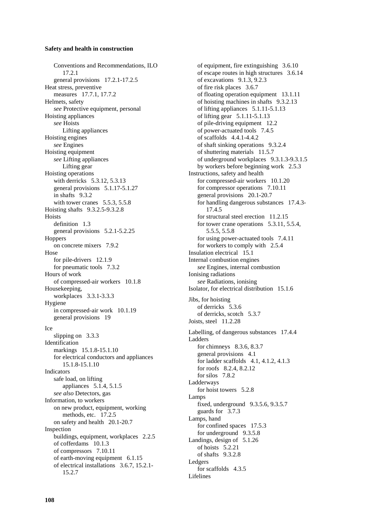Conventions and Recommendations, ILO 17.2.1 general provisions 17.2.1-17.2.5 Heat stress, preventive measures 17.7.1, 17.7.2 Helmets, safety *see* Protective equipment, personal Hoisting appliances *see* Hoists Lifting appliances Hoisting engines *see* Engines Hoisting equipment *see* Lifting appliances Lifting gear Hoisting operations with derricks 5.3.12, 5.3.13 general provisions 5.1.17-5.1.27 in shafts 9.3.2 with tower cranes 5.5.3, 5.5.8 Hoisting shafts 9.3.2.5-9.3.2.8 **Hoists** definition 1.3 general provisions 5.2.1-5.2.25 **Hoppers** on concrete mixers 7.9.2 Hose for pile-drivers 12.1.9 for pneumatic tools 7.3.2 Hours of work of compressed-air workers 10.1.8 Housekeeping, workplaces 3.3.1-3.3.3 Hygiene in compressed-air work 10.1.19 general provisions 19 Ice slipping on 3.3.3 Identification markings 15.1.8-15.1.10 for electrical conductors and appliances 15.1.8-15.1.10 Indicators safe load, on lifting appliances 5.1.4, 5.1.5 *see also* Detectors, gas Information, to workers on new product, equipment, working methods, etc. 17.2.5 on safety and health 20.1-20.7 Inspection buildings, equipment, workplaces 2.2.5 of cofferdams 10.1.3 of compressors 7.10.11 of earth-moving equipment 6.1.15 of electrical installations 3.6.7, 15.2.1- 15.2.7

of equipment, fire extinguishing 3.6.10 of escape routes in high structures 3.6.14 of excavations 9.1.3, 9.2.3 of fire risk places 3.6.7 of floating operation equipment 13.1.11 of hoisting machines in shafts 9.3.2.13 of lifting appliances 5.1.11-5.1.13 of lifting gear 5.1.11-5.1.13 of pile-driving equipment 12.2 of power-actuated tools 7.4.5 of scaffolds 4.4.1-4.4.2 of shaft sinking operations 9.3.2.4 of shuttering materials 11.5.7 of underground workplaces 9.3.1.3-9.3.1.5 by workers before beginning work 2.5.3 Instructions, safety and health for compressed-air workers 10.1.20 for compressor operations 7.10.11 general provisions 20.1-20.7 for handling dangerous substances 17.4.3- 17.4.5 for structural steel erection 11.2.15 for tower crane operations 5.3.11, 5.5.4, 5.5.5, 5.5.8 for using power-actuated tools 7.4.11 for workers to comply with 2.5.4 Insulation electrical 15.1 Internal combustion engines *see* Engines, internal combustion Ionising radiations *see* Radiations, ionising Isolator, for electrical distribution 15.1.6 Jibs, for hoisting of derricks 5.3.6 of derricks, scotch 5.3.7 Joists, steel 11.2.28 Labelling, of dangerous substances 17.4.4 Ladders for chimneys 8.3.6, 8.3.7 general provisions 4.1 for ladder scaffolds 4.1, 4.1.2, 4.1.3 for roofs 8.2.4, 8.2.12 for silos 7.8.2 Ladderways for hoist towers 5.2.8 Lamps fixed, underground 9.3.5.6, 9.3.5.7 guards for 3.7.3 Lamps, hand for confined spaces 17.5.3 for underground 9.3.5.8 Landings, design of 5.1.26 of hoists 5.2.21 of shafts 9.3.2.8 Ledgers for scaffolds 4.3.5

Lifelines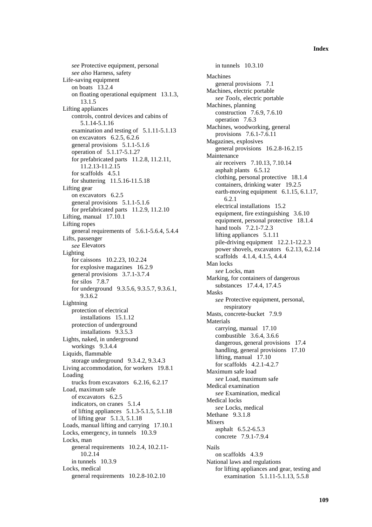*see* Protective equipment, personal *see also* Harness, safety Life-saving equipment on boats 13.2.4 on floating operational equipment 13.1.3, 13.1.5 Lifting appliances controls, control devices and cabins of 5.1.14-5.1.16 examination and testing of 5.1.11-5.1.13 on excavators 6.2.5, 6.2.6 general provisions 5.1.1-5.1.6 operation of 5.1.17-5.1.27 for prefabricated parts 11.2.8, 11.2.11, 11.2.13-11.2.15 for scaffolds 4.5.1 for shuttering 11.5.16-11.5.18 Lifting gear on excavators 6.2.5 general provisions 5.1.1-5.1.6 for prefabricated parts 11.2.9, 11.2.10 Lifting, manual 17.10.1 Lifting ropes general requirements of 5.6.1-5.6.4, 5.4.4 Lifts, passenger *see* Elevators Lighting for caissons 10.2.23, 10.2.24 for explosive magazines 16.2.9 general provisions 3.7.1-3.7.4 for silos 7.8.7 for underground 9.3.5.6, 9.3.5.7, 9.3.6.1, 9.3.6.2 Lightning protection of electrical installations 15.1.12 protection of underground installations 9.3.5.3 Lights, naked, in underground workings 9.3.4.4 Liquids, flammable storage underground 9.3.4.2, 9.3.4.3 Living accommodation, for workers 19.8.1 Loading trucks from excavators 6.2.16, 6.2.17 Load, maximum safe of excavators 6.2.5 indicators, on cranes 5.1.4 of lifting appliances 5.1.3-5.1.5, 5.1.18 of lifting gear 5.1.3, 5.1.18 Loads, manual lifting and carrying 17.10.1 Locks, emergency, in tunnels 10.3.9 Locks, man general requirements 10.2.4, 10.2.11- 10.2.14 in tunnels 10.3.9 Locks, medical general requirements 10.2.8-10.2.10

in tunnels 10.3.10 Machines general provisions 7.1 Machines, electric portable *see Tools,* electric portable Machines, planning construction 7.6.9, 7.6.10 operation 7.6.3 Machines, woodworking, general provisions 7.6.1-7.6.11 Magazines, explosives general provisions 16.2.8-16.2.15 Maintenance air receivers 7.10.13, 7.10.14 asphalt plants 6.5.12 clothing, personal protective 18.1.4 containers, drinking water 19.2.5 earth-moving equipment 6.1.15, 6.1.17, 6.2.1 electrical installations 15.2 equipment, fire extinguishing 3.6.10 equipment, personal protective 18.1.4 hand tools 7.2.1-7.2.3 lifting appliances 5.1.11 pile-driving equipment 12.2.1-12.2.3 power shovels, excavators 6.2.13, 6.2.14 scaffolds 4.1.4, 4.1.5, 4.4.4 Man locks *see* Locks, man Marking, for containers of dangerous substances 17.4.4, 17.4.5 Masks *see* Protective equipment, personal, respiratory Masts, concrete-bucket 7.9.9 Materials carrying, manual 17.10 combustible 3.6.4, 3.6.6 dangerous, general provisions 17.4 handling, general provisions 17.10 lifting, manual 17.10 for scaffolds 4.2.1-4.2.7 Maximum safe load *see* Load, maximum safe Medical examination *see* Examination, medical Medical locks *see* Locks, medical Methane 9.3.1.8 Mixers asphalt 6.5.2-6.5.3 concrete 7.9.1-7.9.4 Nails on scaffolds 4.3.9 National laws and regulations for lifting appliances and gear, testing and examination 5.1.11-5.1.13, 5.5.8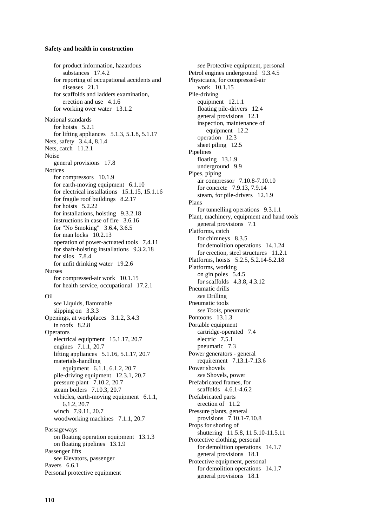for product information, hazardous substances 17.4.2 for reporting of occupational accidents and diseases 21.1 for scaffolds and ladders examination, erection and use 4.1.6 for working over water 13.1.2 National standards for hoists 5.2.1 for lifting appliances 5.1.3, 5.1.8, 5.1.17 Nets, safety 3.4.4, 8.1.4 Nets, catch 11.2.1 Noise general provisions 17.8 **Notices** for compressors 10.1.9 for earth-moving equipment 6.1.10 for electrical installations 15.1.15, 15.1.16 for fragile roof buildings 8.2.17 for hoists 5.2.22 for installations, hoisting 9.3.2.18 instructions in case of fire 3.6.16 for "No Smoking" 3.6.4, 3.6.5 for man locks 10.2.13 operation of power-actuated tools 7.4.11 for shaft-hoisting installations 9.3.2.18 for silos 7.8.4 for unfit drinking water 19.2.6 Nurses for compressed-air work 10.1.15 for health service, occupational 17.2.1 Oil *see* Liquids, flammable slipping on 3.3.3 Openings, at workplaces 3.1.2, 3.4.3 in roofs 8.2.8 **Operators** electrical equipment 15.1.17, 20.7 engines 7.1.1, 20.7 lifting appliances 5.1.16, 5.1.17, 20.7 materials-handling equipment 6.1.1, 6.1.2, 20.7 pile-driving equipment 12.3.1, 20.7 pressure plant 7.10.2, 20.7 steam boilers 7.10.3, 20.7 vehicles, earth-moving equipment 6.1.1, 6.1.2, 20.7 winch 7.9.11, 20.7 woodworking machines 7.1.1, 20.7 Passageways on floating operation equipment 13.1.3 on floating pipelines 13.1.9 Passenger lifts *see* Elevators, passenger Pavers 6.6.1 Personal protective equipment

*see* Protective equipment, personal Petrol engines underground 9.3.4.5 Physicians, for compressed-air work 10.1.15 Pile-driving equipment 12.1.1 floating pile-drivers 12.4 general provisions 12.1 inspection, maintenance of equipment 12.2 operation 12.3 sheet piling 12.5 Pipelines floating 13.1.9 underground 9.9 Pipes, piping air compressor 7.10.8-7.10.10 for concrete 7.9.13, 7.9.14 steam, for pile-drivers 12.1.9 Plans for tunnelling operations 9.3.1.1 Plant, machinery, equipment and hand tools general provisions 7.1 Platforms, catch for chimneys 8.3.5 for demolition operations 14.1.24 for erection, steel structures 11.2.1 Platforms, hoists 5.2.5, 5.2.14-5.2.18 Platforms, working on gin poles 5.4.5 for scaffolds 4.3.8, 4.3.12 Pneumatic drills *see* Drilling Pneumatic tools *see Tools,* pneumatic Pontoons 13.1.3 Portable equipment cartridge-operated 7.4 electric 7.5.1 pneumatic 7.3 Power generators - general requirement 7.13.1-7.13.6 Power shovels *see* Shovels, power Prefabricated frames, for scaffolds 4.6.1-4.6.2 Prefabricated parts erection of 11.2 Pressure plants, general provisions 7.10.1-7.10.8 Props for shoring of shuttering 11.5.8, 11.5.10-11.5.11 Protective clothing, personal for demolition operations 14.1.7 general provisions 18.1 Protective equipment, personal for demolition operations 14.1.7 general provisions 18.1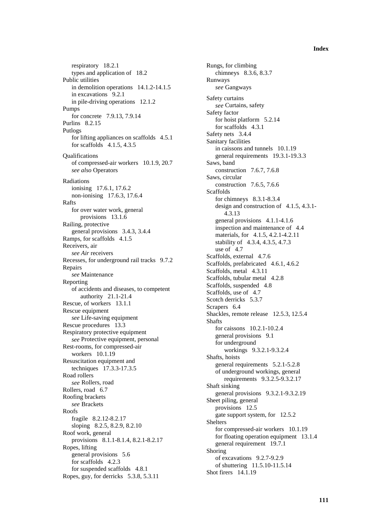respiratory 18.2.1 types and application of 18.2 Public utilities in demolition operations 14.1.2-14.1.5 in excavations 9.2.1 in pile-driving operations 12.1.2 Pumps for concrete 7.9.13, 7.9.14 Purlins 8.2.15 Putlogs for lifting appliances on scaffolds 4.5.1 for scaffolds 4.1.5, 4.3.5 **Oualifications** of compressed-air workers 10.1.9, 20.7 *see also* Operators Radiations ionising 17.6.1, 17.6.2 non-ionising 17.6.3, 17.6.4 Rafts for over water work, general provisions 13.1.6 Railing, protective general provisions 3.4.3, 3.4.4 Ramps, for scaffolds 4.1.5 Receivers, air *see Air* receivers Recesses, for underground rail tracks 9.7.2 Repairs *see* Maintenance Reporting of accidents and diseases, to competent authority 21.1-21.4 Rescue, of workers 13.1.1 Rescue equipment *see* Life-saving equipment Rescue procedures 13.3 Respiratory protective equipment *see* Protective equipment, personal Rest-rooms, for compressed-air workers 10.1.19 Resuscitation equipment and techniques 17.3.3-17.3.5 Road rollers *see* Rollers, road Rollers, road 6.7 Roofing brackets *see* Brackets Roofs fragile 8.2.12-8.2.17 sloping 8.2.5, 8.2.9, 8.2.10 Roof work, general provisions 8.1.1-8.1.4, 8.2.1-8.2.17 Ropes, lifting general provisions 5.6 for scaffolds 4.2.3 for suspended scaffolds 4.8.1 Ropes, guy, for derricks 5.3.8, 5.3.11

Rungs, for climbing chimneys 8.3.6, 8.3.7 Runways *see* Gangways Safety curtains *see* Curtains, safety Safety factor for hoist platform 5.2.14 for scaffolds 4.3.1 Safety nets 3.4.4 Sanitary facilities in caissons and tunnels 10.1.19 general requirements 19.3.1-19.3.3 Saws, band construction 7.6.7, 7.6.8 Saws, circular construction 7.6.5, 7.6.6 Scaffolds for chimneys 8.3.1-8.3.4 design and construction of 4.1.5, 4.3.1- 4.3.13 general provisions 4.1.1-4.1.6 inspection and maintenance of 4.4 materials, for 4.1.5, 4.2.1-4.2.11 stability of 4.3.4, 4.3.5, 4.7.3 use of 4.7 Scaffolds, external 4.7.6 Scaffolds, prefabricated 4.6.1, 4.6.2 Scaffolds, metal 4.3.11 Scaffolds, tubular metal 4.2.8 Scaffolds, suspended 4.8 Scaffolds, use of 4.7 Scotch derricks 5.3.7 Scrapers 6.4 Shackles, remote release 12.5.3, 12.5.4 **Shafts** for caissons 10.2.1-10.2.4 general provisions 9.1 for underground workings 9.3.2.1-9.3.2.4 Shafts, hoists general requirements 5.2.1-5.2.8 of underground workings, general requirements 9.3.2.5-9.3.2.17 Shaft sinking general provisions 9.3.2.1-9.3.2.19 Sheet piling, general provisions 12.5 gate support system, for 12.5.2 Shelters for compressed-air workers 10.1.19 for floating operation equipment 13.1.4 general requirement 19.7.1 Shoring of excavations 9.2.7-9.2.9 of shuttering 11.5.10-11.5.14 Shot firers 14.1.19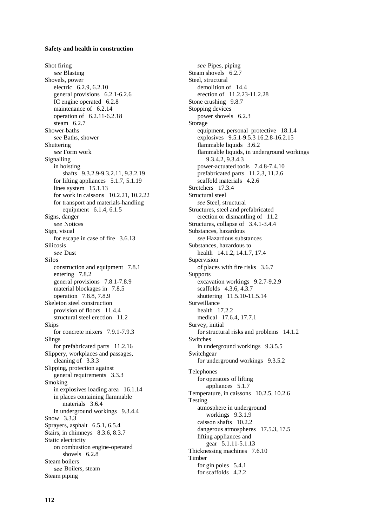Shot firing *see* Blasting Shovels, power electric 6.2.9, 6.2.10 general provisions 6.2.1-6.2.6 IC engine operated 6.2.8 maintenance of 6.2.14 operation of 6.2.11-6.2.18 steam 6.2.7 Shower-baths *see* Baths, shower Shuttering *see* Form work Signalling in hoisting shafts 9.3.2.9-9.3.2.11, 9.3.2.19 for lifting appliances 5.1.7, 5.1.19 lines system 15.1.13 for work in caissons 10.2.21, 10.2.22 for transport and materials-handling equipment 6.1.4, 6.1.5 Signs, danger *see* Notices Sign, visual for escape in case of fire 3.6.13 Silicosis *see* Dust Silos construction and equipment 7.8.1 entering 7.8.2 general provisions 7.8.1-7.8.9 material blockages in 7.8.5 operation 7.8.8, 7.8.9 Skeleton steel construction provision of floors 11.4.4 structural steel erection 11.2 Skips for concrete mixers 7.9.1-7.9.3 Slings for prefabricated parts 11.2.16 Slippery, workplaces and passages, cleaning of 3.3.3 Slipping, protection against general requirements 3.3.3 Smoking in explosives loading area 16.1.14 in places containing flammable materials 3.6.4 in underground workings 9.3.4.4 Snow 3.3.3 Sprayers, asphalt 6.5.1, 6.5.4 Stairs, in chimneys 8.3.6, 8.3.7 Static electricity on combustion engine-operated shovels 6.2.8 Steam boilers *see* Boilers, steam Steam piping

*see* Pipes, piping Steam shovels 6.2.7 Steel, structural demolition of 14.4 erection of 11.2.23-11.2.28 Stone crushing 9.8.7 Stopping devices power shovels 6.2.3 Storage equipment, personal protective 18.1.4 explosives 9.5.1-9.5.3 16.2.8-16.2.15 flammable liquids 3.6.2 flammable liquids, in underground workings 9.3.4.2, 9.3.4.3 power-actuated tools 7.4.8-7.4.10 prefabricated parts 11.2.3, 11.2.6 scaffold materials 4.2.6 Stretchers 17.3.4 Structural steel *see* Steel, structural Structures, steel and prefabricated erection or dismantling of 11.2 Structures, collapse of 3.4.1-3.4.4 Substances, hazardous *see* Hazardous substances Substances, hazardous to health 14.1.2, 14.1.7, 17.4 Supervision of places with fire risks 3.6.7 Supports excavation workings 9.2.7-9.2.9 scaffolds 4.3.6, 4.3.7 shuttering 11.5.10-11.5.14 Surveillance health 17.2.2 medical 17.6.4, 17.7.1 Survey, initial for structural risks and problems 14.1.2 Switches in underground workings 9.3.5.5 Switchgear for underground workings 9.3.5.2 Telephones for operators of lifting appliances 5.1.7 Temperature, in caissons 10.2.5, 10.2.6 Testing atmosphere in underground workings 9.3.1.9 caisson shafts 10.2.2 dangerous atmospheres 17.5.3, 17.5 lifting appliances and gear 5.1.11-5.1.13 Thicknessing machines 7.6.10 Timber for gin poles 5.4.1 for scaffolds 4.2.2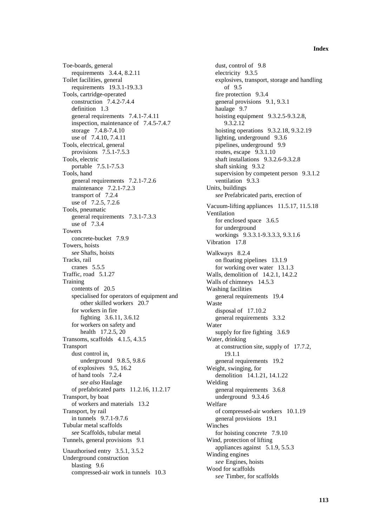Toe-boards, general requirements 3.4.4, 8.2.11 Toilet facilities, general requirements 19.3.1-19.3.3 Tools, cartridge-operated construction 7.4.2-7.4.4 definition 1.3 general requirements 7.4.1-7.4.11 inspection, maintenance of 7.4.5-7.4.7 storage 7.4.8-7.4.10 use of 7.4.10, 7.4.11 Tools, electrical, general provisions 7.5.1-7.5.3 Tools, electric portable 7.5.1-7.5.3 Tools, hand general requirements 7.2.1-7.2.6 maintenance 7.2.1-7.2.3 transport of 7.2.4 use of 7.2.5, 7.2.6 Tools, pneumatic general requirements 7.3.1-7.3.3 use of 7.3.4 Towers concrete-bucket 7.9.9 Towers, hoists *see* Shafts, hoists Tracks, rail cranes 5.5.5 Traffic, road 5.1.27 Training contents of 20.5 specialised for operators of equipment and other skilled workers 20.7 for workers in fire fighting 3.6.11, 3.6.12 for workers on safety and health 17.2.5, 20 Transoms, scaffolds 4.1.5, 4.3.5 Transport dust control in, underground 9.8.5, 9.8.6 of explosives 9.5, 16.2 of hand tools 7.2.4 *see also* Haulage of prefabricated parts 11.2.16, 11.2.17 Transport, by boat of workers and materials 13.2 Transport, by rail in tunnels 9.7.1-9.7.6 Tubular metal scaffolds *see* Scaffolds, tubular metal Tunnels, general provisions 9.1 Unauthorised entry 3.5.1, 3.5.2 Underground construction blasting 9.6 compressed-air work in tunnels 10.3

dust, control of 9.8 electricity 9.3.5 explosives, transport, storage and handling of 9.5 fire protection 9.3.4 general provisions 9.1, 9.3.1 haulage 9.7 hoisting equipment 9.3.2.5-9.3.2.8, 9.3.2.12 hoisting operations 9.3.2.18, 9.3.2.19 lighting, underground 9.3.6 pipelines, underground 9.9 routes, escape 9.3.1.10 shaft installations 9.3.2.6-9.3.2.8 shaft sinking 9.3.2 supervision by competent person 9.3.1.2 ventilation 9.3.3 Units, buildings *see* Prefabricated parts, erection of Vacuum-lifting appliances 11.5.17, 11.5.18 Ventilation for enclosed space 3.6.5 for underground workings 9.3.3.1-9.3.3.3, 9.3.1.6 Vibration 17.8 Walkways 8.2.4 on floating pipelines 13.1.9 for working over water 13.1.3 Walls, demolition of 14.2.1, 14.2.2 Walls of chimneys 14.5.3 Washing facilities general requirements 19.4 Waste disposal of 17.10.2 general requirements 3.3.2 Water supply for fire fighting 3.6.9 Water, drinking at construction site, supply of 17.7.2, 19.1.1 general requirements 19.2 Weight, swinging, for demolition 14.1.21, 14.1.22 Welding general requirements 3.6.8 underground 9.3.4.6 Welfare of compressed-air workers 10.1.19 general provisions 19.1 Winches for hoisting concrete 7.9.10 Wind, protection of lifting appliances against 5.1.9, 5.5.3 Winding engines *see* Engines, hoists Wood for scaffolds *see* Timber, for scaffolds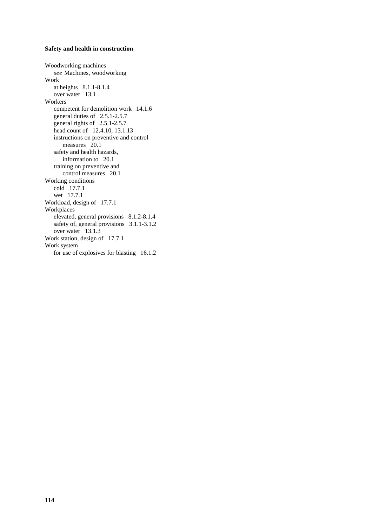Woodworking machines *see* Machines, woodworking Work at heights 8.1.1-8.1.4 over water 13.1 Workers competent for demolition work 14.1.6 general duties of 2.5.1-2.5.7 general rights of 2.5.1-2.5.7 head count of 12.4.10, 13.1.13 instructions on preventive and control measures 20.1 safety and health hazards, information to 20.1 training on preventive and control measures 20.1 Working conditions cold 17.7.1 wet 17.7.1 Workload, design of 17.7.1 Workplaces elevated, general provisions 8.1.2-8.1.4 safety of, general provisions 3.1.1-3.1.2 over water 13.1.3 Work station, design of 17.7.1 Work system for use of explosives for blasting 16.1.2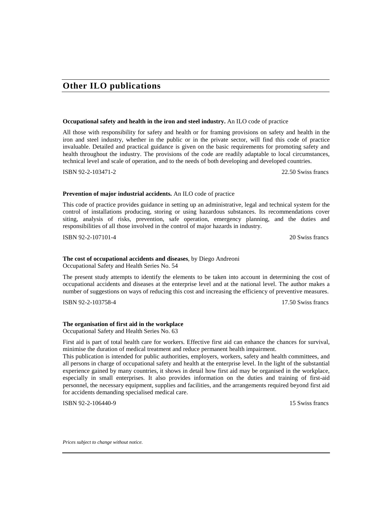# **Other ILO publications**

## **Occupational safety and health in the iron and steel industry.** An ILO code of practice

All those with responsibility for safety and health or for framing provisions on safety and health in the iron and steel industry, whether in the public or in the private sector, will find this code of practice invaluable. Detailed and practical guidance is given on the basic requirements for promoting safety and health throughout the industry. The provisions of the code are readily adaptable to local circumstances, technical level and scale of operation, and to the needs of both developing and developed countries.

ISBN 92-2-103471-2 22.50 Swiss francs

#### **Prevention of major industrial accidents.** An ILO code of practice

This code of practice provides guidance in setting up an administrative, legal and technical system for the control of installations producing, storing or using hazardous substances. Its recommendations cover siting, analysis of risks, prevention, safe operation, emergency planning, and the duties and responsibilities of all those involved in the control of major hazards in industry.

ISBN 92-2-107101-4 20 Swiss francs

#### **The cost of occupational accidents and diseases**, by Diego Andreoni

Occupational Safety and Health Series No. 54

The present study attempts to identify the elements to be taken into account in determining the cost of occupational accidents and diseases at the enterprise level and at the national level. The author makes a number of suggestions on ways of reducing this cost and increasing the efficiency of preventive measures.

ISBN 92-2-103758-4 17.50 Swiss francs

#### **The organisation of first aid in the workplace**

Occupational Safety and Health Series No. 63

First aid is part of total health care for workers. Effective first aid can enhance the chances for survival, minimise the duration of medical treatment and reduce permanent health impairment.

This publication is intended for public authorities, employers, workers, safety and health committees, and all persons in charge of occupational safety and health at the enterprise level. In the light of the substantial experience gained by many countries, it shows in detail how first aid may be organised in the workplace, especially in small enterprises. It also provides information on the duties and training of first-aid personnel, the necessary equipment, supplies and facilities, and the arrangements required beyond first aid for accidents demanding specialised medical care.

ISBN 92-2-106440-9 15 Swiss francs

*Prices subject to change without notice.*